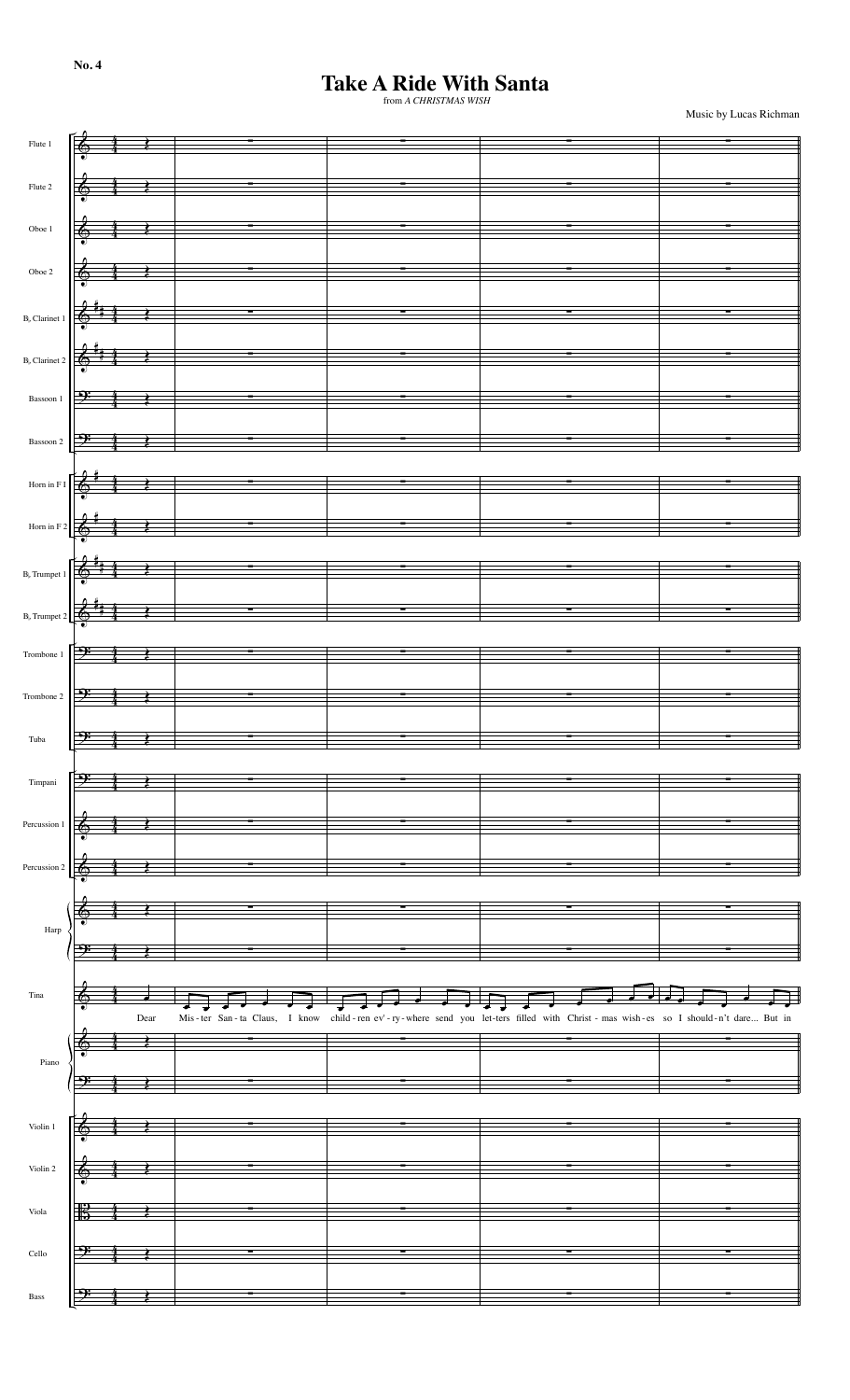## **Take A Ride With Santa** from *A CHRISTMAS WISH*

Music by Lucas Richman

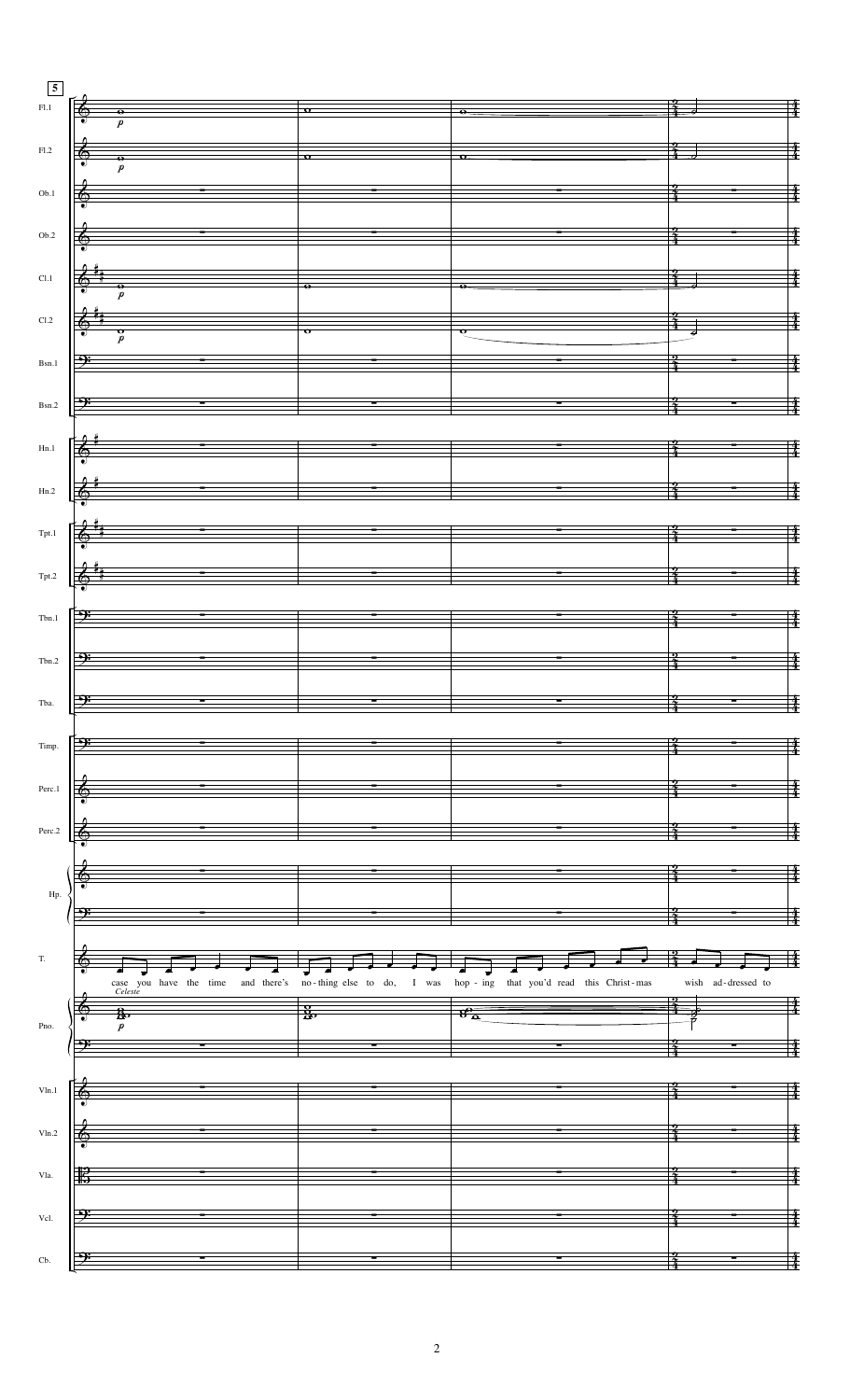| $\boxed{5}$    |                                 |                                           |                                           |                    |
|----------------|---------------------------------|-------------------------------------------|-------------------------------------------|--------------------|
|                |                                 |                                           |                                           |                    |
| $\rm{F}l.1$    |                                 | $\mathbf o$                               | $\bullet$                                 |                    |
|                | $\frac{\overline{p}}{p}$        |                                           |                                           |                    |
|                |                                 |                                           |                                           |                    |
|                |                                 |                                           |                                           |                    |
| $\rm{F}l.2$    |                                 |                                           |                                           | $\frac{1}{4}$      |
|                |                                 | $\Omega$                                  | $\overline{\mathbf{o}}$                   |                    |
|                | $\frac{\mathbf{e}}{p}$          |                                           |                                           |                    |
|                |                                 |                                           |                                           |                    |
|                |                                 |                                           |                                           |                    |
| Ob.1           | $\frac{1}{\sqrt{2}}$            | $=$                                       |                                           | ₹                  |
|                |                                 |                                           |                                           |                    |
|                |                                 |                                           |                                           |                    |
|                |                                 |                                           |                                           |                    |
| Ob.2           |                                 | Ξ                                         |                                           |                    |
|                |                                 |                                           |                                           | $\frac{4}{4}$      |
|                |                                 |                                           |                                           |                    |
|                |                                 |                                           |                                           |                    |
|                |                                 |                                           |                                           |                    |
| Cl.1           |                                 |                                           |                                           | $\frac{1}{4}$      |
|                |                                 | $\overline{\bullet}$                      | $\bullet$                                 |                    |
|                | $\frac{\mathbf{e}}{p}$          |                                           |                                           |                    |
|                |                                 |                                           |                                           |                    |
|                |                                 |                                           |                                           |                    |
| Cl.2           | $\frac{\mathbf{1}}{\mathbf{1}}$ |                                           |                                           | 挂                  |
|                | $\frac{\sigma}{p}$              | $\overline{\mathbf{o}}$                   | $\overline{\cdot}$                        |                    |
|                |                                 |                                           |                                           |                    |
|                |                                 |                                           |                                           |                    |
| $_{\rm Bsn.1}$ | $\Theta$                        |                                           |                                           | $\frac{1}{4}$      |
|                |                                 |                                           |                                           |                    |
|                |                                 |                                           |                                           |                    |
|                |                                 |                                           |                                           |                    |
|                |                                 |                                           |                                           |                    |
| $_{\rm Bsn.2}$ |                                 |                                           |                                           | $\frac{4}{4}$      |
|                |                                 |                                           |                                           |                    |
|                |                                 |                                           |                                           |                    |
|                |                                 |                                           |                                           |                    |
|                |                                 |                                           |                                           |                    |
| Hn.1           |                                 | $\equiv$                                  |                                           | $\frac{1}{4}$      |
|                |                                 |                                           |                                           |                    |
|                |                                 |                                           |                                           |                    |
|                |                                 |                                           |                                           |                    |
| Hn.2           |                                 |                                           |                                           | $\frac{1}{4}$      |
|                |                                 |                                           |                                           |                    |
|                |                                 |                                           |                                           |                    |
|                |                                 |                                           |                                           |                    |
|                |                                 |                                           |                                           |                    |
| Tpt.1          |                                 |                                           |                                           | $\frac{1}{4}$      |
|                |                                 |                                           |                                           |                    |
|                |                                 |                                           |                                           |                    |
|                |                                 |                                           |                                           |                    |
|                |                                 |                                           |                                           |                    |
| Tpt.2          |                                 |                                           |                                           | $\frac{1}{4}$<br>4 |
|                |                                 |                                           |                                           |                    |
|                |                                 |                                           |                                           |                    |
|                |                                 |                                           |                                           |                    |
| Tbn.1          | <u> ခု</u>                      |                                           |                                           |                    |
|                |                                 |                                           |                                           | $\frac{1}{4}$      |
|                |                                 |                                           |                                           |                    |
|                |                                 |                                           |                                           |                    |
|                |                                 |                                           |                                           |                    |
| Tbn.2          |                                 |                                           |                                           | $\frac{4}{4}$      |
|                |                                 |                                           |                                           |                    |
|                |                                 |                                           |                                           |                    |
|                |                                 |                                           |                                           |                    |
|                |                                 |                                           |                                           |                    |
| $_{\rm Tba.}$  | $\rightarrow$                   |                                           |                                           | $\frac{2}{4}$<br>髶 |
|                |                                 |                                           |                                           |                    |
|                |                                 |                                           |                                           |                    |
|                |                                 |                                           |                                           |                    |
|                |                                 |                                           |                                           |                    |
| Timp.          |                                 |                                           |                                           | $\frac{1}{4}$<br>4 |
|                |                                 |                                           |                                           |                    |
|                |                                 |                                           |                                           |                    |
|                |                                 |                                           |                                           |                    |
| Perc.1         |                                 |                                           |                                           | $\frac{1}{4}$      |
|                |                                 |                                           |                                           |                    |
|                | ٠.                              |                                           |                                           |                    |
|                |                                 |                                           |                                           |                    |
|                |                                 |                                           |                                           |                    |
| Perc.2         | K                               |                                           |                                           | $\frac{1}{4}$      |
|                |                                 |                                           |                                           |                    |
|                |                                 |                                           |                                           |                    |
|                |                                 |                                           |                                           |                    |
|                |                                 |                                           |                                           |                    |
|                |                                 |                                           |                                           | $\frac{1}{4}$      |
|                |                                 |                                           |                                           |                    |
| Hp.            |                                 |                                           |                                           |                    |
|                |                                 |                                           |                                           |                    |
|                |                                 |                                           |                                           |                    |
|                |                                 |                                           |                                           |                    |
|                |                                 |                                           |                                           |                    |
|                |                                 |                                           |                                           |                    |
|                |                                 |                                           |                                           |                    |
| $\mathbf T.$   |                                 |                                           |                                           | $\frac{1}{4}$      |
|                |                                 | ₹                                         | ⋥                                         |                    |
|                |                                 | and there's no-thing else to do,<br>I was | hop - ing that you'd read this Christ-mas | wish ad-dressed to |
|                | case you have the time          |                                           |                                           |                    |
|                |                                 |                                           |                                           |                    |
|                | ⊕<br>$\overline{\frac{2}{3}}$   | $\frac{8}{9}$                             | $8^\circ$                                 | $\frac{1}{4}$      |
|                |                                 |                                           |                                           |                    |
| Pno.           | $\boldsymbol{p}$                |                                           |                                           |                    |
|                |                                 |                                           |                                           |                    |
|                | <u>-9</u>                       |                                           |                                           | $\frac{1}{4}$      |
|                |                                 |                                           |                                           |                    |
|                |                                 |                                           |                                           |                    |
|                |                                 |                                           |                                           |                    |
|                |                                 |                                           |                                           |                    |
| $_{\rm Vln.1}$ |                                 |                                           |                                           | $\frac{1}{4}$<br>2 |
|                |                                 |                                           |                                           |                    |
|                |                                 |                                           |                                           |                    |
|                |                                 |                                           |                                           |                    |
| Vln.2          |                                 |                                           |                                           | $\frac{4}{4}$      |
|                |                                 |                                           |                                           |                    |
|                |                                 |                                           |                                           |                    |
|                |                                 |                                           |                                           |                    |
|                |                                 |                                           |                                           |                    |
| Vla.           | $\mathbf{r}$                    |                                           |                                           | $\frac{1}{4}$<br>2 |
|                |                                 |                                           |                                           |                    |
|                |                                 |                                           |                                           |                    |
|                |                                 |                                           |                                           |                    |
|                |                                 |                                           |                                           |                    |
| Vcl.           | <del>):</del>                   |                                           |                                           | 团                  |
|                |                                 |                                           |                                           |                    |
|                |                                 |                                           |                                           |                    |
|                |                                 |                                           |                                           |                    |
|                |                                 |                                           |                                           |                    |
|                |                                 |                                           |                                           |                    |
| Cb.            | ⅁                               |                                           |                                           | $\frac{1}{4}$      |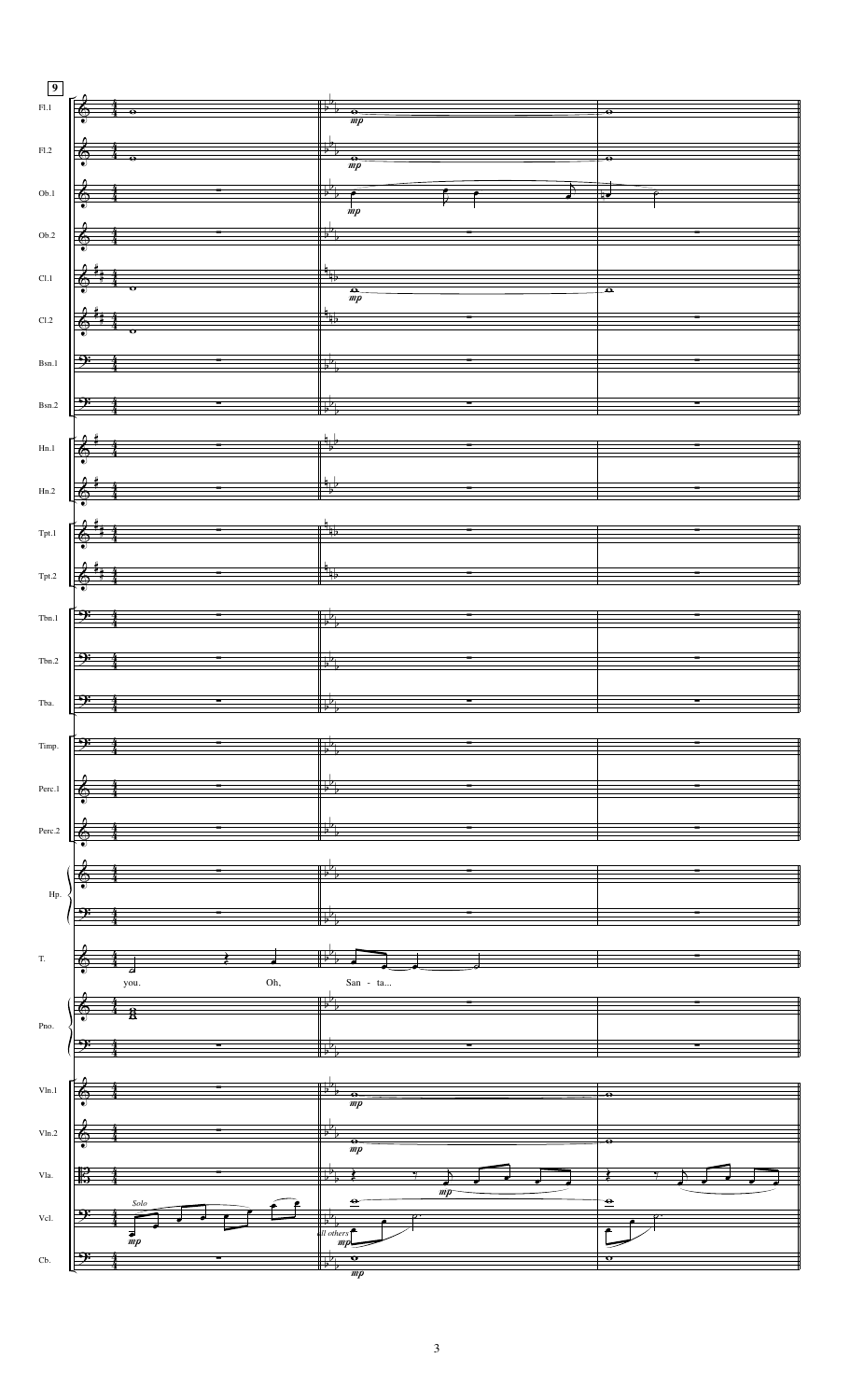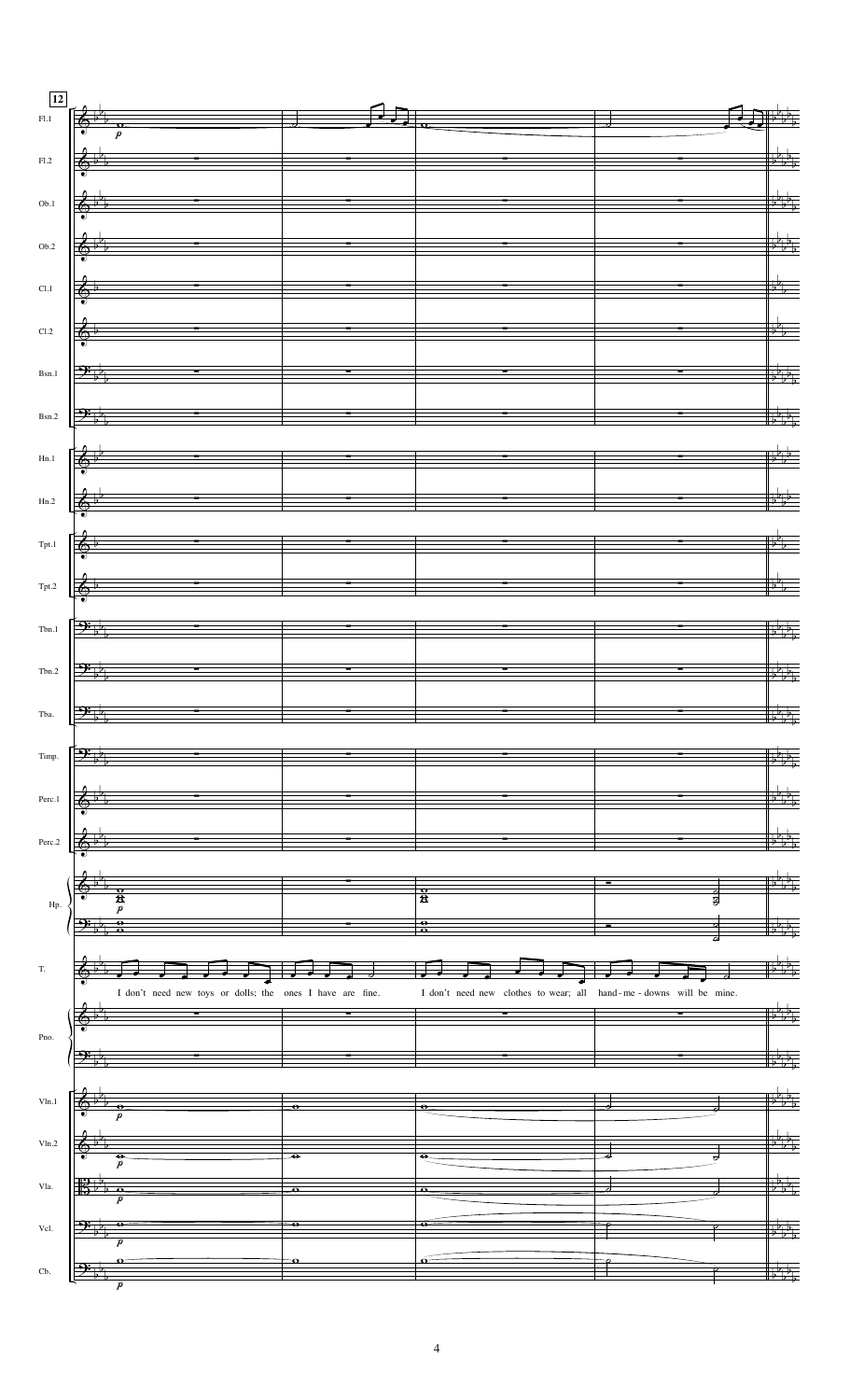| $\boxed{12}$      |                                                           |                          |                                                                   |      |                                                 |
|-------------------|-----------------------------------------------------------|--------------------------|-------------------------------------------------------------------|------|-------------------------------------------------|
| $\rm{F}l.1$       |                                                           |                          |                                                                   |      |                                                 |
|                   | $\boldsymbol{p}$                                          |                          |                                                                   |      |                                                 |
|                   |                                                           |                          |                                                                   |      |                                                 |
| $\rm{F}l.2$       |                                                           |                          |                                                                   |      | $\frac{\frac{1}{100}}{\frac{1}{100}}$           |
|                   |                                                           |                          |                                                                   |      |                                                 |
|                   |                                                           |                          |                                                                   |      |                                                 |
| $_{\rm Ob.1}$     |                                                           |                          |                                                                   |      | $\frac{1}{\left\lceil \frac{1}{2}\right\rceil}$ |
|                   |                                                           |                          |                                                                   |      |                                                 |
|                   |                                                           |                          |                                                                   |      |                                                 |
|                   |                                                           |                          |                                                                   |      | $\frac{1}{2}$                                   |
| $_{\rm Ob.2}$     |                                                           |                          |                                                                   |      |                                                 |
|                   |                                                           |                          |                                                                   |      |                                                 |
|                   |                                                           |                          |                                                                   |      |                                                 |
| Cl.1              |                                                           |                          |                                                                   |      | $\mathbb{P}^{\flat}$                            |
|                   |                                                           |                          |                                                                   |      |                                                 |
|                   |                                                           |                          |                                                                   |      |                                                 |
| Cl.2              | $\Phi^{\flat}$                                            |                          |                                                                   |      | $\left  \frac{b}{b} \right $                    |
|                   |                                                           |                          |                                                                   |      |                                                 |
|                   |                                                           |                          |                                                                   |      |                                                 |
| $_{\rm Bsn.1}$    | $\mathbf{P}$                                              |                          |                                                                   |      | $\frac{1}{\sqrt{2}}$                            |
|                   |                                                           |                          |                                                                   |      |                                                 |
|                   |                                                           |                          |                                                                   |      |                                                 |
| $_{\rm Bsn.2}$    | $2^{n}$                                                   |                          |                                                                   |      | $\frac{1}{\sqrt{2}}$                            |
|                   |                                                           |                          |                                                                   |      |                                                 |
|                   |                                                           |                          |                                                                   |      |                                                 |
| Hn.1              |                                                           |                          |                                                                   |      | $\mathbb{P}^{\flat}$                            |
|                   |                                                           |                          |                                                                   |      |                                                 |
|                   |                                                           |                          |                                                                   |      |                                                 |
| Hn.2              | $\mathcal{L}$                                             | $\overline{\phantom{a}}$ |                                                                   |      | $\left  \frac{p}{p} \right $                    |
|                   |                                                           |                          |                                                                   |      |                                                 |
|                   |                                                           |                          |                                                                   |      |                                                 |
|                   |                                                           |                          |                                                                   |      |                                                 |
| $_\mathrm{Tpt.1}$ |                                                           |                          |                                                                   |      | $\mathbb{P}^{\flat}$                            |
|                   |                                                           |                          |                                                                   |      |                                                 |
|                   |                                                           |                          |                                                                   |      |                                                 |
| $_\mathrm{Tpt.2}$ |                                                           |                          |                                                                   |      | $\mathbb{P}^{\flat}$                            |
|                   |                                                           |                          |                                                                   |      |                                                 |
|                   |                                                           |                          |                                                                   |      |                                                 |
| Tbn.1             | $\mathbf{P}$                                              |                          |                                                                   |      | $\frac{1}{\sqrt{2}}$                            |
|                   |                                                           |                          |                                                                   |      |                                                 |
|                   |                                                           |                          |                                                                   |      |                                                 |
| Tbn.2             | $\mathbf{P}$                                              |                          |                                                                   |      | $\frac{1}{2}$                                   |
|                   |                                                           |                          |                                                                   |      |                                                 |
|                   |                                                           |                          |                                                                   |      |                                                 |
| $_{\rm Tba.}$     | $\mathcal{P}$<br>$\blacksquare$                           | Ξ                        | Ξ                                                                 | Ξ    | $\frac{1}{\sqrt{2}}$                            |
|                   |                                                           |                          |                                                                   |      |                                                 |
|                   |                                                           |                          |                                                                   |      |                                                 |
|                   | $\rightarrow$                                             |                          |                                                                   |      |                                                 |
| Timp.             |                                                           |                          |                                                                   |      | $\mathbb{P}^+$                                  |
|                   |                                                           |                          |                                                                   |      |                                                 |
|                   |                                                           |                          |                                                                   |      |                                                 |
| Perc.1            |                                                           |                          |                                                                   |      | $\mathbb{P}_{\mathcal{P}_{\mathcal{P}}}$        |
|                   |                                                           |                          |                                                                   |      |                                                 |
|                   |                                                           |                          |                                                                   |      |                                                 |
| Perc.2            |                                                           |                          |                                                                   |      | $\mathbb{P}_{\mathbb{P}_p}$                     |
|                   |                                                           |                          |                                                                   |      |                                                 |
|                   |                                                           |                          |                                                                   |      |                                                 |
|                   |                                                           |                          |                                                                   |      | $\mathbb{P}^{\flat}$                            |
|                   | 8                                                         |                          | $\frac{1}{3}$                                                     | र्वे |                                                 |
| Hp.               | $\boldsymbol{p}$                                          |                          |                                                                   |      |                                                 |
|                   | $\bullet$                                                 |                          | $\bullet$<br>$\bullet$                                            |      | $\mathbb{P}_{\mathbb{P}_{\mathbb{B}}}$          |
|                   |                                                           |                          |                                                                   |      |                                                 |
|                   |                                                           |                          |                                                                   |      |                                                 |
| $\mathbf T.$      |                                                           |                          |                                                                   |      | $\mathbb{P}\mathbb{P}_p$                        |
|                   |                                                           | $\overline{\phantom{a}}$ |                                                                   |      |                                                 |
|                   | I don't need new toys or dolls; the ones I have are fine. |                          | I don't need new clothes to wear; all hand-me-downs will be mine. |      |                                                 |
|                   |                                                           |                          |                                                                   |      |                                                 |
|                   |                                                           |                          |                                                                   |      | $\mathbb{P}_{\mathcal{P}_{\mathcal{P}}}$        |
| Pno.              |                                                           |                          |                                                                   |      |                                                 |
|                   | -67                                                       |                          |                                                                   |      |                                                 |
|                   |                                                           |                          |                                                                   |      | $\frac{1}{2}$                                   |
|                   |                                                           |                          |                                                                   |      |                                                 |
|                   |                                                           |                          |                                                                   |      |                                                 |
| Vln.1             |                                                           | $\mathbf{o}$             | $\mathbf{o}$                                                      |      | $\mathbb{P}\mathbb{P}_p$                        |
|                   | p                                                         |                          |                                                                   |      |                                                 |
|                   |                                                           |                          |                                                                   |      |                                                 |
| Vln.2             |                                                           |                          |                                                                   |      | $\frac{1}{\sqrt{2}}$                            |
|                   | $\bullet$                                                 | $\overline{\bullet}$     | $\bullet$                                                         | z    |                                                 |
|                   | $\boldsymbol{p}$                                          |                          |                                                                   |      |                                                 |
| Vla.              |                                                           |                          |                                                                   |      | $\mathbb{P}_{\mathbb{P}_p}$                     |
|                   | ۰<br>$\boldsymbol{p}$                                     | $\overline{\bullet}$     | $\bullet$                                                         |      |                                                 |
|                   |                                                           |                          |                                                                   |      |                                                 |
|                   |                                                           | $\overline{\bullet}$     | $\overline{\mathbf{o}}$                                           |      |                                                 |
| Vcl.              |                                                           |                          |                                                                   |      | $\mathbb{P}_{\mathbb{P}_{\mathbb{R}}}$          |
|                   | p                                                         |                          |                                                                   |      |                                                 |
|                   |                                                           | $\alpha$                 | $\mathbf{o}$                                                      |      |                                                 |
| Cb.               |                                                           |                          |                                                                   |      | $\frac{1}{2}$                                   |
|                   | $\boldsymbol{p}$                                          |                          |                                                                   |      |                                                 |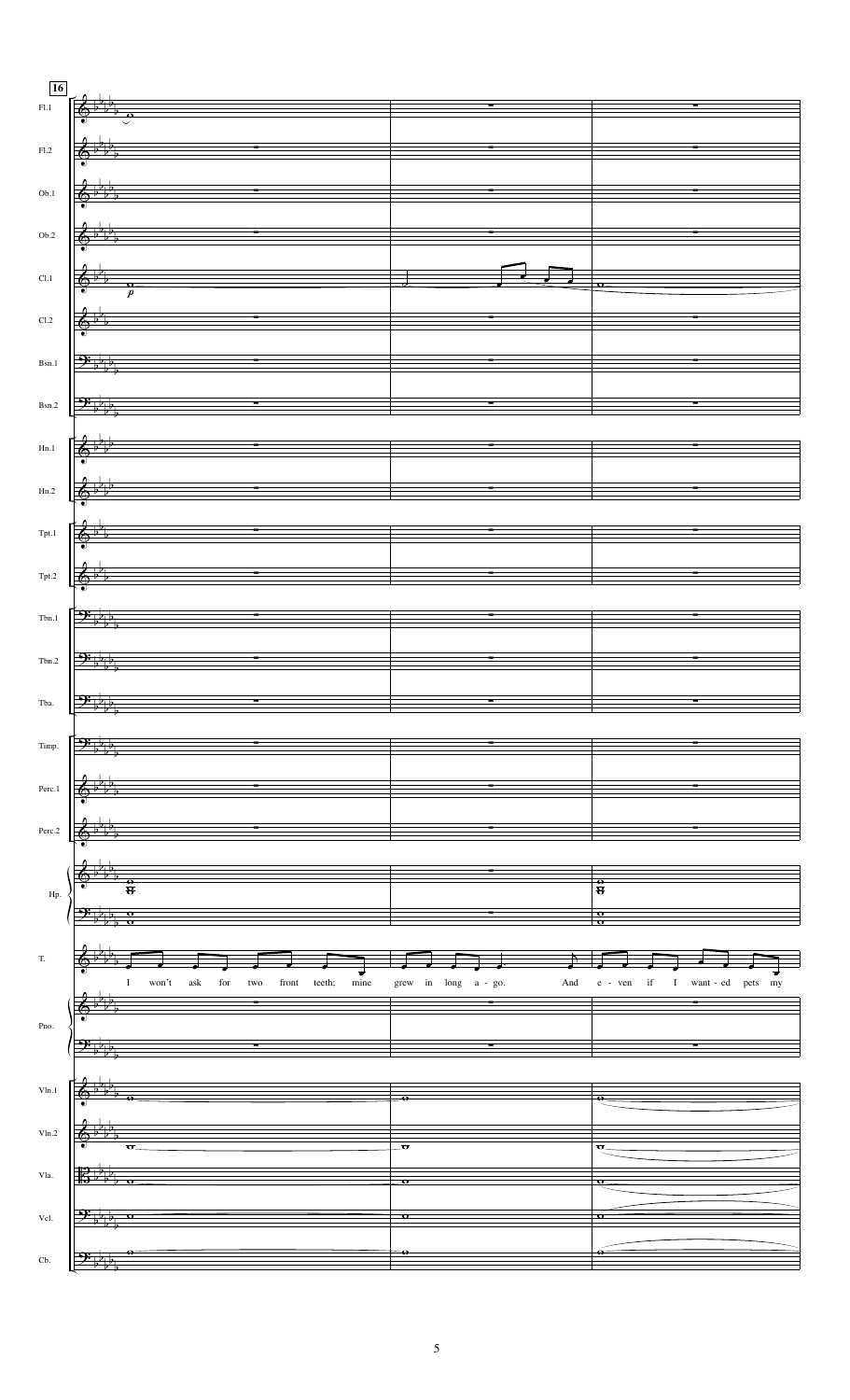| $\boxed{16}$                     |                                                                                                                                        |                                                         |                               |
|----------------------------------|----------------------------------------------------------------------------------------------------------------------------------------|---------------------------------------------------------|-------------------------------|
|                                  |                                                                                                                                        |                                                         |                               |
| F1.1                             | Ş                                                                                                                                      |                                                         |                               |
|                                  |                                                                                                                                        |                                                         |                               |
|                                  |                                                                                                                                        |                                                         |                               |
|                                  |                                                                                                                                        |                                                         |                               |
| F1.2                             |                                                                                                                                        |                                                         |                               |
|                                  |                                                                                                                                        |                                                         |                               |
|                                  |                                                                                                                                        |                                                         |                               |
|                                  |                                                                                                                                        |                                                         |                               |
| Ob.1                             | $\overline{6}$                                                                                                                         |                                                         |                               |
|                                  |                                                                                                                                        |                                                         |                               |
|                                  |                                                                                                                                        |                                                         |                               |
|                                  |                                                                                                                                        |                                                         |                               |
| Ob.2                             |                                                                                                                                        |                                                         |                               |
|                                  |                                                                                                                                        |                                                         |                               |
|                                  |                                                                                                                                        |                                                         |                               |
|                                  |                                                                                                                                        |                                                         |                               |
|                                  |                                                                                                                                        |                                                         |                               |
| Cl.1                             | $\frac{1}{2}$                                                                                                                          |                                                         |                               |
|                                  | $\frac{\Omega}{p}$                                                                                                                     |                                                         |                               |
|                                  |                                                                                                                                        |                                                         |                               |
|                                  |                                                                                                                                        |                                                         |                               |
| Cl.2                             | $6 -$                                                                                                                                  |                                                         |                               |
|                                  |                                                                                                                                        |                                                         |                               |
|                                  |                                                                                                                                        |                                                         |                               |
|                                  |                                                                                                                                        |                                                         |                               |
| $_{\rm Bsn.1}$                   | $\mathbf{9}$                                                                                                                           |                                                         |                               |
|                                  |                                                                                                                                        |                                                         |                               |
|                                  |                                                                                                                                        |                                                         |                               |
|                                  |                                                                                                                                        |                                                         |                               |
| Bsn.2                            | $\mathbf{P}$                                                                                                                           |                                                         |                               |
|                                  |                                                                                                                                        |                                                         |                               |
|                                  |                                                                                                                                        |                                                         |                               |
|                                  |                                                                                                                                        |                                                         |                               |
| Hn.1                             |                                                                                                                                        |                                                         |                               |
|                                  |                                                                                                                                        |                                                         |                               |
|                                  |                                                                                                                                        |                                                         |                               |
|                                  |                                                                                                                                        |                                                         |                               |
|                                  |                                                                                                                                        |                                                         |                               |
| Hn.2                             |                                                                                                                                        |                                                         |                               |
|                                  |                                                                                                                                        |                                                         |                               |
|                                  |                                                                                                                                        |                                                         |                               |
|                                  |                                                                                                                                        |                                                         |                               |
| Tpt.1                            |                                                                                                                                        |                                                         |                               |
|                                  |                                                                                                                                        |                                                         |                               |
|                                  |                                                                                                                                        |                                                         |                               |
|                                  |                                                                                                                                        |                                                         |                               |
| Tpt.2                            | t<br>Ξ                                                                                                                                 |                                                         |                               |
|                                  |                                                                                                                                        |                                                         |                               |
|                                  |                                                                                                                                        |                                                         |                               |
|                                  |                                                                                                                                        |                                                         |                               |
| Tbn.1                            |                                                                                                                                        |                                                         |                               |
|                                  |                                                                                                                                        |                                                         |                               |
|                                  |                                                                                                                                        |                                                         |                               |
|                                  |                                                                                                                                        |                                                         |                               |
|                                  |                                                                                                                                        |                                                         |                               |
| $_{\rm Tbn.2}$                   |                                                                                                                                        |                                                         |                               |
|                                  |                                                                                                                                        |                                                         |                               |
|                                  |                                                                                                                                        |                                                         |                               |
|                                  |                                                                                                                                        |                                                         |                               |
| $\!$ Tba.                        | 9:57                                                                                                                                   |                                                         |                               |
|                                  |                                                                                                                                        |                                                         |                               |
|                                  |                                                                                                                                        |                                                         |                               |
|                                  |                                                                                                                                        |                                                         |                               |
| Timp.                            | $\mathcal{P}$ , $\mathbb{F}_{p+1}$                                                                                                     |                                                         |                               |
|                                  |                                                                                                                                        |                                                         |                               |
|                                  |                                                                                                                                        |                                                         |                               |
|                                  |                                                                                                                                        |                                                         |                               |
| $\mbox{Perc.1}$                  | $\blacksquare$                                                                                                                         |                                                         |                               |
|                                  |                                                                                                                                        |                                                         |                               |
|                                  |                                                                                                                                        |                                                         |                               |
|                                  |                                                                                                                                        |                                                         |                               |
| Perc.2                           | $\blacksquare$                                                                                                                         |                                                         |                               |
|                                  |                                                                                                                                        |                                                         |                               |
|                                  |                                                                                                                                        |                                                         |                               |
|                                  |                                                                                                                                        |                                                         |                               |
|                                  |                                                                                                                                        |                                                         |                               |
|                                  |                                                                                                                                        |                                                         |                               |
|                                  | Ģ<br>$\frac{1}{\sqrt{6}}$                                                                                                              |                                                         | $\frac{1}{\overline{8}}$      |
| Hp.                              |                                                                                                                                        |                                                         |                               |
|                                  |                                                                                                                                        | ÷                                                       |                               |
|                                  | $\mathcal{P}$<br>$\frac{0}{0}$                                                                                                         |                                                         | $\frac{1}{\alpha}$            |
|                                  |                                                                                                                                        |                                                         |                               |
|                                  |                                                                                                                                        |                                                         |                               |
|                                  |                                                                                                                                        |                                                         |                               |
| $\mathbf T.$                     | $\hat{\mathbb{P}}$<br>$\equiv$                                                                                                         | $\rightarrow$<br>丰<br>$\Rightarrow$                     | $\pm$<br>$\overline{\bullet}$ |
|                                  | Ţ                                                                                                                                      |                                                         |                               |
|                                  | I won't ask for two front teeth; mine                                                                                                  | grew in long a - go. And e - ven if I want - ed pets my |                               |
|                                  |                                                                                                                                        |                                                         |                               |
|                                  | 勘                                                                                                                                      |                                                         |                               |
|                                  |                                                                                                                                        |                                                         |                               |
| Pno.                             |                                                                                                                                        |                                                         |                               |
|                                  |                                                                                                                                        |                                                         |                               |
|                                  | $\sim$                                                                                                                                 | т                                                       |                               |
|                                  | $9\overline{\phantom{a}}\phantom{a}^3\overline{\phantom{a}}\phantom{a}^{\overline{b}}\overline{\phantom{b}}\phantom{b}^{\overline{b}}$ |                                                         |                               |
|                                  |                                                                                                                                        |                                                         |                               |
|                                  |                                                                                                                                        |                                                         |                               |
|                                  |                                                                                                                                        |                                                         |                               |
| $_{\rm Vln.1}$                   |                                                                                                                                        |                                                         |                               |
|                                  | $\bullet$                                                                                                                              | $\overline{\bullet}$                                    | $\overline{\mathbf{e}}$       |
|                                  |                                                                                                                                        |                                                         |                               |
|                                  |                                                                                                                                        |                                                         |                               |
| Vln.2                            |                                                                                                                                        |                                                         |                               |
|                                  |                                                                                                                                        | $\overline{\sigma}$                                     |                               |
|                                  | $\sigma$                                                                                                                               |                                                         | $\overline{\sigma}$           |
|                                  |                                                                                                                                        |                                                         |                               |
|                                  |                                                                                                                                        |                                                         |                               |
|                                  |                                                                                                                                        | $\Omega$                                                | $\mathbf{o}$                  |
| $\ensuremath{\text{Vla}}\xspace$ |                                                                                                                                        |                                                         |                               |
|                                  |                                                                                                                                        |                                                         |                               |
|                                  |                                                                                                                                        |                                                         |                               |
|                                  |                                                                                                                                        |                                                         |                               |
| Vcl.                             | $\mathbf{o}$                                                                                                                           | $\mathbf{\sigma}$                                       | $\overline{\mathbf{v}}$       |
|                                  | $9 - 1$                                                                                                                                |                                                         |                               |
|                                  |                                                                                                                                        |                                                         |                               |
|                                  |                                                                                                                                        | 0                                                       |                               |
| Cb.                              | $\mathbf{9}$                                                                                                                           |                                                         | $\bullet$                     |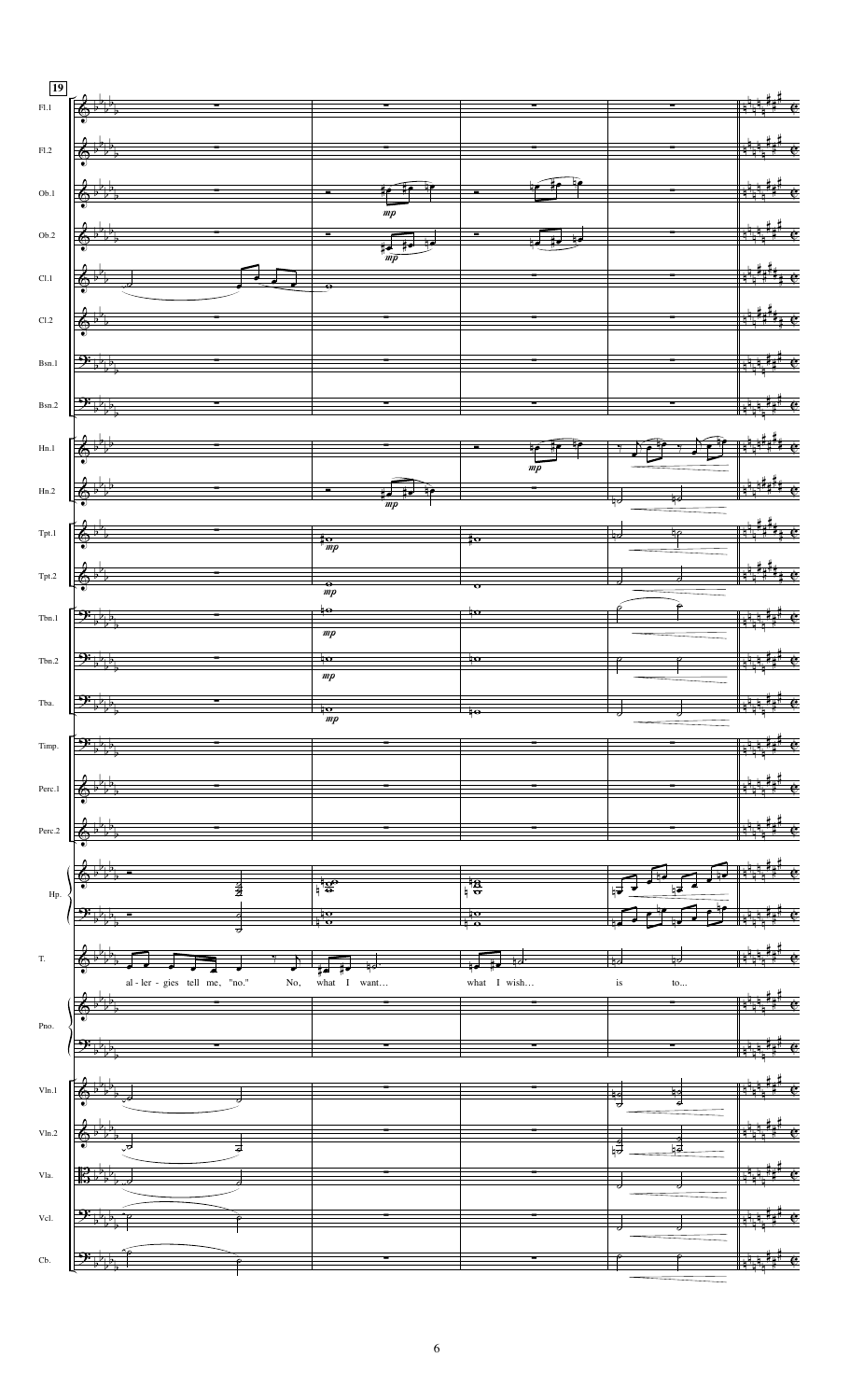| $\boxed{19}$          |                                             |                               |                                             |                                |                                                                                        |
|-----------------------|---------------------------------------------|-------------------------------|---------------------------------------------|--------------------------------|----------------------------------------------------------------------------------------|
| $\rm{F}l.1$           |                                             |                               |                                             |                                | ╅╬╬╈<br>$\overline{\mathbf{e}}$                                                        |
|                       |                                             |                               |                                             |                                |                                                                                        |
|                       |                                             |                               |                                             |                                |                                                                                        |
| F1.2                  | 合理                                          |                               |                                             |                                | ╶╘┸╘╕ <sup>╒</sup> ┢╫<br>$\overline{\mathbf{e}}$                                       |
|                       |                                             |                               |                                             |                                |                                                                                        |
|                       |                                             |                               |                                             |                                |                                                                                        |
| Ob.1                  | $\Phi^\sharp$                               | ⊭                             | ⋕∙<br>p.                                    |                                | ┇ <sup>╕</sup> ┇ <sup>╕</sup> ┇ <sup>╤</sup> ╈ <sup>╇</sup><br>$\overline{\mathbf{e}}$ |
|                       |                                             |                               |                                             |                                |                                                                                        |
|                       |                                             | $\it{mp}$                     |                                             |                                |                                                                                        |
|                       |                                             |                               |                                             |                                |                                                                                        |
| $_{\rm Ob.2}$         | $6^{5}$                                     | $\frac{1}{\frac{1}{mp}}$<br>F | $\overline{\mathbf{F}}$<br>$\sharp \bullet$ |                                | المالط<br>$\overline{\mathbf{e}}$                                                      |
|                       | $\bullet$                                   |                               |                                             |                                |                                                                                        |
|                       |                                             |                               |                                             |                                |                                                                                        |
| $\mathop{\rm Cl}{.1}$ |                                             | $\ddot{\phantom{0}}$          |                                             |                                |                                                                                        |
|                       |                                             |                               |                                             |                                |                                                                                        |
|                       |                                             |                               |                                             |                                |                                                                                        |
| $\rm Cl.2$            | $\phi^{\beta}$                              |                               |                                             |                                | <b>प्∰</b><br>$\overline{\mathbf{e}}$                                                  |
|                       |                                             |                               |                                             |                                |                                                                                        |
|                       |                                             |                               |                                             |                                |                                                                                        |
| $_{\rm Bsn.1}$        | $\mathbf{9}$                                |                               |                                             |                                | ` <del>4</del> ⊥≒## ¢                                                                  |
|                       |                                             |                               |                                             |                                |                                                                                        |
|                       |                                             |                               |                                             |                                |                                                                                        |
| $_{\rm Bsn.2}$        | $9 - \frac{1}{2}$                           |                               |                                             |                                | ╎┪ <sub>┧</sub> ┪ <i>⋕╫</i><br>╎┪┧╕╃╈ <sup>╫</sup>                                     |
|                       |                                             |                               |                                             |                                |                                                                                        |
|                       |                                             |                               |                                             |                                |                                                                                        |
| Hn.1                  | $\bigoplus$                                 |                               | ₣                                           |                                |                                                                                        |
|                       |                                             |                               |                                             |                                |                                                                                        |
|                       |                                             |                               | $\overline{mp}$                             |                                |                                                                                        |
| $_{\rm Hn.2}$         | $\phi^{\nu}$                                |                               |                                             |                                | ╫                                                                                      |
|                       |                                             | ₽<br>$\frac{1}{\frac{p}{mp}}$ |                                             | $\overline{\mathbb{F}}$<br>क्त |                                                                                        |
|                       |                                             |                               |                                             |                                |                                                                                        |
|                       |                                             |                               |                                             |                                | सी                                                                                     |
| $_\mathrm{Tpt.1}$     | $\Phi^{\triangleright}$                     | $\frac{1}{\frac{1}{mp}}$      | $\frac{1}{40}$                              | $\mathsf{h}$<br>₩              |                                                                                        |
|                       |                                             |                               |                                             |                                |                                                                                        |
|                       |                                             |                               |                                             |                                | $\frac{1}{4}$                                                                          |
| $_\mathrm{Tpt.2}$     | 合当                                          |                               | $\sigma$                                    |                                |                                                                                        |
|                       |                                             | $\frac{\Theta}{mp}$           |                                             |                                |                                                                                        |
|                       |                                             | $\overline{\bullet}$          |                                             |                                |                                                                                        |
| $\mathrm{Tbn.1}$      | $[2^{\cdot} \frac{1}{2^{\cdot}}]_+^{\flat}$ |                               |                                             |                                |                                                                                        |
|                       |                                             | $\overline{mp}$               |                                             |                                |                                                                                        |
|                       |                                             |                               |                                             |                                |                                                                                        |
| $_{\rm Tbn.2}$        | $\mathbf{P}_{\mathbf{p}}$                   | $\frac{1}{2}$                 | $\frac{1}{4}$                               | ρ                              | ╎ <u>╘╘┇╫</u><br>╘╕╘╘┋╫                                                                |
|                       |                                             | $\overline{\mathit{mp}}$      |                                             |                                |                                                                                        |
|                       |                                             |                               |                                             |                                |                                                                                        |
| Tba.                  | 9:1<br>۰.                                   |                               |                                             | T                              | ╫╌╘╌╘ <b>┋</b> ╈╇╌┲                                                                    |
|                       | Þ.                                          | ‡σ<br>mp                      |                                             |                                |                                                                                        |
|                       |                                             |                               |                                             |                                |                                                                                        |
| Timp.                 | $\mathcal{P}$ , by                          |                               |                                             |                                | 팪                                                                                      |
|                       |                                             |                               |                                             |                                |                                                                                        |
|                       |                                             |                               |                                             |                                |                                                                                        |
| Perc.1                |                                             |                               |                                             |                                | h                                                                                      |
|                       |                                             |                               |                                             |                                |                                                                                        |
|                       |                                             |                               |                                             |                                |                                                                                        |
| Perc.2                |                                             |                               |                                             |                                | ٣                                                                                      |
|                       |                                             |                               |                                             |                                |                                                                                        |
|                       |                                             |                               |                                             |                                |                                                                                        |
|                       |                                             |                               |                                             |                                |                                                                                        |
|                       |                                             | $\frac{1}{4}$                 |                                             |                                |                                                                                        |
| Hp.                   | र्नु                                        |                               | $\frac{1}{4}$                               | ξŪ                             |                                                                                        |
|                       |                                             | ە‡                            |                                             |                                |                                                                                        |
|                       |                                             | ە⊬                            | <b>The</b>                                  |                                |                                                                                        |
|                       | z                                           |                               |                                             |                                |                                                                                        |
| $\mathbf T.$          |                                             |                               |                                             |                                | ť                                                                                      |
|                       |                                             | ħ<br>IJ                       | ₩                                           | ۳q<br>40                       |                                                                                        |
|                       | al-ler-gies tell me, "no."<br>$\rm No,$     | what I want                   | what $\;$ I wish                            | is<br>to                       |                                                                                        |
|                       |                                             |                               |                                             |                                |                                                                                        |
|                       |                                             |                               |                                             |                                |                                                                                        |
| Pno.                  |                                             |                               |                                             |                                |                                                                                        |
|                       |                                             |                               |                                             |                                |                                                                                        |
|                       | स्कृ                                        |                               |                                             |                                |                                                                                        |
|                       |                                             |                               |                                             |                                |                                                                                        |
|                       |                                             |                               |                                             |                                |                                                                                        |
| Vln.1                 |                                             |                               |                                             | $\frac{1}{2}$                  |                                                                                        |
|                       |                                             |                               |                                             | म्<br>ज<br>ब                   |                                                                                        |
|                       |                                             |                               |                                             |                                |                                                                                        |
| $_{\rm Vln.2}$        |                                             |                               |                                             |                                | ₩                                                                                      |
|                       |                                             |                               |                                             | 司                              |                                                                                        |
|                       |                                             |                               |                                             | hə                             |                                                                                        |
| Vla.                  |                                             |                               |                                             |                                |                                                                                        |
|                       | $\mathbb{B}^p$                              |                               |                                             |                                |                                                                                        |
|                       |                                             |                               |                                             |                                |                                                                                        |
|                       |                                             |                               |                                             |                                |                                                                                        |
| $\mbox{Vcl.}$         | $\mathbb{D}_+$                              |                               |                                             |                                |                                                                                        |
|                       |                                             |                               |                                             |                                |                                                                                        |
|                       |                                             |                               |                                             |                                |                                                                                        |
| $\mathbf C\mathbf b.$ | ਸ਼ੱਦ                                        |                               |                                             |                                | सं                                                                                     |
|                       |                                             |                               |                                             |                                |                                                                                        |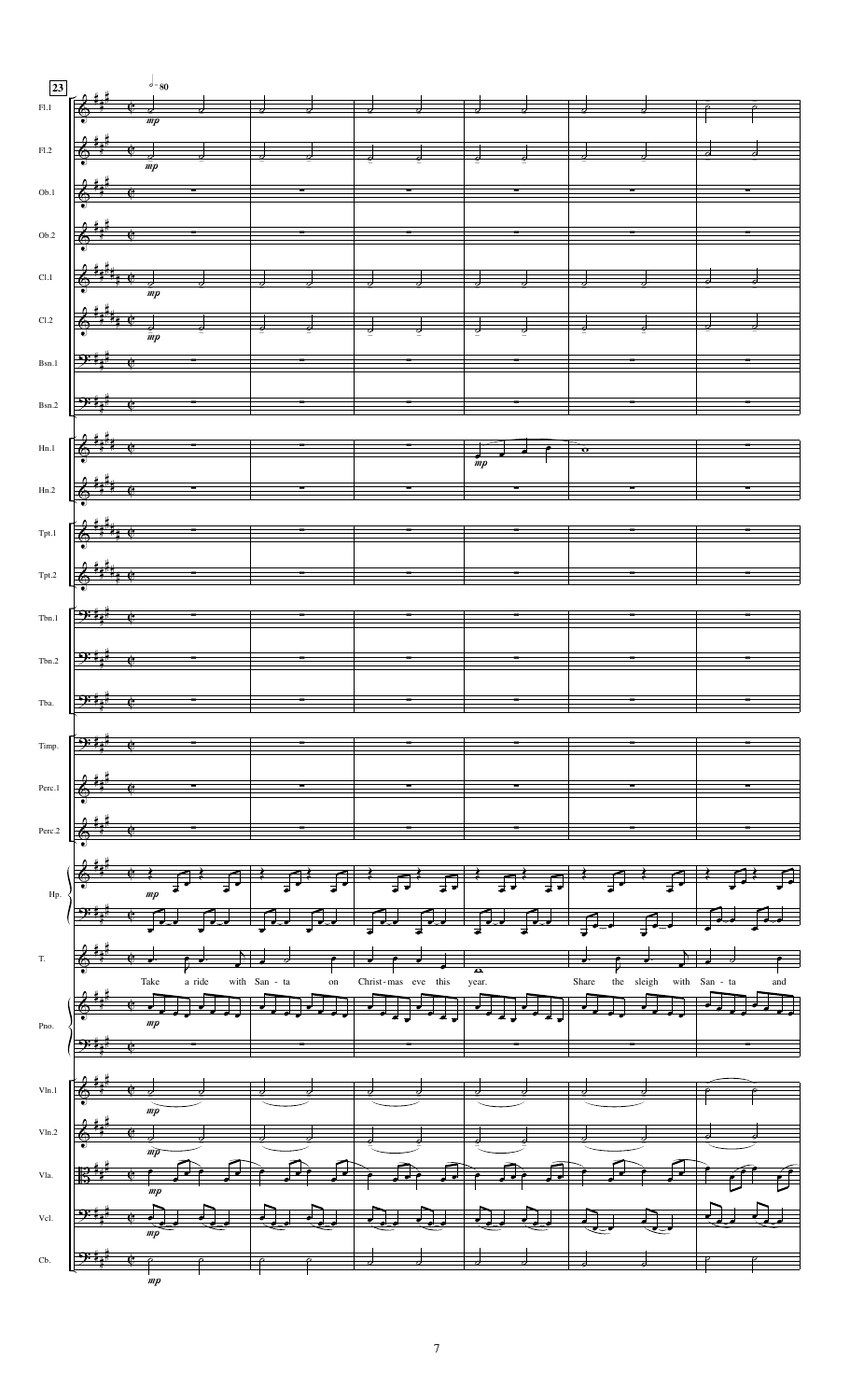

7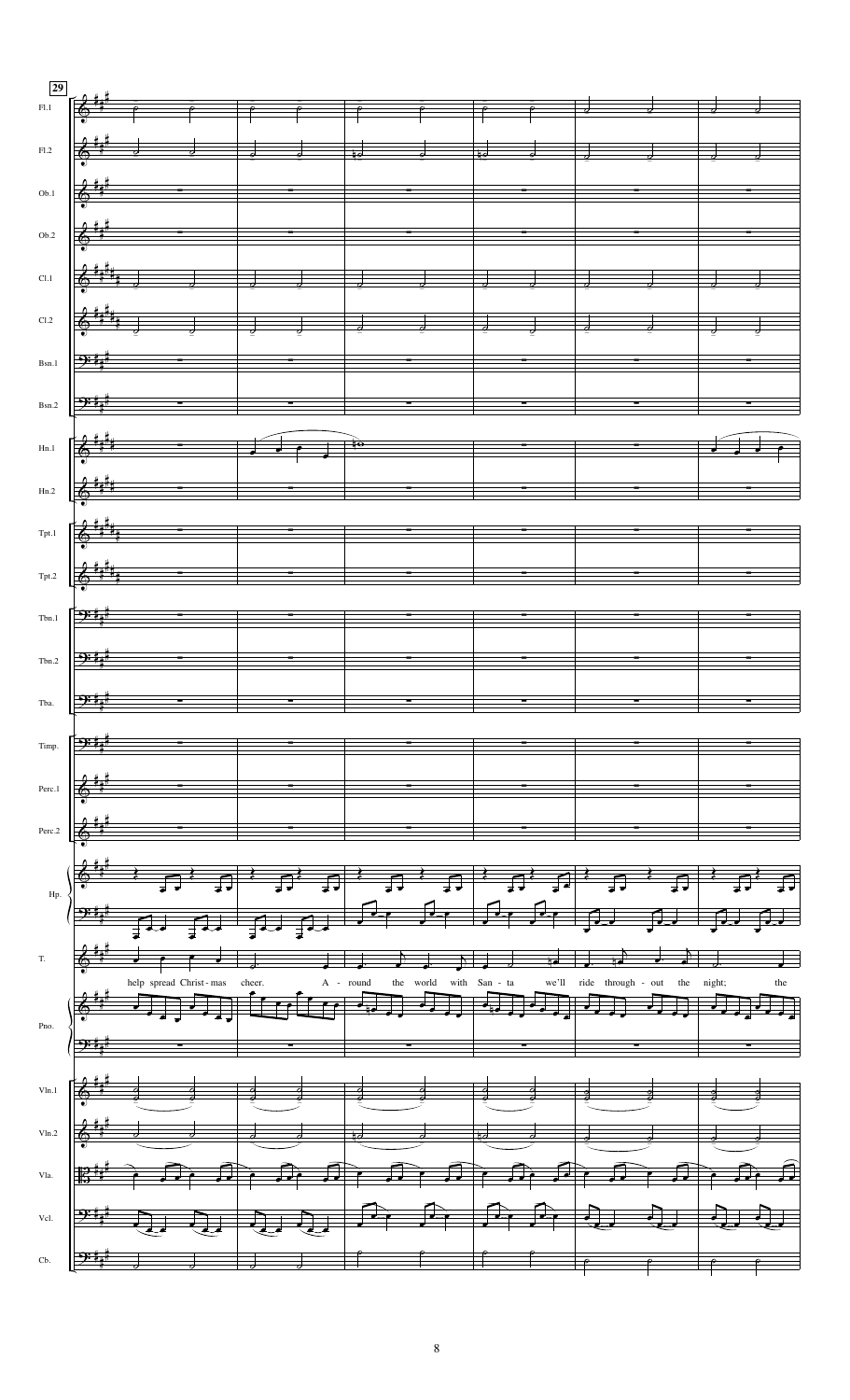| $\boxed{29}$   |                                                                                                                                                                                                                                                                                                                     |                |                                                                       |               |                               |               |
|----------------|---------------------------------------------------------------------------------------------------------------------------------------------------------------------------------------------------------------------------------------------------------------------------------------------------------------------|----------------|-----------------------------------------------------------------------|---------------|-------------------------------|---------------|
| F1.1           |                                                                                                                                                                                                                                                                                                                     |                |                                                                       |               |                               |               |
| F1.2           | $\begin{array}{c} \begin{array}{c} \begin{array}{c} \end{array} \\ \begin{array}{c} \end{array} \end{array}$                                                                                                                                                                                                        |                | $\frac{1}{2}$ $\frac{1}{2}$ $\frac{1}{2}$ $\frac{1}{2}$ $\frac{1}{2}$ |               |                               |               |
| Ob.1           | $e^{i\pi}$                                                                                                                                                                                                                                                                                                          |                |                                                                       |               |                               |               |
| Ob.2           | $\oint_{\mathcal{O}} \frac{t}{t} dt$                                                                                                                                                                                                                                                                                |                |                                                                       |               |                               |               |
| CL1            |                                                                                                                                                                                                                                                                                                                     |                |                                                                       |               |                               |               |
| Cl.2           |                                                                                                                                                                                                                                                                                                                     |                |                                                                       |               |                               |               |
| Bsn.1          |                                                                                                                                                                                                                                                                                                                     |                |                                                                       |               |                               | $\frac{1}{2}$ |
|                |                                                                                                                                                                                                                                                                                                                     |                |                                                                       |               |                               |               |
| Bsn.2          | 9:1                                                                                                                                                                                                                                                                                                                 |                | $\frac{1}{\sqrt{2}}$                                                  |               |                               |               |
| Hn.1           | $\frac{1}{2}$ $\frac{1}{2}$ $\frac{1}{2}$ $\frac{1}{2}$ $\frac{1}{2}$ $\frac{1}{2}$ $\frac{1}{2}$ $\frac{1}{2}$ $\frac{1}{2}$ $\frac{1}{2}$ $\frac{1}{2}$ $\frac{1}{2}$ $\frac{1}{2}$ $\frac{1}{2}$ $\frac{1}{2}$ $\frac{1}{2}$ $\frac{1}{2}$ $\frac{1}{2}$ $\frac{1}{2}$ $\frac{1}{2}$ $\frac{1}{2}$ $\frac{1}{2}$ |                |                                                                       |               |                               |               |
| Hn.2           | $\frac{2}{3}$ , $\frac{4}{3}$ , $\frac{4}{3}$ , $\frac{4}{3}$ , $\frac{4}{3}$ , $\frac{4}{3}$ , $\frac{4}{3}$ , $\frac{4}{3}$ , $\frac{4}{3}$ , $\frac{4}{3}$                                                                                                                                                       |                |                                                                       |               |                               |               |
| Tpt.1          | $\left  \left  \frac{\partial}{\partial y} + \frac{\partial}{\partial y} + \frac{\partial}{\partial z} \right  \right $                                                                                                                                                                                             |                |                                                                       |               |                               |               |
| Tpt.2          |                                                                                                                                                                                                                                                                                                                     |                |                                                                       |               |                               |               |
| Tbn.1          |                                                                                                                                                                                                                                                                                                                     |                |                                                                       |               |                               |               |
| Tbn.2          | 9:1                                                                                                                                                                                                                                                                                                                 |                |                                                                       |               |                               |               |
| Tba.           | $\big  \big]$ $\big $ $\big $ $\big $ $\big $ $\big $ $\big $ $\big $                                                                                                                                                                                                                                               |                |                                                                       |               |                               |               |
| Timp.          |                                                                                                                                                                                                                                                                                                                     |                |                                                                       |               |                               |               |
| Perc.1         |                                                                                                                                                                                                                                                                                                                     |                |                                                                       |               |                               |               |
|                | Perc. 2 $\frac{7}{10}$ $\frac{7}{10}$ $\frac{7}{10}$ $\frac{7}{10}$ $\frac{7}{10}$ $\frac{7}{10}$ $\frac{7}{10}$ $\frac{7}{10}$ $\frac{7}{10}$ $\frac{7}{10}$ $\frac{7}{10}$ $\frac{7}{10}$ $\frac{7}{10}$ $\frac{7}{10}$ $\frac{7}{10}$ $\frac{7}{10}$ $\frac{7}{10}$ $\frac{7}{10}$ $\frac{7}{10}$ $\frac{$       | $\blacksquare$ |                                                                       |               |                               |               |
|                |                                                                                                                                                                                                                                                                                                                     |                |                                                                       |               |                               |               |
|                |                                                                                                                                                                                                                                                                                                                     |                |                                                                       |               |                               |               |
| T.             |                                                                                                                                                                                                                                                                                                                     |                |                                                                       |               |                               |               |
|                | Referred Christ-mas cheer. A round the world with San - ta we'll                                                                                                                                                                                                                                                    |                |                                                                       | we'll         | ride through - out the night; |               |
| Pno.           | $\frac{1}{2}$ $\frac{1}{2}$ $\frac{1}{2}$ $\frac{1}{2}$ $\frac{1}{2}$ $\frac{1}{2}$ $\frac{1}{2}$ $\frac{1}{2}$ $\frac{1}{2}$ $\frac{1}{2}$ $\frac{1}{2}$ $\frac{1}{2}$ $\frac{1}{2}$ $\frac{1}{2}$ $\frac{1}{2}$ $\frac{1}{2}$ $\frac{1}{2}$ $\frac{1}{2}$ $\frac{1}{2}$ $\frac{1}{2}$ $\frac{1}{2}$ $\frac{1}{2}$ |                |                                                                       |               |                               |               |
|                |                                                                                                                                                                                                                                                                                                                     |                |                                                                       |               |                               |               |
| $_{\rm Vln.1}$ |                                                                                                                                                                                                                                                                                                                     |                |                                                                       | $\frac{1}{3}$ |                               |               |
| Vln.2          | $\frac{2}{3}$ $\frac{4}{3}$ $\frac{1}{2}$ $\frac{1}{2}$ $\frac{1}{2}$ $\frac{1}{2}$ $\frac{1}{2}$ $\frac{1}{2}$ $\frac{1}{2}$ $\frac{1}{2}$                                                                                                                                                                         |                |                                                                       |               |                               |               |
| $_{\rm Vla.}$  | $\mathbb{B}^{\frac{1}{2}}$ , $\widehat{D}$ , $\widehat{D}$ , $\widehat{D}$ , $\widehat{D}$ , $\widehat{D}$ , $\widehat{D}$ , $\widehat{D}$ , $\widehat{D}$ , $\widehat{D}$ , $\widehat{D}$ , $\widehat{D}$ , $\widehat{D}$                                                                                          |                |                                                                       |               |                               |               |
| $\rm{Vcl.}$    | $\left  \frac{9000}{2} \right $ , $\left  \frac{1}{2} \right $ , $\left  \frac{1}{2} \right $ , $\left  \frac{1}{2} \right $ , $\left  \frac{1}{2} \right $ , $\left  \frac{1}{2} \right $ , $\left  \frac{1}{2} \right $                                                                                           |                |                                                                       |               |                               |               |
|                | $9:$ $\frac{4}{9}$ $\frac{4}{9}$ $\frac{4}{9}$ $\frac{4}{9}$ $\frac{4}{9}$                                                                                                                                                                                                                                          |                |                                                                       |               |                               |               |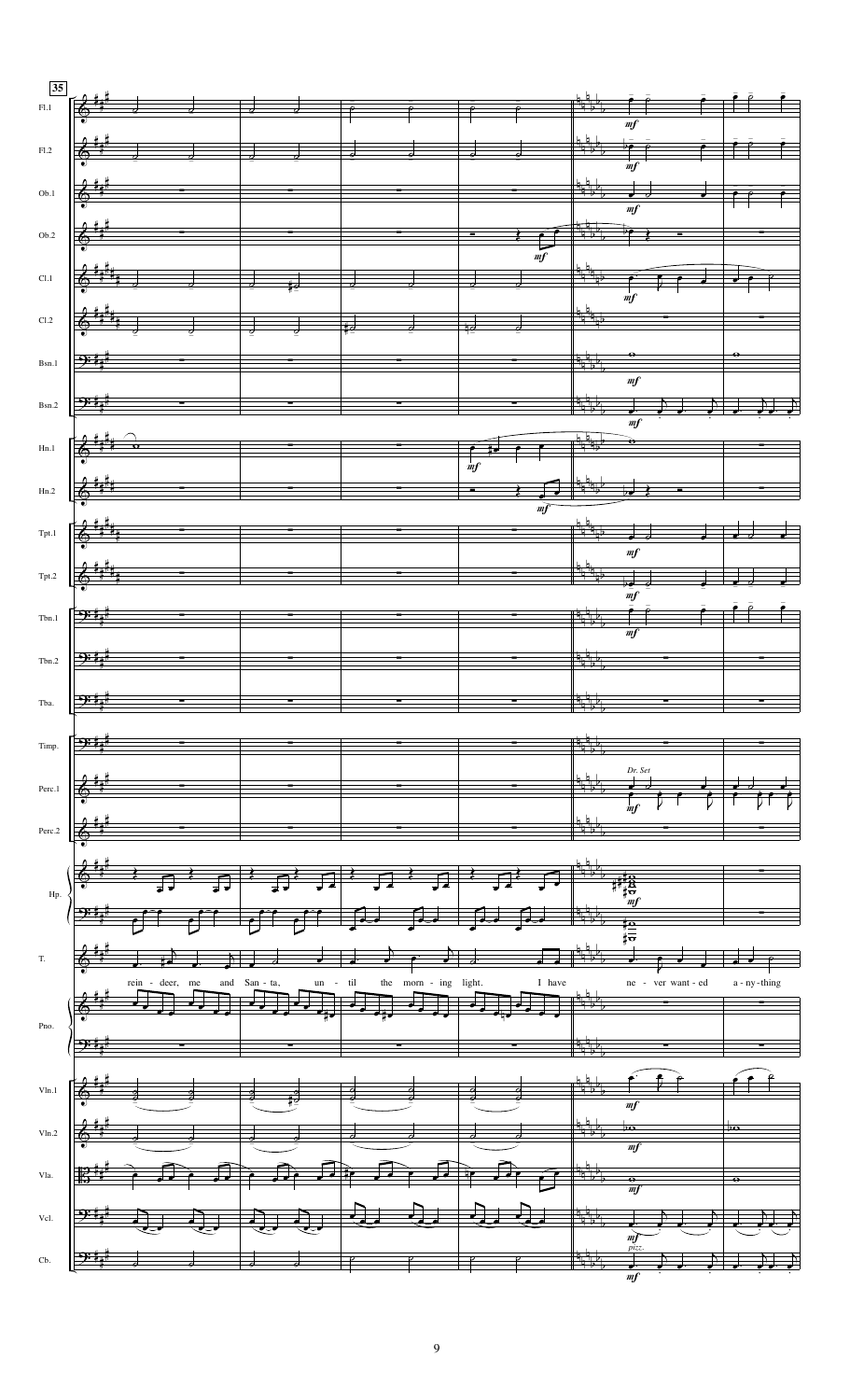| 35                     |                                                                                                                               |                                                                                                                                                                                                                                                                                                                                                                                                                                               |                                           |                          |                                                                                                                                                                                                                                                                                                                                                                                                                                                                                                                                                                                   |                |                          |
|------------------------|-------------------------------------------------------------------------------------------------------------------------------|-----------------------------------------------------------------------------------------------------------------------------------------------------------------------------------------------------------------------------------------------------------------------------------------------------------------------------------------------------------------------------------------------------------------------------------------------|-------------------------------------------|--------------------------|-----------------------------------------------------------------------------------------------------------------------------------------------------------------------------------------------------------------------------------------------------------------------------------------------------------------------------------------------------------------------------------------------------------------------------------------------------------------------------------------------------------------------------------------------------------------------------------|----------------|--------------------------|
| F1.1                   | $\overline{\phi}$                                                                                                             | $\overline{\phantom{a}}$                                                                                                                                                                                                                                                                                                                                                                                                                      |                                           |                          | ╙┪╠┖                                                                                                                                                                                                                                                                                                                                                                                                                                                                                                                                                                              |                |                          |
|                        |                                                                                                                               |                                                                                                                                                                                                                                                                                                                                                                                                                                               |                                           |                          | $\overline{\mathit{mf}}$                                                                                                                                                                                                                                                                                                                                                                                                                                                                                                                                                          |                |                          |
| $\rm{F}l.2$            | $\overline{\phantom{a}}$                                                                                                      | $\overline{\phantom{a}}$<br>$\frac{1}{2}$                                                                                                                                                                                                                                                                                                                                                                                                     | $\overline{\phantom{a}}$                  |                          | <u>Ҹ┧</u>                                                                                                                                                                                                                                                                                                                                                                                                                                                                                                                                                                         |                |                          |
|                        |                                                                                                                               |                                                                                                                                                                                                                                                                                                                                                                                                                                               |                                           |                          | m f                                                                                                                                                                                                                                                                                                                                                                                                                                                                                                                                                                               |                |                          |
| Ob.1                   |                                                                                                                               | $\overline{\phantom{a}}$                                                                                                                                                                                                                                                                                                                                                                                                                      | $\blacksquare$                            |                          |                                                                                                                                                                                                                                                                                                                                                                                                                                                                                                                                                                                   |                | $\overline{\mathcal{C}}$ |
|                        |                                                                                                                               |                                                                                                                                                                                                                                                                                                                                                                                                                                               |                                           |                          | $\overline{mf}$                                                                                                                                                                                                                                                                                                                                                                                                                                                                                                                                                                   |                |                          |
| Ob.2                   |                                                                                                                               |                                                                                                                                                                                                                                                                                                                                                                                                                                               |                                           | $\blacksquare$           | 甀                                                                                                                                                                                                                                                                                                                                                                                                                                                                                                                                                                                 |                |                          |
|                        |                                                                                                                               |                                                                                                                                                                                                                                                                                                                                                                                                                                               |                                           |                          |                                                                                                                                                                                                                                                                                                                                                                                                                                                                                                                                                                                   |                |                          |
|                        |                                                                                                                               |                                                                                                                                                                                                                                                                                                                                                                                                                                               |                                           | $\mathit{mf}$            |                                                                                                                                                                                                                                                                                                                                                                                                                                                                                                                                                                                   |                |                          |
| Cl.1                   | $\overline{\phantom{a}}$                                                                                                      | 妻<br>$\overline{\phantom{a}}$<br>$\frac{1}{10}$                                                                                                                                                                                                                                                                                                                                                                                               | $\frac{1}{2}$                             | $\overline{\phantom{a}}$ | $\begin{array}{c}\n\hline\n\equiv\cr\n\text{mf}\n\end{array}$                                                                                                                                                                                                                                                                                                                                                                                                                                                                                                                     | $\mathfrak{p}$ | $\bullet$                |
|                        |                                                                                                                               |                                                                                                                                                                                                                                                                                                                                                                                                                                               |                                           |                          |                                                                                                                                                                                                                                                                                                                                                                                                                                                                                                                                                                                   |                |                          |
| $\rm Cl.2$             |                                                                                                                               | $\frac{1}{2}$<br>$\frac{1}{\frac{1}{2}}$                                                                                                                                                                                                                                                                                                                                                                                                      |                                           | $\frac{1}{4}$            | ╎ <sup>Ⴉ</sup> ╻╹╻╻                                                                                                                                                                                                                                                                                                                                                                                                                                                                                                                                                               |                |                          |
|                        |                                                                                                                               |                                                                                                                                                                                                                                                                                                                                                                                                                                               |                                           |                          |                                                                                                                                                                                                                                                                                                                                                                                                                                                                                                                                                                                   |                |                          |
| Bsn.1                  | 2:1                                                                                                                           |                                                                                                                                                                                                                                                                                                                                                                                                                                               |                                           |                          | ┺╅┡┦                                                                                                                                                                                                                                                                                                                                                                                                                                                                                                                                                                              |                |                          |
|                        |                                                                                                                               |                                                                                                                                                                                                                                                                                                                                                                                                                                               |                                           |                          | m f                                                                                                                                                                                                                                                                                                                                                                                                                                                                                                                                                                               |                |                          |
| $_{\rm Bsn.2}$         |                                                                                                                               |                                                                                                                                                                                                                                                                                                                                                                                                                                               |                                           |                          | ┺╅┺╒                                                                                                                                                                                                                                                                                                                                                                                                                                                                                                                                                                              |                |                          |
|                        |                                                                                                                               |                                                                                                                                                                                                                                                                                                                                                                                                                                               |                                           |                          | m f                                                                                                                                                                                                                                                                                                                                                                                                                                                                                                                                                                               |                |                          |
| Hn.1                   | $\frac{1}{\alpha}$                                                                                                            |                                                                                                                                                                                                                                                                                                                                                                                                                                               | $\frac{1}{\sqrt{2}}$                      |                          | <del>╖╙┪╙</del> ╈                                                                                                                                                                                                                                                                                                                                                                                                                                                                                                                                                                 |                |                          |
|                        |                                                                                                                               |                                                                                                                                                                                                                                                                                                                                                                                                                                               |                                           | $\frac{1}{\frac{1}{m}f}$ |                                                                                                                                                                                                                                                                                                                                                                                                                                                                                                                                                                                   |                |                          |
| Hn.2                   |                                                                                                                               |                                                                                                                                                                                                                                                                                                                                                                                                                                               |                                           | $\overline{\phantom{a}}$ |                                                                                                                                                                                                                                                                                                                                                                                                                                                                                                                                                                                   |                |                          |
|                        |                                                                                                                               |                                                                                                                                                                                                                                                                                                                                                                                                                                               |                                           | m f                      |                                                                                                                                                                                                                                                                                                                                                                                                                                                                                                                                                                                   |                |                          |
|                        |                                                                                                                               |                                                                                                                                                                                                                                                                                                                                                                                                                                               | $\overline{\phantom{a}}$                  |                          |                                                                                                                                                                                                                                                                                                                                                                                                                                                                                                                                                                                   |                |                          |
| Tpt.1                  |                                                                                                                               | $\overline{\phantom{a}}$ , $\overline{\phantom{a}}$ , $\overline{\phantom{a}}$ , $\overline{\phantom{a}}$ , $\overline{\phantom{a}}$ , $\overline{\phantom{a}}$ , $\overline{\phantom{a}}$ , $\overline{\phantom{a}}$ , $\overline{\phantom{a}}$ , $\overline{\phantom{a}}$ , $\overline{\phantom{a}}$ , $\overline{\phantom{a}}$ , $\overline{\phantom{a}}$ , $\overline{\phantom{a}}$ , $\overline{\phantom{a}}$ , $\overline{\phantom{a}}$ |                                           |                          | m f                                                                                                                                                                                                                                                                                                                                                                                                                                                                                                                                                                               |                |                          |
|                        |                                                                                                                               |                                                                                                                                                                                                                                                                                                                                                                                                                                               |                                           |                          |                                                                                                                                                                                                                                                                                                                                                                                                                                                                                                                                                                                   |                |                          |
| $\operatorname{Tpt.2}$ |                                                                                                                               |                                                                                                                                                                                                                                                                                                                                                                                                                                               |                                           |                          | <u>Ҹ┰</u> Ҹ <sub>Ѭ</sub>                                                                                                                                                                                                                                                                                                                                                                                                                                                                                                                                                          |                |                          |
|                        |                                                                                                                               |                                                                                                                                                                                                                                                                                                                                                                                                                                               |                                           |                          | $\bar{m}f$                                                                                                                                                                                                                                                                                                                                                                                                                                                                                                                                                                        |                |                          |
| $\mathrm{Tbn.1}$       |                                                                                                                               |                                                                                                                                                                                                                                                                                                                                                                                                                                               |                                           |                          | ┺╅╬┙                                                                                                                                                                                                                                                                                                                                                                                                                                                                                                                                                                              |                |                          |
|                        |                                                                                                                               |                                                                                                                                                                                                                                                                                                                                                                                                                                               |                                           |                          | $\overline{mf}$                                                                                                                                                                                                                                                                                                                                                                                                                                                                                                                                                                   |                |                          |
| Tbn.2                  | 9:1                                                                                                                           |                                                                                                                                                                                                                                                                                                                                                                                                                                               |                                           |                          | $\frac{1}{4}$                                                                                                                                                                                                                                                                                                                                                                                                                                                                                                                                                                     |                |                          |
|                        |                                                                                                                               |                                                                                                                                                                                                                                                                                                                                                                                                                                               |                                           |                          |                                                                                                                                                                                                                                                                                                                                                                                                                                                                                                                                                                                   |                |                          |
| Tba.                   | $\mathbf{P}$                                                                                                                  |                                                                                                                                                                                                                                                                                                                                                                                                                                               |                                           |                          | ╟┇╻╙╻╘╷                                                                                                                                                                                                                                                                                                                                                                                                                                                                                                                                                                           |                |                          |
|                        |                                                                                                                               |                                                                                                                                                                                                                                                                                                                                                                                                                                               |                                           |                          |                                                                                                                                                                                                                                                                                                                                                                                                                                                                                                                                                                                   |                |                          |
| Timp.                  |                                                                                                                               |                                                                                                                                                                                                                                                                                                                                                                                                                                               |                                           |                          |                                                                                                                                                                                                                                                                                                                                                                                                                                                                                                                                                                                   |                |                          |
|                        |                                                                                                                               |                                                                                                                                                                                                                                                                                                                                                                                                                                               |                                           |                          |                                                                                                                                                                                                                                                                                                                                                                                                                                                                                                                                                                                   |                |                          |
| $\mbox{Perc.1}$        |                                                                                                                               |                                                                                                                                                                                                                                                                                                                                                                                                                                               |                                           |                          | Dr. Set                                                                                                                                                                                                                                                                                                                                                                                                                                                                                                                                                                           |                |                          |
|                        |                                                                                                                               |                                                                                                                                                                                                                                                                                                                                                                                                                                               |                                           |                          |                                                                                                                                                                                                                                                                                                                                                                                                                                                                                                                                                                                   |                |                          |
|                        |                                                                                                                               |                                                                                                                                                                                                                                                                                                                                                                                                                                               |                                           |                          |                                                                                                                                                                                                                                                                                                                                                                                                                                                                                                                                                                                   |                |                          |
| $\mbox{Perc.2}$        |                                                                                                                               |                                                                                                                                                                                                                                                                                                                                                                                                                                               |                                           |                          |                                                                                                                                                                                                                                                                                                                                                                                                                                                                                                                                                                                   |                |                          |
|                        |                                                                                                                               |                                                                                                                                                                                                                                                                                                                                                                                                                                               |                                           |                          |                                                                                                                                                                                                                                                                                                                                                                                                                                                                                                                                                                                   |                |                          |
|                        |                                                                                                                               |                                                                                                                                                                                                                                                                                                                                                                                                                                               |                                           |                          | $\begin{array}{c}\n\overline{\begin{array}{c}\n\overline{\begin{array}{c}\n\overline{\begin{array}{c}\n\overline{\begin{array}{c}\n\overline{\begin{array}{c}\n\overline{\begin{array}{c}\n\overline{\begin{array}{c}\n\overline{\begin{array}{c}\n\overline{\begin{array}{c}\n\overline{\begin{array}{c}\n\overline{\begin{array}{c}\n\overline{\begin{array}{c}\n\overline{\begin{array}{c}\n\overline{\begin{array}{c}\n\overline{\begin{array}{c}\n\overline{\begin{array}{c}\n\overline{\begin{array}{c}\n\overline{\begin{array}{c}\n\overline{\begin{array}{c}\n\overline$ |                |                          |
| Hp.                    |                                                                                                                               |                                                                                                                                                                                                                                                                                                                                                                                                                                               |                                           |                          |                                                                                                                                                                                                                                                                                                                                                                                                                                                                                                                                                                                   |                |                          |
|                        | 9:41                                                                                                                          |                                                                                                                                                                                                                                                                                                                                                                                                                                               |                                           |                          |                                                                                                                                                                                                                                                                                                                                                                                                                                                                                                                                                                                   |                |                          |
|                        |                                                                                                                               |                                                                                                                                                                                                                                                                                                                                                                                                                                               |                                           |                          | ļσ                                                                                                                                                                                                                                                                                                                                                                                                                                                                                                                                                                                |                |                          |
| $\mathbf T.$           | $\frac{1}{\epsilon}$ $\frac{1}{\epsilon}$ $\frac{1}{\epsilon}$ $\frac{1}{\epsilon}$ $\frac{1}{\epsilon}$ $\frac{1}{\epsilon}$ | $\equiv$ $\frac{1}{\sqrt{2}}$                                                                                                                                                                                                                                                                                                                                                                                                                 | $\frac{1}{2}$ $\frac{1}{2}$ $\frac{1}{2}$ |                          |                                                                                                                                                                                                                                                                                                                                                                                                                                                                                                                                                                                   |                |                          |
|                        | rein - deer, me                                                                                                               | and San - ta,                                                                                                                                                                                                                                                                                                                                                                                                                                 | the morn - ing light.<br>un - til         | $I$ have                 | $ne -$                                                                                                                                                                                                                                                                                                                                                                                                                                                                                                                                                                            | ver want - ed  | $a - ny - thing$         |
|                        |                                                                                                                               |                                                                                                                                                                                                                                                                                                                                                                                                                                               |                                           |                          |                                                                                                                                                                                                                                                                                                                                                                                                                                                                                                                                                                                   |                |                          |
| Pno.                   |                                                                                                                               |                                                                                                                                                                                                                                                                                                                                                                                                                                               |                                           |                          |                                                                                                                                                                                                                                                                                                                                                                                                                                                                                                                                                                                   |                |                          |
|                        | <u>ு:</u>                                                                                                                     |                                                                                                                                                                                                                                                                                                                                                                                                                                               |                                           |                          |                                                                                                                                                                                                                                                                                                                                                                                                                                                                                                                                                                                   |                |                          |
|                        |                                                                                                                               |                                                                                                                                                                                                                                                                                                                                                                                                                                               |                                           |                          |                                                                                                                                                                                                                                                                                                                                                                                                                                                                                                                                                                                   |                |                          |
|                        |                                                                                                                               |                                                                                                                                                                                                                                                                                                                                                                                                                                               |                                           |                          |                                                                                                                                                                                                                                                                                                                                                                                                                                                                                                                                                                                   |                |                          |
| $_{\rm Vln.1}$         |                                                                                                                               | $\Box$                                                                                                                                                                                                                                                                                                                                                                                                                                        |                                           |                          | m <sub>f</sub>                                                                                                                                                                                                                                                                                                                                                                                                                                                                                                                                                                    |                |                          |
|                        |                                                                                                                               |                                                                                                                                                                                                                                                                                                                                                                                                                                               |                                           |                          |                                                                                                                                                                                                                                                                                                                                                                                                                                                                                                                                                                                   |                |                          |
| Vln.2                  |                                                                                                                               |                                                                                                                                                                                                                                                                                                                                                                                                                                               |                                           |                          | ♭o                                                                                                                                                                                                                                                                                                                                                                                                                                                                                                                                                                                |                | →ο                       |
|                        |                                                                                                                               |                                                                                                                                                                                                                                                                                                                                                                                                                                               |                                           |                          | m f                                                                                                                                                                                                                                                                                                                                                                                                                                                                                                                                                                               |                |                          |
|                        |                                                                                                                               | $\sqrt{2}$                                                                                                                                                                                                                                                                                                                                                                                                                                    | $\sqrt{2}$                                | $\bigoplus$              | $\frac{\mathbf{a}_1\mathbf{b}_2}{\mathbf{b}_1\mathbf{b}_2}$<br>$\frac{\overline{}}{\frac{\Theta}{m f}}$                                                                                                                                                                                                                                                                                                                                                                                                                                                                           |                | $\bullet$                |
| Vla.                   |                                                                                                                               |                                                                                                                                                                                                                                                                                                                                                                                                                                               |                                           |                          |                                                                                                                                                                                                                                                                                                                                                                                                                                                                                                                                                                                   |                |                          |
|                        |                                                                                                                               |                                                                                                                                                                                                                                                                                                                                                                                                                                               |                                           |                          |                                                                                                                                                                                                                                                                                                                                                                                                                                                                                                                                                                                   |                |                          |
| Vcl.                   |                                                                                                                               |                                                                                                                                                                                                                                                                                                                                                                                                                                               |                                           |                          |                                                                                                                                                                                                                                                                                                                                                                                                                                                                                                                                                                                   |                |                          |
|                        |                                                                                                                               |                                                                                                                                                                                                                                                                                                                                                                                                                                               |                                           | $\frac{1}{2}$            | $\frac{1}{2}$<br>тj                                                                                                                                                                                                                                                                                                                                                                                                                                                                                                                                                               |                |                          |
| Cb                     |                                                                                                                               |                                                                                                                                                                                                                                                                                                                                                                                                                                               |                                           |                          | ╟┡╻╄╷╞<br>╟╵╙┩╞┚ <sub>┟</sub>                                                                                                                                                                                                                                                                                                                                                                                                                                                                                                                                                     |                |                          |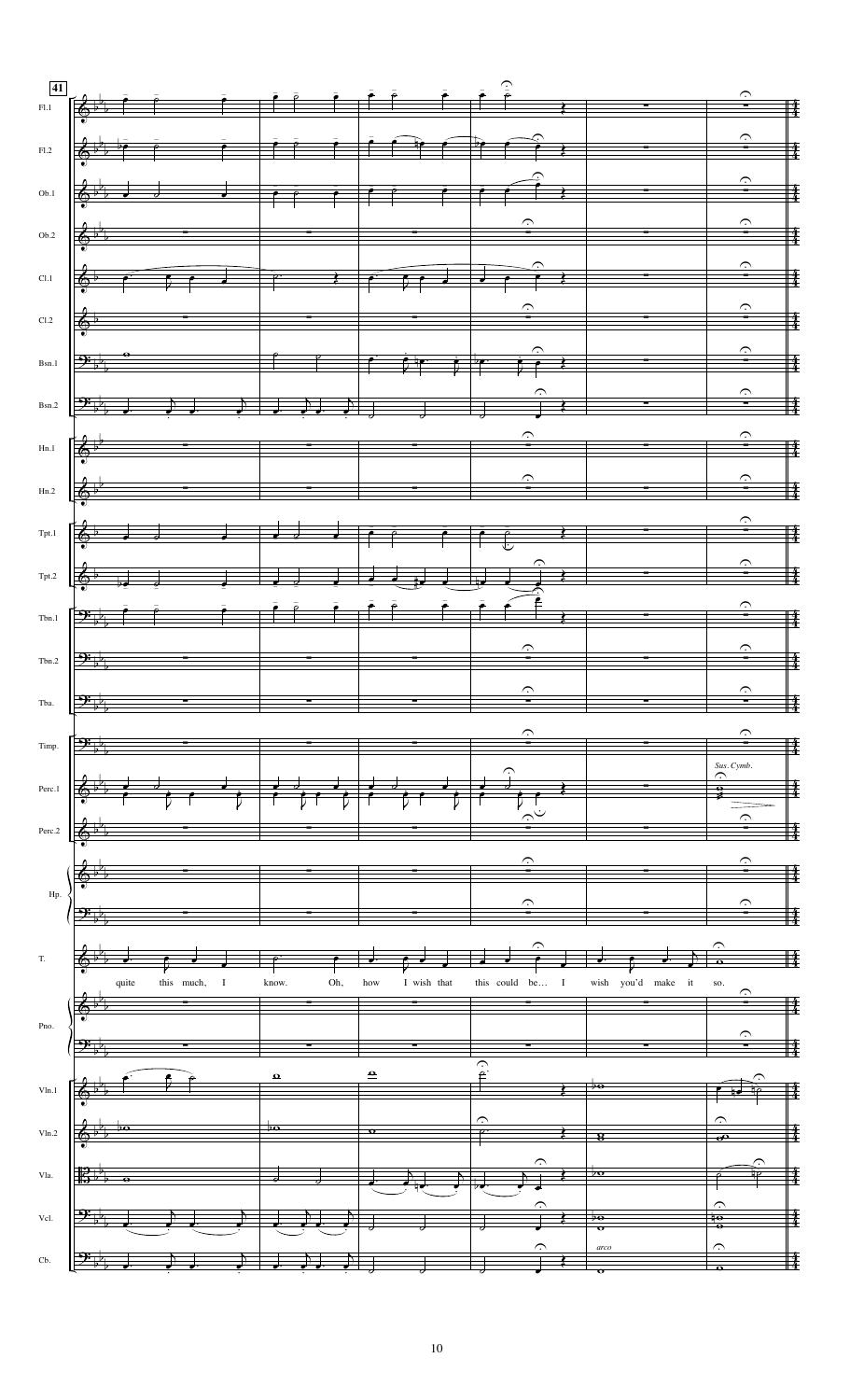| F1.2                   |                                           |               |              |                    |                        |                                                                                                                                                                                                                                                                                                                                                                                                                                                                   | ⋕                                  |
|------------------------|-------------------------------------------|---------------|--------------|--------------------|------------------------|-------------------------------------------------------------------------------------------------------------------------------------------------------------------------------------------------------------------------------------------------------------------------------------------------------------------------------------------------------------------------------------------------------------------------------------------------------------------|------------------------------------|
| Ob.1                   |                                           |               |              |                    |                        |                                                                                                                                                                                                                                                                                                                                                                                                                                                                   | $\frac{1}{4}$                      |
|                        |                                           |               |              |                    |                        |                                                                                                                                                                                                                                                                                                                                                                                                                                                                   |                                    |
| Ob.2                   |                                           |               |              |                    |                        | $\begin{picture}(180,10) \put(0,0){\vector(1,0){100}} \put(15,0){\vector(1,0){100}} \put(15,0){\vector(1,0){100}} \put(15,0){\vector(1,0){100}} \put(15,0){\vector(1,0){100}} \put(15,0){\vector(1,0){100}} \put(15,0){\vector(1,0){100}} \put(15,0){\vector(1,0){100}} \put(15,0){\vector(1,0){100}} \put(15,0){\vector(1,0){100}} \put(15,0){\vector(1,0){100}}$                                                                                                | $\frac{1}{4}$                      |
| Cl.1                   |                                           |               |              |                    |                        |                                                                                                                                                                                                                                                                                                                                                                                                                                                                   | $\frac{1}{4}$                      |
| Cl.2                   |                                           |               |              |                    |                        |                                                                                                                                                                                                                                                                                                                                                                                                                                                                   | $\frac{1}{4}$                      |
| Bsn.1                  |                                           |               |              |                    |                        |                                                                                                                                                                                                                                                                                                                                                                                                                                                                   | $\frac{1}{4}$                      |
|                        |                                           |               |              |                    |                        | $Bsn.2$ $\left[\frac{O+1}{100}\right]$                                                                                                                                                                                                                                                                                                                                                                                                                            |                                    |
|                        |                                           |               |              |                    |                        |                                                                                                                                                                                                                                                                                                                                                                                                                                                                   |                                    |
| $_{\text{Hn.1}}$       |                                           |               |              |                    |                        | $\begin{array}{ c c c c c }\hline \left\langle \left\langle \Phi\right\rangle ^{b} & \multicolumn{2}{c }{\Phi} & \multicolumn{2}{c }{\Phi} & \multicolumn{2}{c }{\Phi} & \multicolumn{2}{c }{\Phi} & \multicolumn{2}{c }{\Phi} & \multicolumn{2}{c }{\Phi} & \multicolumn{2}{c }{\Phi} & \multicolumn{2}{c }{\Phi} & \multicolumn{2}{c }{\Phi} & \multicolumn{2}{c }{\Phi} & \multicolumn{2}{c }{\Phi} & \multicolumn{2}{c }{\Phi} & \multicolumn{2}{c }{\Phi} &$ | $\frac{1}{4}$                      |
|                        |                                           |               |              |                    |                        | $Hn.2$ $\downarrow$ $\downarrow$ $\downarrow$ $\downarrow$ $\downarrow$ $\downarrow$ $\downarrow$ $\downarrow$                                                                                                                                                                                                                                                                                                                                                    |                                    |
|                        |                                           |               |              |                    |                        |                                                                                                                                                                                                                                                                                                                                                                                                                                                                   |                                    |
|                        |                                           |               |              |                    |                        |                                                                                                                                                                                                                                                                                                                                                                                                                                                                   |                                    |
| $\operatorname{Tpt.2}$ |                                           | $\frac{1}{2}$ |              |                    |                        | $\begin{array}{ c c c c c }\hline \text{\textcolor{red}{\bullet}} & \text{\textcolor{red}{\bullet}} & \text{\textcolor{red}{\bullet}} \\ \hline \text{\textcolor{red}{\bullet}} & \text{\textcolor{red}{\bullet}} & \text{\textcolor{red}{\bullet}} & \text{\textcolor{red}{\bullet}} \\ \hline \end{array}$                                                                                                                                                      |                                    |
| Tbn.1                  | $\mathcal{P}_{\mathcal{F}_{\mathcal{F}}}$ |               |              |                    |                        |                                                                                                                                                                                                                                                                                                                                                                                                                                                                   | $\overline{\mathbb{H}}$            |
| $_{\rm Tbn.2}$         |                                           |               |              |                    |                        |                                                                                                                                                                                                                                                                                                                                                                                                                                                                   | 彗                                  |
|                        |                                           |               |              |                    | $\widehat{\mathbb{C}}$ |                                                                                                                                                                                                                                                                                                                                                                                                                                                                   | $\widehat{\phantom{a}}$<br>$\perp$ |
| Tba.                   |                                           |               |              |                    |                        |                                                                                                                                                                                                                                                                                                                                                                                                                                                                   |                                    |
| Timp.                  |                                           |               |              |                    |                        |                                                                                                                                                                                                                                                                                                                                                                                                                                                                   | $\frac{1}{4}$                      |
|                        |                                           |               |              |                    |                        |                                                                                                                                                                                                                                                                                                                                                                                                                                                                   | Sus. Cymb.<br>G                    |
| Perc.1                 |                                           |               |              |                    |                        |                                                                                                                                                                                                                                                                                                                                                                                                                                                                   | $\frac{1}{4}$                      |
| Perc.2                 |                                           |               |              |                    |                        |                                                                                                                                                                                                                                                                                                                                                                                                                                                                   |                                    |
|                        |                                           |               |              |                    |                        |                                                                                                                                                                                                                                                                                                                                                                                                                                                                   | $\frac{1}{4}$                      |
| Hp.                    |                                           |               |              |                    |                        |                                                                                                                                                                                                                                                                                                                                                                                                                                                                   |                                    |
|                        |                                           |               |              |                    |                        |                                                                                                                                                                                                                                                                                                                                                                                                                                                                   |                                    |
| T.                     | quite                                     | this much,    | know.<br>Oh, | I wish that<br>how | this could<br>-1<br>be | wish you'd make<br>it                                                                                                                                                                                                                                                                                                                                                                                                                                             | SO.                                |
|                        |                                           |               |              |                    |                        |                                                                                                                                                                                                                                                                                                                                                                                                                                                                   |                                    |
| Pno.                   |                                           |               |              |                    |                        |                                                                                                                                                                                                                                                                                                                                                                                                                                                                   | Ğ,                                 |
|                        |                                           |               |              |                    | ⌒                      |                                                                                                                                                                                                                                                                                                                                                                                                                                                                   |                                    |
| Vln.1                  |                                           |               |              |                    |                        | –≽⊷                                                                                                                                                                                                                                                                                                                                                                                                                                                               | $\mathbb{H}^4$                     |
| Vln.2                  |                                           |               |              |                    |                        |                                                                                                                                                                                                                                                                                                                                                                                                                                                                   | $\frac{4}{4}$                      |
| Vla.                   |                                           |               |              |                    |                        | $\mathsf{p}\mathbf{o}$                                                                                                                                                                                                                                                                                                                                                                                                                                            | $\frac{1}{4}$                      |
|                        |                                           |               |              |                    |                        |                                                                                                                                                                                                                                                                                                                                                                                                                                                                   |                                    |
| Vcl.                   |                                           |               |              |                    |                        |                                                                                                                                                                                                                                                                                                                                                                                                                                                                   | $\frac{4}{4}$<br>⊧⊖                |
| Cb.                    |                                           |               |              |                    |                        | arco                                                                                                                                                                                                                                                                                                                                                                                                                                                              | ⌒                                  |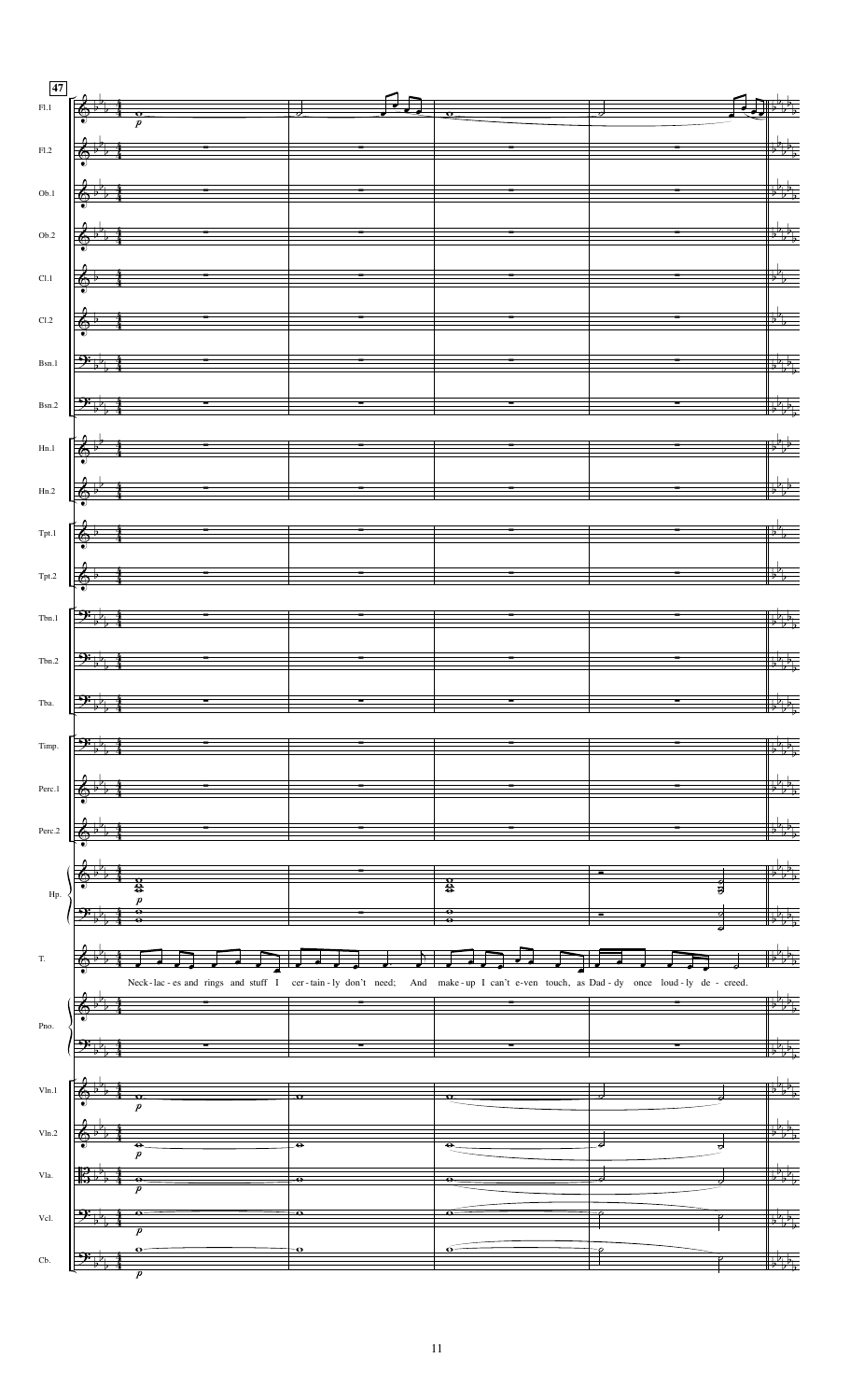| 47                      |                                           |                                                                                                                                                                                                                                                                                                                     |                      |                        |        |                                                                                                                                                                                                                                                                                                                                                                                                                                                                                                           |
|-------------------------|-------------------------------------------|---------------------------------------------------------------------------------------------------------------------------------------------------------------------------------------------------------------------------------------------------------------------------------------------------------------------|----------------------|------------------------|--------|-----------------------------------------------------------------------------------------------------------------------------------------------------------------------------------------------------------------------------------------------------------------------------------------------------------------------------------------------------------------------------------------------------------------------------------------------------------------------------------------------------------|
| $\rm{F}l.1$             |                                           | $\overline{\mathbf{o}}$                                                                                                                                                                                                                                                                                             | $\Box$               |                        | $\Box$ | $\frac{b_{\perp}}{b_{\perp}}$                                                                                                                                                                                                                                                                                                                                                                                                                                                                             |
|                         |                                           |                                                                                                                                                                                                                                                                                                                     |                      |                        |        |                                                                                                                                                                                                                                                                                                                                                                                                                                                                                                           |
|                         |                                           |                                                                                                                                                                                                                                                                                                                     |                      |                        |        |                                                                                                                                                                                                                                                                                                                                                                                                                                                                                                           |
| F1.2                    |                                           |                                                                                                                                                                                                                                                                                                                     |                      |                        |        | $\frac{1}{\left\lvert \frac{1}{\left\lvert \frac{1}{\left\lvert \frac{1}{\left\lvert \frac{1}{\left\lvert \frac{1}{\left\lvert \frac{1}{\left\lvert \frac{1}{\left\lvert \frac{1}{\left\lvert \frac{1}{\left\lvert \frac{1}{\left\lvert \frac{1}{\left\lvert \frac{1}{\left\lvert \frac{1}{\left\lvert \frac{1}{\left\lvert \frac{1}{\left\lvert \frac{1}{\left\lvert \frac{1}{\left\lvert \frac{1}{\left\lvert \frac{1}{\left\lvert \frac{1}{\left\lvert \frac{1}{\left\lvert$                           |
|                         |                                           |                                                                                                                                                                                                                                                                                                                     |                      |                        |        |                                                                                                                                                                                                                                                                                                                                                                                                                                                                                                           |
|                         |                                           | Ξ                                                                                                                                                                                                                                                                                                                   |                      |                        |        | $\frac{1}{\frac{1}{1-\frac{1}{1-\frac{1}{1-\frac{1}{1-\frac{1}{1-\frac{1}{1-\frac{1}{1-\frac{1}{1-\frac{1}{1-\frac{1}{1-\frac{1}{1-\frac{1}{1-\frac{1}{1-\frac{1}{1-\frac{1}{1-\frac{1}{1-\frac{1}{1-\frac{1}{1-\frac{1}{1-\frac{1}{1-\frac{1}{1-\frac{1}{1-\frac{1}{1-\frac{1}{1-\frac{1}{1-\frac{1}{1-\frac{1}{1-\frac{1}{1-\frac{1}{1-\frac{1}{1-\frac{1}{1-\frac{1}{1-\frac{1}{1-\frac{1}{1-\frac{1}{1-\frac{1}{$                                                                                     |
| Ob.1                    |                                           |                                                                                                                                                                                                                                                                                                                     |                      |                        |        |                                                                                                                                                                                                                                                                                                                                                                                                                                                                                                           |
|                         |                                           |                                                                                                                                                                                                                                                                                                                     |                      |                        |        |                                                                                                                                                                                                                                                                                                                                                                                                                                                                                                           |
| Ob.2                    | $\phi_{\mathbb{P}^p}$                     | $\blacksquare$                                                                                                                                                                                                                                                                                                      | Ξ                    |                        |        | $\frac{1}{ p }\frac{1}{ p }$                                                                                                                                                                                                                                                                                                                                                                                                                                                                              |
|                         |                                           |                                                                                                                                                                                                                                                                                                                     |                      |                        |        |                                                                                                                                                                                                                                                                                                                                                                                                                                                                                                           |
|                         |                                           |                                                                                                                                                                                                                                                                                                                     |                      |                        |        |                                                                                                                                                                                                                                                                                                                                                                                                                                                                                                           |
| Cl.1                    | $\phi^{\flat}$                            |                                                                                                                                                                                                                                                                                                                     |                      | π                      | Ξ      | $\frac{1}{2}$                                                                                                                                                                                                                                                                                                                                                                                                                                                                                             |
|                         |                                           |                                                                                                                                                                                                                                                                                                                     |                      |                        |        |                                                                                                                                                                                                                                                                                                                                                                                                                                                                                                           |
|                         |                                           |                                                                                                                                                                                                                                                                                                                     |                      |                        |        |                                                                                                                                                                                                                                                                                                                                                                                                                                                                                                           |
| Cl.2                    | 牵                                         |                                                                                                                                                                                                                                                                                                                     |                      |                        |        | $\frac{1}{\left\vert \frac{1}{\left\vert \frac{1}{\left\vert \frac{1}{\left\vert \frac{1}{\left\vert \frac{1}{\left\vert \frac{1}{\left\vert \frac{1}{\left\vert \frac{1}{\left\vert \frac{1}{\left\vert \frac{1}{\left\vert \frac{1}{\left\vert \frac{1}{\left\vert \frac{1}{\left\vert \frac{1}{\left\vert \frac{1}{\left\vert \frac{1}{\left\vert \frac{1}{\left\vert \frac{1}{\left\vert \frac{1}{\left\vert \frac{1}{\left\vert \frac{1}{\left\vert \frac{1}{\left\vert \frac{1}{\left\vert \frac{1$ |
|                         |                                           |                                                                                                                                                                                                                                                                                                                     |                      |                        |        |                                                                                                                                                                                                                                                                                                                                                                                                                                                                                                           |
|                         |                                           |                                                                                                                                                                                                                                                                                                                     |                      |                        |        |                                                                                                                                                                                                                                                                                                                                                                                                                                                                                                           |
| Bsn.1                   | $\mathbf{9}$                              |                                                                                                                                                                                                                                                                                                                     |                      |                        |        | $\frac{1}{\left \mathbf{p}\right  \left \mathbf{p}\right }$                                                                                                                                                                                                                                                                                                                                                                                                                                               |
|                         |                                           |                                                                                                                                                                                                                                                                                                                     |                      |                        |        |                                                                                                                                                                                                                                                                                                                                                                                                                                                                                                           |
|                         |                                           |                                                                                                                                                                                                                                                                                                                     |                      |                        |        |                                                                                                                                                                                                                                                                                                                                                                                                                                                                                                           |
| Bsn.2                   | $\mathcal{P}_{\mathcal{P}_{\mathcal{P}}}$ |                                                                                                                                                                                                                                                                                                                     |                      |                        |        | $\frac{1}{\frac{1}{1+\frac{1}{2}}\frac{1}{1+\frac{1}{2}}\frac{1}{1+\frac{1}{2}}\cdots}}$                                                                                                                                                                                                                                                                                                                                                                                                                  |
|                         |                                           |                                                                                                                                                                                                                                                                                                                     |                      |                        |        |                                                                                                                                                                                                                                                                                                                                                                                                                                                                                                           |
|                         |                                           |                                                                                                                                                                                                                                                                                                                     |                      |                        |        | $\mathbb{P}^{\flat}$                                                                                                                                                                                                                                                                                                                                                                                                                                                                                      |
| Hn.1                    |                                           |                                                                                                                                                                                                                                                                                                                     |                      |                        |        |                                                                                                                                                                                                                                                                                                                                                                                                                                                                                                           |
|                         |                                           |                                                                                                                                                                                                                                                                                                                     |                      |                        |        |                                                                                                                                                                                                                                                                                                                                                                                                                                                                                                           |
| Hn.2                    | $\frac{2}{6}$                             |                                                                                                                                                                                                                                                                                                                     |                      |                        |        | $\mathbb{F}^{\flat}$                                                                                                                                                                                                                                                                                                                                                                                                                                                                                      |
|                         |                                           |                                                                                                                                                                                                                                                                                                                     |                      |                        |        |                                                                                                                                                                                                                                                                                                                                                                                                                                                                                                           |
|                         |                                           |                                                                                                                                                                                                                                                                                                                     |                      |                        |        |                                                                                                                                                                                                                                                                                                                                                                                                                                                                                                           |
| $_\mathrm{Tpt.1}$       |                                           |                                                                                                                                                                                                                                                                                                                     |                      |                        |        | $\mathbb{P}^{\flat}$                                                                                                                                                                                                                                                                                                                                                                                                                                                                                      |
|                         |                                           |                                                                                                                                                                                                                                                                                                                     |                      |                        |        |                                                                                                                                                                                                                                                                                                                                                                                                                                                                                                           |
|                         |                                           |                                                                                                                                                                                                                                                                                                                     |                      |                        |        |                                                                                                                                                                                                                                                                                                                                                                                                                                                                                                           |
| Tpt.2                   |                                           | $\overline{\phantom{a}}$                                                                                                                                                                                                                                                                                            |                      |                        |        | $\mathbb{P}$                                                                                                                                                                                                                                                                                                                                                                                                                                                                                              |
|                         |                                           |                                                                                                                                                                                                                                                                                                                     |                      |                        |        |                                                                                                                                                                                                                                                                                                                                                                                                                                                                                                           |
|                         |                                           |                                                                                                                                                                                                                                                                                                                     |                      |                        |        |                                                                                                                                                                                                                                                                                                                                                                                                                                                                                                           |
| $\mbox{\sc Tbn.1}$      |                                           |                                                                                                                                                                                                                                                                                                                     |                      |                        |        | $\frac{1}{\sqrt{\frac{1}{2}}\cdot\frac{1}{\sqrt{2}}\cdot\frac{1}{\sqrt{2}}\cdot\frac{1}{\sqrt{2}}\cdot\frac{1}{\sqrt{2}}\cdot\frac{1}{\sqrt{2}}\cdot\frac{1}{\sqrt{2}}\cdot\frac{1}{\sqrt{2}}\cdot\frac{1}{\sqrt{2}}\cdot\frac{1}{\sqrt{2}}\cdot\frac{1}{\sqrt{2}}\cdot\frac{1}{\sqrt{2}}\cdot\frac{1}{\sqrt{2}}\cdot\frac{1}{\sqrt{2}}\cdot\frac{1}{\sqrt{2}}\cdot\frac{1}{\sqrt{2}}\cdot\frac{1}{\sqrt{2}}\cdot\frac{1}{\sqrt{2}}\cdot$                                                                 |
|                         |                                           |                                                                                                                                                                                                                                                                                                                     |                      |                        |        |                                                                                                                                                                                                                                                                                                                                                                                                                                                                                                           |
|                         |                                           |                                                                                                                                                                                                                                                                                                                     |                      |                        |        |                                                                                                                                                                                                                                                                                                                                                                                                                                                                                                           |
| Tbn.2                   |                                           |                                                                                                                                                                                                                                                                                                                     |                      |                        |        | $\frac{1}{\sqrt{2}}$                                                                                                                                                                                                                                                                                                                                                                                                                                                                                      |
|                         |                                           |                                                                                                                                                                                                                                                                                                                     |                      |                        |        |                                                                                                                                                                                                                                                                                                                                                                                                                                                                                                           |
|                         |                                           |                                                                                                                                                                                                                                                                                                                     |                      |                        |        |                                                                                                                                                                                                                                                                                                                                                                                                                                                                                                           |
| $\mathop{\text{Tba}}$ . |                                           | $\frac{1}{2}$ $\frac{1}{2}$ $\frac{1}{4}$ $\frac{1}{2}$ $\frac{1}{2}$ $\frac{1}{2}$ $\frac{1}{2}$ $\frac{1}{2}$ $\frac{1}{2}$ $\frac{1}{2}$ $\frac{1}{2}$ $\frac{1}{2}$ $\frac{1}{2}$ $\frac{1}{2}$ $\frac{1}{2}$ $\frac{1}{2}$ $\frac{1}{2}$ $\frac{1}{2}$ $\frac{1}{2}$ $\frac{1}{2}$ $\frac{1}{2}$ $\frac{1}{2}$ | Ξ                    | Ξ                      | Ξ      | $\frac{1}{12}$                                                                                                                                                                                                                                                                                                                                                                                                                                                                                            |
|                         |                                           |                                                                                                                                                                                                                                                                                                                     |                      |                        |        |                                                                                                                                                                                                                                                                                                                                                                                                                                                                                                           |
|                         |                                           |                                                                                                                                                                                                                                                                                                                     |                      |                        |        |                                                                                                                                                                                                                                                                                                                                                                                                                                                                                                           |
| Timp.                   |                                           |                                                                                                                                                                                                                                                                                                                     |                      |                        |        | $\left \frac{b}{b}\right _p$                                                                                                                                                                                                                                                                                                                                                                                                                                                                              |
|                         |                                           |                                                                                                                                                                                                                                                                                                                     |                      |                        |        |                                                                                                                                                                                                                                                                                                                                                                                                                                                                                                           |
| Perc.1                  |                                           |                                                                                                                                                                                                                                                                                                                     |                      |                        |        | $\overrightarrow{b}$                                                                                                                                                                                                                                                                                                                                                                                                                                                                                      |
|                         |                                           |                                                                                                                                                                                                                                                                                                                     |                      |                        |        |                                                                                                                                                                                                                                                                                                                                                                                                                                                                                                           |
|                         |                                           |                                                                                                                                                                                                                                                                                                                     |                      |                        |        |                                                                                                                                                                                                                                                                                                                                                                                                                                                                                                           |
| Perc.2                  |                                           |                                                                                                                                                                                                                                                                                                                     |                      |                        |        | $\mathbb{P}\mathbb{P}_p$                                                                                                                                                                                                                                                                                                                                                                                                                                                                                  |
|                         |                                           |                                                                                                                                                                                                                                                                                                                     |                      |                        |        |                                                                                                                                                                                                                                                                                                                                                                                                                                                                                                           |
|                         |                                           |                                                                                                                                                                                                                                                                                                                     |                      |                        |        |                                                                                                                                                                                                                                                                                                                                                                                                                                                                                                           |
|                         |                                           |                                                                                                                                                                                                                                                                                                                     |                      |                        | -      | $\mathbb{D}^{\flat}$                                                                                                                                                                                                                                                                                                                                                                                                                                                                                      |
| Hp.                     |                                           | $\overline{\mathbf{a}}$                                                                                                                                                                                                                                                                                             |                      | $\frac{1}{3}$          | ट्ठ    |                                                                                                                                                                                                                                                                                                                                                                                                                                                                                                           |
|                         |                                           | $\boldsymbol{p}$                                                                                                                                                                                                                                                                                                    |                      |                        |        |                                                                                                                                                                                                                                                                                                                                                                                                                                                                                                           |
|                         |                                           | $\bullet$<br>$\bullet$                                                                                                                                                                                                                                                                                              |                      | $\bullet$<br>$\bullet$ |        | $\frac{1}{2}$                                                                                                                                                                                                                                                                                                                                                                                                                                                                                             |
|                         |                                           |                                                                                                                                                                                                                                                                                                                     |                      |                        |        |                                                                                                                                                                                                                                                                                                                                                                                                                                                                                                           |
|                         |                                           |                                                                                                                                                                                                                                                                                                                     |                      |                        |        | $\mathbb{P}^+$                                                                                                                                                                                                                                                                                                                                                                                                                                                                                            |
| $\mathbf{T}.$           |                                           |                                                                                                                                                                                                                                                                                                                     |                      |                        |        |                                                                                                                                                                                                                                                                                                                                                                                                                                                                                                           |
|                         |                                           | Neck-lac-es and rings and stuff I cer-tain-ly don't need; And make-up I can't e-ven touch, as Dad-dy once loud-ly de-creed.                                                                                                                                                                                         |                      |                        |        |                                                                                                                                                                                                                                                                                                                                                                                                                                                                                                           |
|                         |                                           |                                                                                                                                                                                                                                                                                                                     |                      |                        |        |                                                                                                                                                                                                                                                                                                                                                                                                                                                                                                           |
|                         |                                           |                                                                                                                                                                                                                                                                                                                     |                      |                        |        | $\mathbb{P}^{\flat}$                                                                                                                                                                                                                                                                                                                                                                                                                                                                                      |
| Pno.                    |                                           |                                                                                                                                                                                                                                                                                                                     |                      |                        |        |                                                                                                                                                                                                                                                                                                                                                                                                                                                                                                           |
|                         |                                           |                                                                                                                                                                                                                                                                                                                     |                      |                        |        |                                                                                                                                                                                                                                                                                                                                                                                                                                                                                                           |
|                         |                                           |                                                                                                                                                                                                                                                                                                                     |                      |                        |        | $\mathbb{P}_{\mathbb{P}_{\mathbb{P}}}$                                                                                                                                                                                                                                                                                                                                                                                                                                                                    |
|                         |                                           |                                                                                                                                                                                                                                                                                                                     |                      |                        |        |                                                                                                                                                                                                                                                                                                                                                                                                                                                                                                           |
| Vln.1                   |                                           |                                                                                                                                                                                                                                                                                                                     |                      |                        |        | $\mathbb{P}^{\flat}$                                                                                                                                                                                                                                                                                                                                                                                                                                                                                      |
|                         |                                           | $\boldsymbol{p}$                                                                                                                                                                                                                                                                                                    | $\mathbf{o}$         | $\mathbf{o}$           |        |                                                                                                                                                                                                                                                                                                                                                                                                                                                                                                           |
|                         |                                           |                                                                                                                                                                                                                                                                                                                     |                      |                        |        |                                                                                                                                                                                                                                                                                                                                                                                                                                                                                                           |
| Vln.2                   |                                           |                                                                                                                                                                                                                                                                                                                     |                      |                        |        | $\mathbb{F}_p$                                                                                                                                                                                                                                                                                                                                                                                                                                                                                            |
|                         |                                           | $\overline{\bullet}$                                                                                                                                                                                                                                                                                                | $\overline{\bullet}$ | $\overline{\bullet}$   |        |                                                                                                                                                                                                                                                                                                                                                                                                                                                                                                           |
|                         |                                           | $\boldsymbol{p}$                                                                                                                                                                                                                                                                                                    |                      |                        |        |                                                                                                                                                                                                                                                                                                                                                                                                                                                                                                           |
| Vla.                    |                                           | $\bullet$                                                                                                                                                                                                                                                                                                           | $\bullet$            | $\bullet$              |        | 西                                                                                                                                                                                                                                                                                                                                                                                                                                                                                                         |
|                         |                                           | $\boldsymbol{p}$                                                                                                                                                                                                                                                                                                    |                      |                        |        |                                                                                                                                                                                                                                                                                                                                                                                                                                                                                                           |
|                         |                                           |                                                                                                                                                                                                                                                                                                                     |                      |                        |        |                                                                                                                                                                                                                                                                                                                                                                                                                                                                                                           |
| Vcl.                    | ார                                        | $\bullet$                                                                                                                                                                                                                                                                                                           | $\overline{\bullet}$ | $\bullet$              |        | $\mathbb{P}_{\mathbb{P}_{\mathbb{B}}}$                                                                                                                                                                                                                                                                                                                                                                                                                                                                    |
|                         |                                           | $\boldsymbol{p}$                                                                                                                                                                                                                                                                                                    |                      |                        |        |                                                                                                                                                                                                                                                                                                                                                                                                                                                                                                           |
|                         |                                           | $\mathbf{o}$                                                                                                                                                                                                                                                                                                        | $\mathbf{o}$         | $\mathbf{o}$           | —ρ     |                                                                                                                                                                                                                                                                                                                                                                                                                                                                                                           |
| Cb.                     |                                           |                                                                                                                                                                                                                                                                                                                     |                      |                        |        | $\mathbb{P}\mathbb{F}$                                                                                                                                                                                                                                                                                                                                                                                                                                                                                    |
|                         |                                           | $\overline{p}$                                                                                                                                                                                                                                                                                                      |                      |                        |        |                                                                                                                                                                                                                                                                                                                                                                                                                                                                                                           |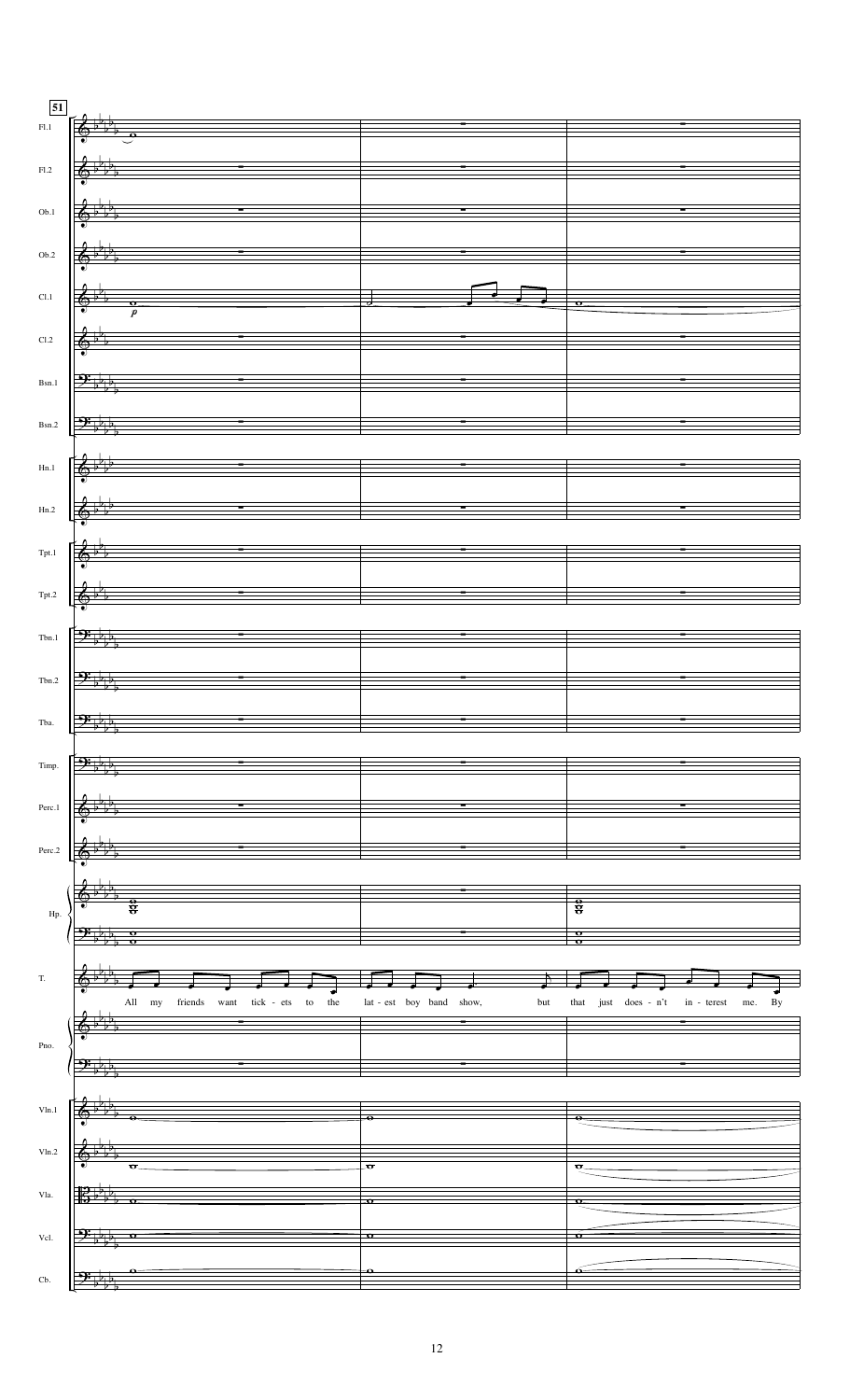| $\boxed{51}$                      |                                            |                                   |   |                                             |
|-----------------------------------|--------------------------------------------|-----------------------------------|---|---------------------------------------------|
| $\rm{F}l.1$                       | $\frac{1}{2}$                              |                                   |   |                                             |
|                                   |                                            |                                   |   |                                             |
|                                   |                                            |                                   |   |                                             |
|                                   |                                            |                                   |   |                                             |
| F1.2                              |                                            |                                   |   |                                             |
|                                   |                                            |                                   |   |                                             |
|                                   |                                            |                                   |   |                                             |
|                                   |                                            |                                   |   |                                             |
| Ob.1                              | $\delta$                                   |                                   |   |                                             |
|                                   |                                            |                                   |   |                                             |
|                                   |                                            |                                   |   |                                             |
|                                   |                                            |                                   |   |                                             |
| Ob.2                              |                                            |                                   |   |                                             |
|                                   |                                            |                                   |   |                                             |
|                                   |                                            |                                   |   |                                             |
| Cl.1                              | 6                                          |                                   |   |                                             |
|                                   | $\frac{\overline{\mathbf{p}}}{p}$          |                                   |   | $\mathbf o$                                 |
|                                   |                                            |                                   |   |                                             |
|                                   |                                            |                                   |   |                                             |
| $\rm Cl.2$                        | 参                                          |                                   |   |                                             |
|                                   |                                            |                                   |   |                                             |
|                                   |                                            |                                   |   |                                             |
|                                   |                                            |                                   |   |                                             |
| $_{\rm Bsn.1}$                    | $9 -$                                      |                                   |   |                                             |
|                                   |                                            |                                   |   |                                             |
|                                   |                                            |                                   |   |                                             |
|                                   |                                            |                                   |   |                                             |
| $_{\rm Bsn.2}$                    | $\mathcal{P}$ ) $_{\pm}$                   |                                   |   |                                             |
|                                   |                                            |                                   |   |                                             |
|                                   |                                            |                                   |   |                                             |
| Hn.1                              |                                            |                                   |   |                                             |
|                                   |                                            |                                   |   |                                             |
|                                   | $\bullet$                                  |                                   |   |                                             |
|                                   |                                            |                                   |   |                                             |
| Hn.2                              |                                            |                                   |   |                                             |
|                                   |                                            |                                   |   |                                             |
|                                   |                                            |                                   |   |                                             |
|                                   |                                            |                                   |   |                                             |
| Tpt.1                             |                                            |                                   |   |                                             |
|                                   |                                            |                                   |   |                                             |
|                                   |                                            |                                   |   |                                             |
|                                   |                                            |                                   |   |                                             |
| Tpt.2                             |                                            |                                   |   |                                             |
|                                   |                                            |                                   |   |                                             |
|                                   |                                            |                                   |   |                                             |
|                                   |                                            |                                   |   |                                             |
| Tbn.1                             | $\mathcal{F}_{\mathcal{V}}$                |                                   |   |                                             |
|                                   |                                            |                                   |   |                                             |
|                                   |                                            |                                   |   |                                             |
| $_{\rm Tbn.2}$                    | $\mathcal{F} \mathbb{P}_{\mathcal{V}}$     |                                   |   |                                             |
|                                   |                                            |                                   |   |                                             |
|                                   |                                            |                                   |   |                                             |
|                                   |                                            |                                   |   |                                             |
| $_{\rm Tba.}$                     | $\mathcal{P}$<br>Έ                         | ш                                 |   | ▬                                           |
|                                   |                                            |                                   |   |                                             |
|                                   |                                            |                                   |   |                                             |
|                                   |                                            |                                   |   |                                             |
| Timp.                             | $2\frac{1}{2}$                             |                                   |   |                                             |
|                                   |                                            |                                   |   |                                             |
|                                   |                                            |                                   |   |                                             |
|                                   |                                            |                                   |   |                                             |
| $\mbox{Perc.1}$                   |                                            |                                   |   |                                             |
|                                   |                                            |                                   |   |                                             |
|                                   |                                            |                                   |   |                                             |
| Perc.2                            |                                            |                                   |   | т                                           |
|                                   |                                            |                                   |   |                                             |
|                                   |                                            |                                   |   |                                             |
|                                   |                                            |                                   |   |                                             |
|                                   |                                            |                                   |   |                                             |
|                                   | Ģ<br>$\frac{1}{8}$                         |                                   |   | $\frac{1}{8}$                               |
| Hp.                               |                                            |                                   |   |                                             |
|                                   |                                            |                                   |   |                                             |
|                                   | $9:+$<br>$\frac{\mathbf{o}}{\mathbf{o}}$   |                                   |   | $\circ$<br>$\overline{\mathbf{o}}$          |
|                                   |                                            |                                   |   |                                             |
|                                   |                                            |                                   |   |                                             |
|                                   |                                            |                                   |   |                                             |
| $\mathbf{T}.$                     |                                            | $\overline{\phantom{a}}$<br>$\pm$ | ⇛ |                                             |
|                                   | All my friends want tick - ets to the<br>∙ |                                   |   |                                             |
|                                   |                                            | lat - est boy band show,          |   | but that just does - n't in - terest me. By |
|                                   |                                            |                                   |   |                                             |
|                                   |                                            |                                   |   |                                             |
| Pno.                              |                                            |                                   |   |                                             |
|                                   |                                            |                                   |   |                                             |
|                                   | $\mathbf{9}$                               |                                   |   |                                             |
|                                   |                                            |                                   |   |                                             |
|                                   |                                            |                                   |   |                                             |
|                                   |                                            |                                   |   |                                             |
| $_{\rm Vln.1}$                    |                                            |                                   |   |                                             |
|                                   |                                            | $\overline{\bullet}$              |   | $\bullet$                                   |
|                                   |                                            |                                   |   |                                             |
|                                   |                                            |                                   |   |                                             |
| Vln.2                             |                                            |                                   |   |                                             |
|                                   | $\sigma$                                   | $\overline{\sigma}$               |   | $\sigma$                                    |
|                                   |                                            |                                   |   |                                             |
|                                   |                                            |                                   |   |                                             |
| $\ensuremath{\text{Vla}}\xspace.$ |                                            | $\overline{\mathbf{o}}$           |   | $\mathbf{o}$                                |
|                                   |                                            |                                   |   |                                             |
|                                   |                                            |                                   |   |                                             |
| $\mbox{Vcl.}$                     | $\mathbf{o}$                               | $\alpha$                          |   | $\mathbf{o}$                                |
|                                   | $\mathcal{F}_{\mathbb{P}^+}$               |                                   |   |                                             |
|                                   |                                            |                                   |   |                                             |
|                                   |                                            |                                   |   |                                             |
|                                   |                                            |                                   |   |                                             |
| Cb.                               | $\mathbf{\mathcal{P}}$                     | $\bullet$                         |   | $\bullet$                                   |

Ē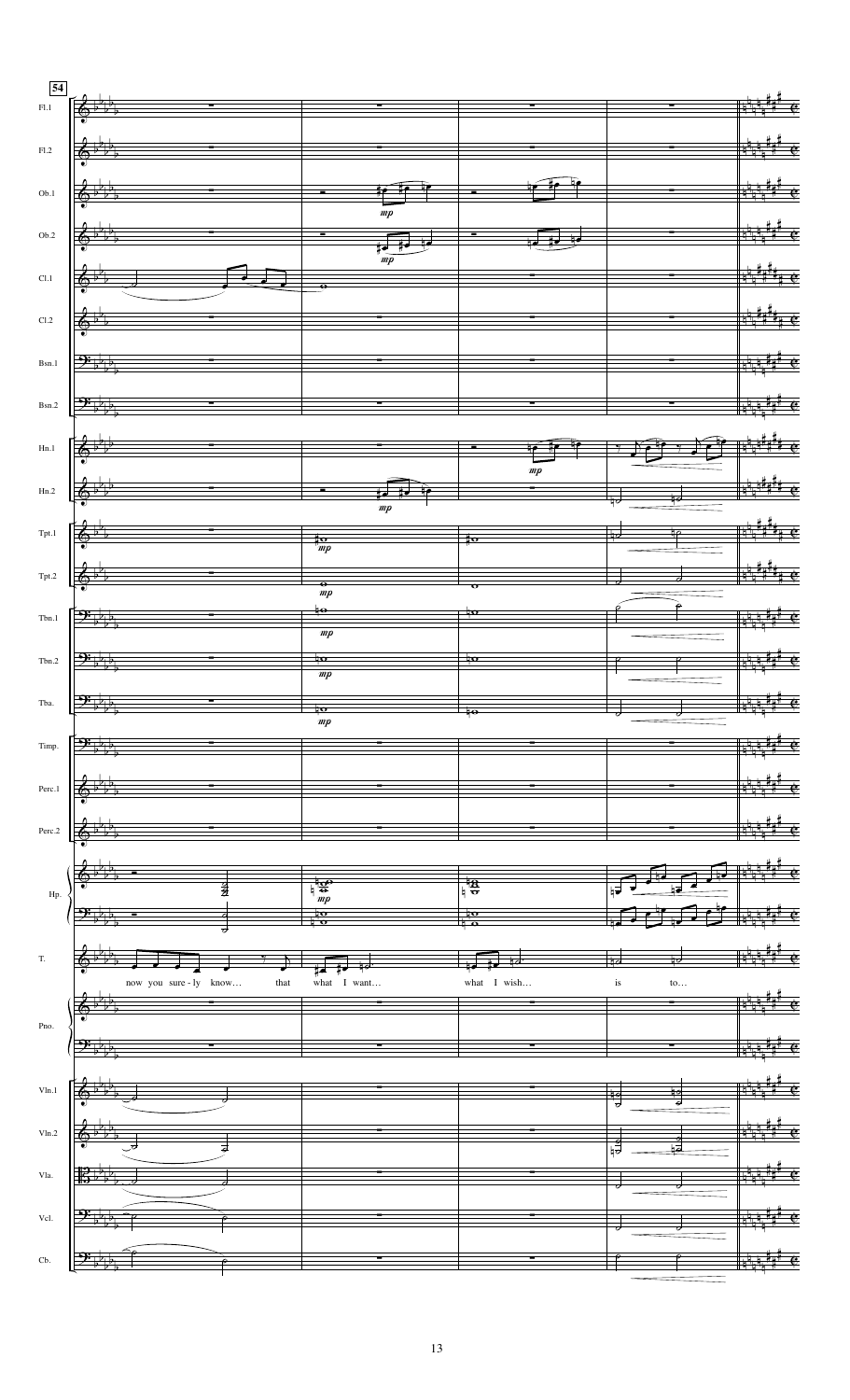| 54                     |                                         |                                                                                                                         |                                          |                               |                                                                                                                                                                                                                                                                                                                                                                                                         |
|------------------------|-----------------------------------------|-------------------------------------------------------------------------------------------------------------------------|------------------------------------------|-------------------------------|---------------------------------------------------------------------------------------------------------------------------------------------------------------------------------------------------------------------------------------------------------------------------------------------------------------------------------------------------------------------------------------------------------|
| $\rm{F}l.1$            |                                         |                                                                                                                         |                                          |                               | ┪╙┪<br>$\overline{\textbf{e}}$                                                                                                                                                                                                                                                                                                                                                                          |
|                        |                                         |                                                                                                                         |                                          |                               |                                                                                                                                                                                                                                                                                                                                                                                                         |
|                        |                                         |                                                                                                                         |                                          |                               |                                                                                                                                                                                                                                                                                                                                                                                                         |
| $\rm{F}l.2$            | $6\frac{1}{2}$                          |                                                                                                                         |                                          |                               | <u> ਸੰਮਾਜਿੰ</u> €                                                                                                                                                                                                                                                                                                                                                                                       |
|                        | ∙                                       |                                                                                                                         |                                          |                               |                                                                                                                                                                                                                                                                                                                                                                                                         |
| Ob.1                   | $\frac{p}{p+1}$                         |                                                                                                                         | ٩۴<br>$\mathbf{\mathbf{\Downarrow}}$     |                               | $\frac{1}{4}+\frac{1}{4}\frac{1}{8}+\frac{1}{8}\frac{1}{8}+\frac{1}{8}\frac{1}{8}+\frac{1}{8}\frac{1}{8}+\frac{1}{8}\frac{1}{8}+\frac{1}{8}\frac{1}{8}+\frac{1}{8}\frac{1}{8}+\frac{1}{8}\frac{1}{8}+\frac{1}{8}\frac{1}{8}+\frac{1}{8}\frac{1}{8}+\frac{1}{8}\frac{1}{8}+\frac{1}{8}\frac{1}{8}+\frac{1}{8}\frac{1}{8}+\frac{1}{8}\frac{1}{8}+\frac{1}{8}\frac{1}{8}+\frac{1}{8}\frac{1}{8}+\frac{1}{$ |
|                        | 6<br>∙                                  |                                                                                                                         |                                          |                               |                                                                                                                                                                                                                                                                                                                                                                                                         |
|                        |                                         | $\it{mp}$                                                                                                               |                                          |                               |                                                                                                                                                                                                                                                                                                                                                                                                         |
| Ob.2                   | 855                                     |                                                                                                                         | $\overline{\phantom{a}}$                 |                               | 曲<br>$\overline{\mathbf{e}}$                                                                                                                                                                                                                                                                                                                                                                            |
|                        | ∙                                       | $\overrightarrow{r}$<br>$\mathsf{L}$                                                                                    |                                          |                               |                                                                                                                                                                                                                                                                                                                                                                                                         |
|                        |                                         | $\overline{mp}$                                                                                                         |                                          |                               | <del>ा #.#</del><br>मक् <del>म ## @</del>                                                                                                                                                                                                                                                                                                                                                               |
| $\rm C1.1$             | $\overline{\Phi}$                       | $\bullet$                                                                                                               |                                          |                               |                                                                                                                                                                                                                                                                                                                                                                                                         |
|                        | ∙                                       |                                                                                                                         |                                          |                               |                                                                                                                                                                                                                                                                                                                                                                                                         |
| $\rm Cl.2$             | $6^{1}$                                 |                                                                                                                         |                                          |                               | <del>- 4 Futt</del><br>The <sup>H</sup> <sup>H</sup> # C                                                                                                                                                                                                                                                                                                                                                |
|                        |                                         |                                                                                                                         |                                          |                               |                                                                                                                                                                                                                                                                                                                                                                                                         |
|                        |                                         |                                                                                                                         |                                          |                               |                                                                                                                                                                                                                                                                                                                                                                                                         |
| $_{\rm Bsn.1}$         | $\mathbf{P}$                            |                                                                                                                         |                                          |                               | <u>լելե## ¢</u>                                                                                                                                                                                                                                                                                                                                                                                         |
|                        |                                         |                                                                                                                         |                                          |                               |                                                                                                                                                                                                                                                                                                                                                                                                         |
|                        | ш                                       |                                                                                                                         |                                          |                               | $^4$ $^4$ $^6$                                                                                                                                                                                                                                                                                                                                                                                          |
| $_{\rm Bsn.2}$         | $9\frac{1}{2}$                          |                                                                                                                         |                                          |                               | ┠╻ <sup>┡</sup> ╻ <sup>┢</sup> ╻                                                                                                                                                                                                                                                                                                                                                                        |
|                        |                                         |                                                                                                                         |                                          |                               |                                                                                                                                                                                                                                                                                                                                                                                                         |
| $_{\rm Hn.1}$          | 6                                       |                                                                                                                         | $\overline{\mathbb{F}}$                  |                               |                                                                                                                                                                                                                                                                                                                                                                                                         |
|                        |                                         |                                                                                                                         |                                          |                               |                                                                                                                                                                                                                                                                                                                                                                                                         |
|                        |                                         |                                                                                                                         | $\it{mp}$                                |                               |                                                                                                                                                                                                                                                                                                                                                                                                         |
| Hn.2                   | 6<br>D                                  | Ţ.                                                                                                                      |                                          |                               | मी∰‡                                                                                                                                                                                                                                                                                                                                                                                                    |
|                        | ∙                                       | mp                                                                                                                      |                                          |                               |                                                                                                                                                                                                                                                                                                                                                                                                         |
| Tpt.1                  | $\mathbf{\&}^{\flat}$                   |                                                                                                                         |                                          | $\overline{\phantom{a}}$<br>₩ | ┆ <sub>┇</sub> ╕╹╈<br>¢                                                                                                                                                                                                                                                                                                                                                                                 |
|                        | $\bullet$                               | $\frac{1}{mp}$                                                                                                          | $\sharp$ o                               |                               |                                                                                                                                                                                                                                                                                                                                                                                                         |
|                        |                                         |                                                                                                                         |                                          |                               |                                                                                                                                                                                                                                                                                                                                                                                                         |
| $\operatorname{Tpt.2}$ | $6\frac{1}{2}$                          |                                                                                                                         |                                          |                               |                                                                                                                                                                                                                                                                                                                                                                                                         |
|                        |                                         | $\overline{\bullet}$<br>$\emph{mp}$                                                                                     | $\overline{\mathbf{o}}$                  |                               |                                                                                                                                                                                                                                                                                                                                                                                                         |
|                        |                                         | <u>to</u>                                                                                                               | $\rightarrow$                            |                               |                                                                                                                                                                                                                                                                                                                                                                                                         |
| Tbn.1                  | $\mathbf{9}$                            |                                                                                                                         |                                          |                               | $\frac{1}{4}$ $\frac{1}{4}$ $\frac{1}{4}$ $\frac{1}{4}$ $\frac{1}{4}$                                                                                                                                                                                                                                                                                                                                   |
|                        |                                         | $\overline{mp}$                                                                                                         |                                          |                               |                                                                                                                                                                                                                                                                                                                                                                                                         |
| $_{\rm Tbn.2}$         | $\mathcal{P}$                           | $\diamond$                                                                                                              | $\frac{1}{2}$                            |                               | <u>र्फ़ पूर्ण (२</u><br>पुष्पु                                                                                                                                                                                                                                                                                                                                                                          |
|                        |                                         | $\overline{mp}$                                                                                                         |                                          |                               |                                                                                                                                                                                                                                                                                                                                                                                                         |
|                        |                                         |                                                                                                                         |                                          |                               |                                                                                                                                                                                                                                                                                                                                                                                                         |
| Tba.                   | $\Theta$ :<br><del>D</del> ⊬            | ю                                                                                                                       |                                          |                               | $\frac{1}{1}$ , $\frac{1}{4}$ , $\frac{1}{4}$ , $\frac{1}{4}$ , $\frac{1}{4}$<br>4                                                                                                                                                                                                                                                                                                                      |
|                        |                                         | $\emph{mp}$                                                                                                             | ‡Θ                                       |                               |                                                                                                                                                                                                                                                                                                                                                                                                         |
|                        |                                         |                                                                                                                         |                                          |                               |                                                                                                                                                                                                                                                                                                                                                                                                         |
| Timp.                  | $\mathcal{F}$ , $\mathcal{F}$           |                                                                                                                         |                                          |                               | ٣                                                                                                                                                                                                                                                                                                                                                                                                       |
|                        |                                         |                                                                                                                         |                                          |                               |                                                                                                                                                                                                                                                                                                                                                                                                         |
| Perc.1                 |                                         |                                                                                                                         |                                          |                               | ₩                                                                                                                                                                                                                                                                                                                                                                                                       |
|                        |                                         |                                                                                                                         |                                          |                               |                                                                                                                                                                                                                                                                                                                                                                                                         |
|                        |                                         |                                                                                                                         |                                          |                               |                                                                                                                                                                                                                                                                                                                                                                                                         |
| Perc.2                 |                                         |                                                                                                                         |                                          |                               |                                                                                                                                                                                                                                                                                                                                                                                                         |
|                        |                                         |                                                                                                                         |                                          |                               |                                                                                                                                                                                                                                                                                                                                                                                                         |
|                        |                                         |                                                                                                                         |                                          |                               |                                                                                                                                                                                                                                                                                                                                                                                                         |
|                        | ड्र                                     | $\frac{1}{\frac{1}{2} \frac{1}{\frac{1}{2} \frac{1}{\frac{1}{2} \frac{1}{\frac{1}{2} \frac{1}{2} \frac{1}{2} \cdots}}}$ | $\frac{1}{4}$                            | hā                            |                                                                                                                                                                                                                                                                                                                                                                                                         |
| Hp.                    |                                         |                                                                                                                         |                                          |                               |                                                                                                                                                                                                                                                                                                                                                                                                         |
|                        |                                         | $\frac{1}{4} \frac{1}{\alpha}$                                                                                          | $\frac{1}{\frac{1}{4}\cdot \frac{1}{2}}$ |                               |                                                                                                                                                                                                                                                                                                                                                                                                         |
|                        | ₹                                       |                                                                                                                         |                                          |                               |                                                                                                                                                                                                                                                                                                                                                                                                         |
| $\mathbf T.$           |                                         |                                                                                                                         |                                          |                               | b                                                                                                                                                                                                                                                                                                                                                                                                       |
|                        |                                         | ⊺                                                                                                                       | ₩<br>ஈ                                   | ₩<br>իշ                       |                                                                                                                                                                                                                                                                                                                                                                                                         |
|                        | now you sure - ly know<br>$_{\rm that}$ | what I want                                                                                                             | what $I$ wish                            | is<br>$\mathfrak{to} \dots$   |                                                                                                                                                                                                                                                                                                                                                                                                         |
|                        |                                         |                                                                                                                         |                                          |                               |                                                                                                                                                                                                                                                                                                                                                                                                         |
|                        |                                         |                                                                                                                         |                                          |                               |                                                                                                                                                                                                                                                                                                                                                                                                         |
| Pno.                   |                                         |                                                                                                                         |                                          |                               |                                                                                                                                                                                                                                                                                                                                                                                                         |
|                        | 9:7                                     |                                                                                                                         |                                          |                               |                                                                                                                                                                                                                                                                                                                                                                                                         |
|                        |                                         |                                                                                                                         |                                          |                               |                                                                                                                                                                                                                                                                                                                                                                                                         |
|                        |                                         |                                                                                                                         |                                          |                               |                                                                                                                                                                                                                                                                                                                                                                                                         |
| $_{\rm Vln.1}$         |                                         |                                                                                                                         |                                          | 44<br>梅<br>す                  | ₣                                                                                                                                                                                                                                                                                                                                                                                                       |
|                        |                                         |                                                                                                                         |                                          |                               |                                                                                                                                                                                                                                                                                                                                                                                                         |
| Vln.2                  |                                         |                                                                                                                         |                                          |                               | ٣                                                                                                                                                                                                                                                                                                                                                                                                       |
|                        | す                                       |                                                                                                                         |                                          | 녆<br>ha                       |                                                                                                                                                                                                                                                                                                                                                                                                         |
|                        |                                         |                                                                                                                         |                                          |                               |                                                                                                                                                                                                                                                                                                                                                                                                         |
| $\rm Vla.$             |                                         |                                                                                                                         |                                          |                               |                                                                                                                                                                                                                                                                                                                                                                                                         |
|                        |                                         |                                                                                                                         |                                          |                               |                                                                                                                                                                                                                                                                                                                                                                                                         |
|                        |                                         |                                                                                                                         |                                          |                               |                                                                                                                                                                                                                                                                                                                                                                                                         |
| $\mbox{Vcl.}$          |                                         |                                                                                                                         |                                          |                               |                                                                                                                                                                                                                                                                                                                                                                                                         |
|                        |                                         |                                                                                                                         |                                          |                               |                                                                                                                                                                                                                                                                                                                                                                                                         |
| $\mathbf C\mathbf b.$  |                                         |                                                                                                                         |                                          |                               |                                                                                                                                                                                                                                                                                                                                                                                                         |
|                        |                                         |                                                                                                                         |                                          |                               |                                                                                                                                                                                                                                                                                                                                                                                                         |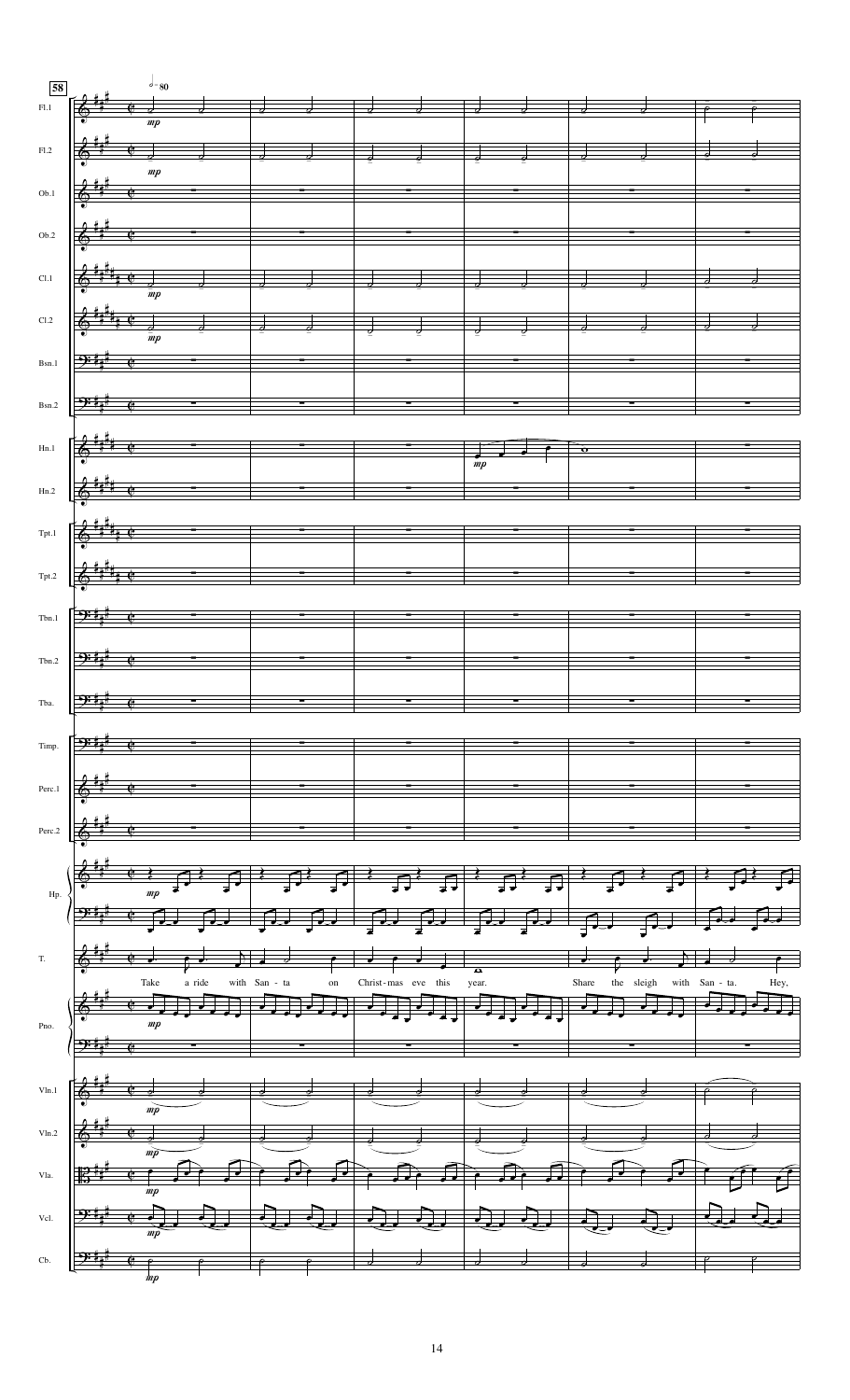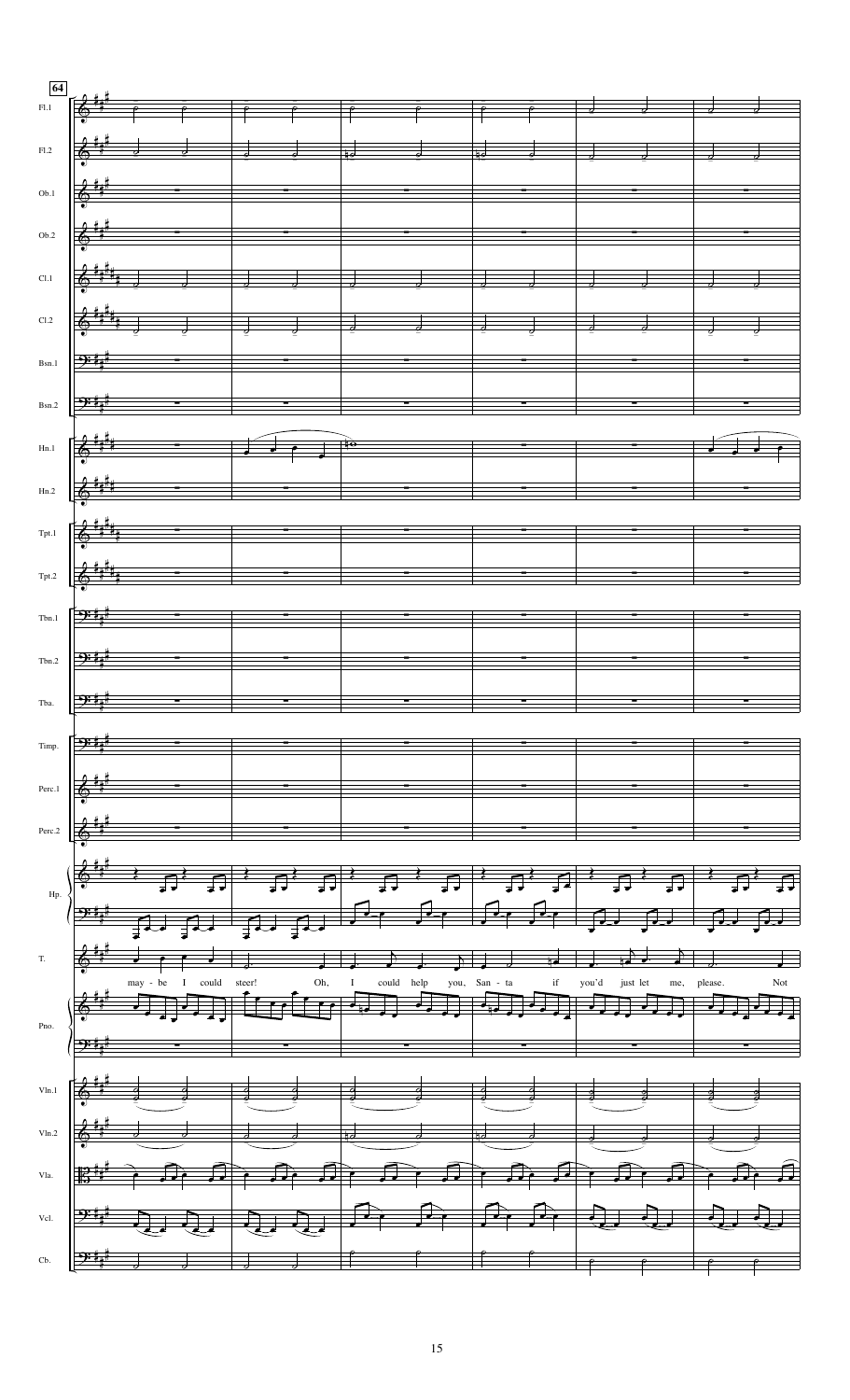| $\boxed{64}$ Fl.1              |                                                                                                                                                                                                                                                                                                                                                                                       |                                                                                                                                                                                                                                                                                                                                                                                                              |                   | $\overline{\phantom{a}}$ |
|--------------------------------|---------------------------------------------------------------------------------------------------------------------------------------------------------------------------------------------------------------------------------------------------------------------------------------------------------------------------------------------------------------------------------------|--------------------------------------------------------------------------------------------------------------------------------------------------------------------------------------------------------------------------------------------------------------------------------------------------------------------------------------------------------------------------------------------------------------|-------------------|--------------------------|
| F1.2                           | $\&$ $\stackrel{\text{4#}}{1}$ and and and $\frac{1}{2}$ by and $\frac{1}{2}$ by and $\frac{1}{2}$                                                                                                                                                                                                                                                                                    |                                                                                                                                                                                                                                                                                                                                                                                                              |                   |                          |
|                                |                                                                                                                                                                                                                                                                                                                                                                                       |                                                                                                                                                                                                                                                                                                                                                                                                              |                   |                          |
| Ob.1                           | $\frac{2}{3}$ $\frac{4}{3}$ $\frac{4}{3}$ $\frac{4}{3}$ $\frac{4}{3}$ $\frac{4}{3}$ $\frac{4}{3}$ $\frac{4}{3}$ $\frac{4}{3}$ $\frac{4}{3}$ $\frac{4}{3}$ $\frac{4}{3}$ $\frac{4}{3}$ $\frac{4}{3}$ $\frac{4}{3}$ $\frac{4}{3}$ $\frac{4}{3}$ $\frac{4}{3}$ $\frac{4}{3}$ $\frac{4}{3}$ $\frac{4}{3}$ $\frac{4}{3}$                                                                   |                                                                                                                                                                                                                                                                                                                                                                                                              |                   |                          |
| Ob.2                           | $\left\langle \xi^{i\frac{\pi}{2}}\right\rangle ^{i}$                                                                                                                                                                                                                                                                                                                                 |                                                                                                                                                                                                                                                                                                                                                                                                              |                   |                          |
| CL1                            | $\left\langle \left\langle \cdot \right\rangle ^{\frac{1}{2}}\right\rangle ^{\frac{1}{2}}$                                                                                                                                                                                                                                                                                            |                                                                                                                                                                                                                                                                                                                                                                                                              |                   |                          |
| Cl.2                           |                                                                                                                                                                                                                                                                                                                                                                                       | $\frac{1}{2} \left( \begin{array}{ccc} \frac{1}{2} & \frac{1}{2} & \frac{1}{2} & \frac{1}{2} & \frac{1}{2} & \frac{1}{2} & \frac{1}{2} & \frac{1}{2} & \frac{1}{2} & \frac{1}{2} & \frac{1}{2} & \frac{1}{2} & \frac{1}{2} & \frac{1}{2} & \frac{1}{2} & \frac{1}{2} & \frac{1}{2} & \frac{1}{2} & \frac{1}{2} & \frac{1}{2} & \frac{1}{2} & \frac{1}{2} & \frac{1}{2} & \frac{1}{2} & \frac{1}{2} & \frac{$ |                   |                          |
| Bsn.1                          |                                                                                                                                                                                                                                                                                                                                                                                       |                                                                                                                                                                                                                                                                                                                                                                                                              |                   |                          |
| Bsn.2                          |                                                                                                                                                                                                                                                                                                                                                                                       |                                                                                                                                                                                                                                                                                                                                                                                                              |                   |                          |
|                                |                                                                                                                                                                                                                                                                                                                                                                                       |                                                                                                                                                                                                                                                                                                                                                                                                              |                   |                          |
| $_{\text{Hn.1}}$               | $\frac{2}{3}$                                                                                                                                                                                                                                                                                                                                                                         |                                                                                                                                                                                                                                                                                                                                                                                                              |                   |                          |
| Hn.2                           | $\frac{2}{3}$ $\frac{4}{3}$ $\frac{4}{3}$ $\frac{4}{3}$ $\frac{4}{3}$ $\frac{4}{3}$ $\frac{4}{3}$ $\frac{4}{3}$ $\frac{4}{3}$ $\frac{4}{3}$ $\frac{4}{3}$ $\frac{4}{3}$ $\frac{4}{3}$ $\frac{4}{3}$ $\frac{4}{3}$ $\frac{4}{3}$ $\frac{4}{3}$ $\frac{4}{3}$ $\frac{4}{3}$ $\frac{4}{3}$ $\frac{4}{3}$ $\frac{4}{3}$                                                                   |                                                                                                                                                                                                                                                                                                                                                                                                              |                   |                          |
| Tpt.1                          | $\left  \xi \xi^{x} \xi^{x} \xi \right $                                                                                                                                                                                                                                                                                                                                              |                                                                                                                                                                                                                                                                                                                                                                                                              |                   |                          |
| Tpt.2                          | $8$ $+$                                                                                                                                                                                                                                                                                                                                                                               |                                                                                                                                                                                                                                                                                                                                                                                                              |                   |                          |
|                                |                                                                                                                                                                                                                                                                                                                                                                                       |                                                                                                                                                                                                                                                                                                                                                                                                              |                   |                          |
| Tbn.1                          |                                                                                                                                                                                                                                                                                                                                                                                       |                                                                                                                                                                                                                                                                                                                                                                                                              |                   |                          |
| Tbn.2                          |                                                                                                                                                                                                                                                                                                                                                                                       |                                                                                                                                                                                                                                                                                                                                                                                                              |                   |                          |
| Tba.                           | 5:1                                                                                                                                                                                                                                                                                                                                                                                   |                                                                                                                                                                                                                                                                                                                                                                                                              |                   |                          |
| Timp.                          |                                                                                                                                                                                                                                                                                                                                                                                       |                                                                                                                                                                                                                                                                                                                                                                                                              |                   |                          |
| $\ensuremath{\mathsf{Perc}}.1$ | $\frac{1}{6}$ $\frac{1}{6}$ $\frac{1}{6}$ $\frac{1}{6}$ $\frac{1}{6}$ $\frac{1}{6}$ $\frac{1}{6}$ $\frac{1}{6}$ $\frac{1}{6}$ $\frac{1}{6}$ $\frac{1}{6}$ $\frac{1}{6}$ $\frac{1}{6}$ $\frac{1}{6}$ $\frac{1}{6}$ $\frac{1}{6}$ $\frac{1}{6}$ $\frac{1}{6}$ $\frac{1}{6}$ $\frac{1}{6}$ $\frac{1}{6}$ $\frac{1}{6}$                                                                   |                                                                                                                                                                                                                                                                                                                                                                                                              |                   |                          |
|                                | $Perc.2$ $\theta$ $\frac{4\pi}{3}$                                                                                                                                                                                                                                                                                                                                                    |                                                                                                                                                                                                                                                                                                                                                                                                              |                   |                          |
|                                |                                                                                                                                                                                                                                                                                                                                                                                       |                                                                                                                                                                                                                                                                                                                                                                                                              |                   |                          |
| Hp.                            |                                                                                                                                                                                                                                                                                                                                                                                       |                                                                                                                                                                                                                                                                                                                                                                                                              |                   |                          |
|                                |                                                                                                                                                                                                                                                                                                                                                                                       |                                                                                                                                                                                                                                                                                                                                                                                                              |                   |                          |
| $\mathbf T.$                   |                                                                                                                                                                                                                                                                                                                                                                                       |                                                                                                                                                                                                                                                                                                                                                                                                              | just let<br>you'd |                          |
| Pno.                           | الرازاني الزائر والزائر والزائر والرائي والرائي والتوافي فالمنافس والمستنبر والأرائي فالمنافخ                                                                                                                                                                                                                                                                                         |                                                                                                                                                                                                                                                                                                                                                                                                              |                   |                          |
|                                |                                                                                                                                                                                                                                                                                                                                                                                       |                                                                                                                                                                                                                                                                                                                                                                                                              |                   |                          |
| $V\!ln.1$                      |                                                                                                                                                                                                                                                                                                                                                                                       |                                                                                                                                                                                                                                                                                                                                                                                                              |                   |                          |
| Vln.2                          |                                                                                                                                                                                                                                                                                                                                                                                       |                                                                                                                                                                                                                                                                                                                                                                                                              |                   |                          |
| $Vla$ .                        | $\mathbb{R}^{\frac{1}{2}}$ , $\mathbb{R}$ , $\mathbb{R}$ , $\mathbb{R}$ , $\mathbb{R}$ , $\mathbb{R}$ , $\mathbb{R}$ , $\mathbb{R}$ , $\mathbb{R}$ , $\mathbb{R}$ , $\mathbb{R}$                                                                                                                                                                                                      |                                                                                                                                                                                                                                                                                                                                                                                                              |                   |                          |
| $\rm{Vol}.$                    | $\frac{1}{2}$ , $\frac{1}{2}$ , $\frac{1}{2}$ , $\frac{1}{2}$ , $\frac{1}{2}$ , $\frac{1}{2}$ , $\frac{1}{2}$ , $\frac{1}{2}$ , $\frac{1}{2}$                                                                                                                                                                                                                                         |                                                                                                                                                                                                                                                                                                                                                                                                              |                   |                          |
|                                | $\left  \mathbf{P}^* \right $ , $\left  \mathbf{P}^* \right $ , $\left  \mathbf{P}^* \right $ , $\left  \mathbf{P}^* \right $ , $\left  \mathbf{P}^* \right $ , $\left  \mathbf{P}^* \right $ , $\left  \mathbf{P}^* \right $ , $\left  \mathbf{P}^* \right $ , $\left  \mathbf{P}^* \right $ , $\left  \mathbf{P}^* \right $ , $\left  \mathbf{P}^* \right $ , $\left  \mathbf{P}^*$ | $\frac{1}{2}$                                                                                                                                                                                                                                                                                                                                                                                                |                   |                          |
|                                |                                                                                                                                                                                                                                                                                                                                                                                       |                                                                                                                                                                                                                                                                                                                                                                                                              |                   |                          |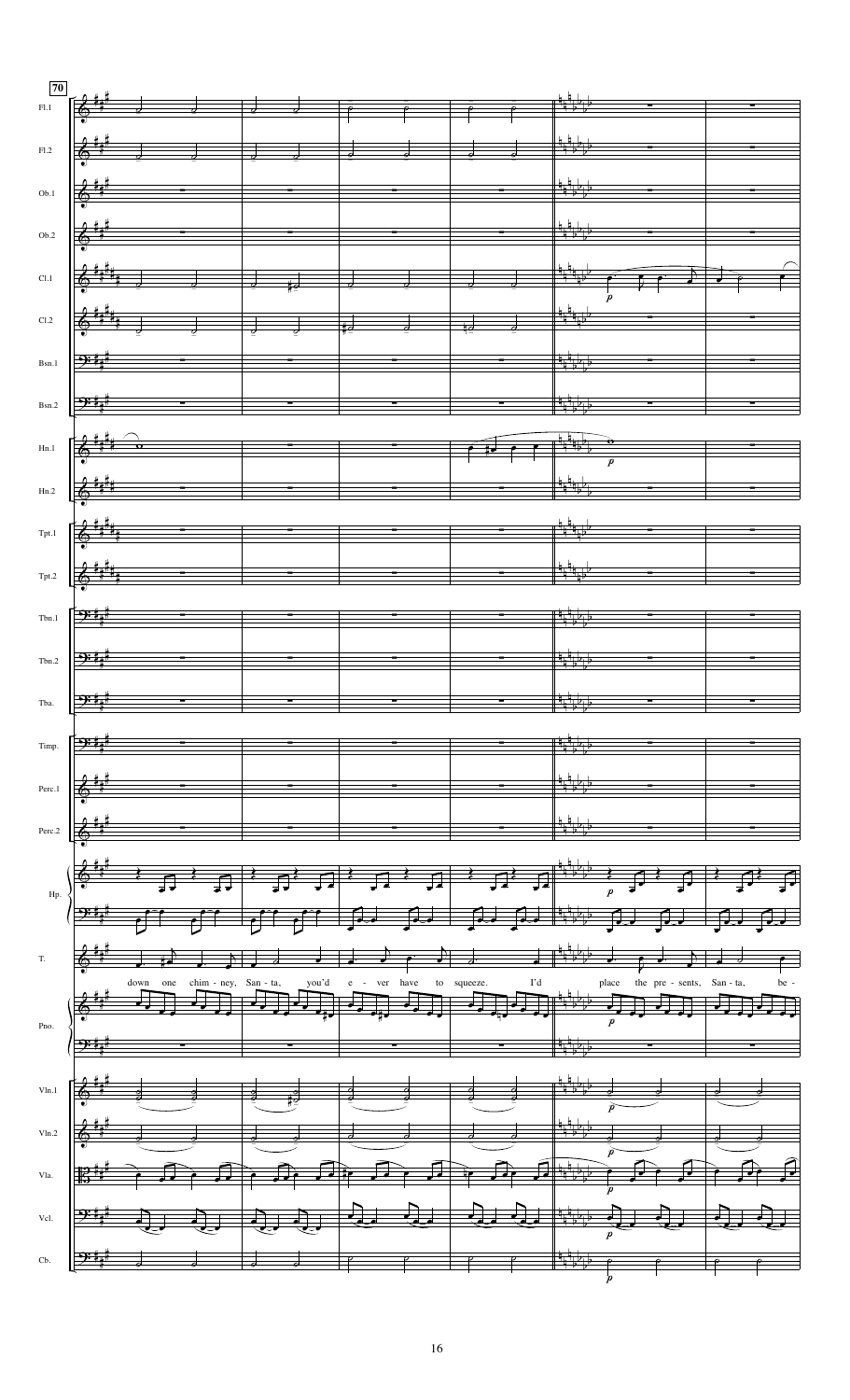| 70              |                                                                                                                                                                                                                                                                                                                                                                                                               |                                               |                                                                                                                                                       |                                                          |                                            |                      |  |
|-----------------|---------------------------------------------------------------------------------------------------------------------------------------------------------------------------------------------------------------------------------------------------------------------------------------------------------------------------------------------------------------------------------------------------------------|-----------------------------------------------|-------------------------------------------------------------------------------------------------------------------------------------------------------|----------------------------------------------------------|--------------------------------------------|----------------------|--|
| F1.1            | $\left[ \begin{array}{ccc} \frac{4}{3} & \frac{4}{3} & \frac{1}{3} & \frac{1}{3} & \frac{1}{3} & \frac{1}{3} & \frac{1}{3} & \frac{1}{3} & \frac{1}{3} & \frac{1}{3} & \frac{1}{3} & \frac{1}{3} & \frac{1}{3} & \frac{1}{3} & \frac{1}{3} & \frac{1}{3} & \frac{1}{3} & \frac{1}{3} & \frac{1}{3} & \frac{1}{3} & \frac{1}{3} & \frac{1}{3} & \frac{1}{3} & \frac{1}{3} & \frac{1}{3} & \frac{1}{3} & \frac$ | $\overline{\phantom{a}}$<br>$\overline{\phi}$ | $\begin{array}{ c c c c c c } \hline - & - & - & - & - \\\hline \hline \rho & \bar{\rho} & \bar{\rho} & \bar{\rho} & \bar{\rho} \\\hline \end{array}$ |                                                          |                                            |                      |  |
| F1.2            |                                                                                                                                                                                                                                                                                                                                                                                                               |                                               | $\overline{\phantom{a}}$<br>$\overline{\phantom{a}}$                                                                                                  |                                                          |                                            |                      |  |
|                 |                                                                                                                                                                                                                                                                                                                                                                                                               |                                               |                                                                                                                                                       |                                                          |                                            |                      |  |
| Ob.1            |                                                                                                                                                                                                                                                                                                                                                                                                               |                                               | $\overline{\phantom{a}}$                                                                                                                              |                                                          |                                            |                      |  |
| Ob.2            | $\&$ $^{\sharp\sharp}$ $\qquad$ $\qquad$ $\qquad$ $\qquad$ $\qquad$ $\qquad$ $\qquad$ $\qquad$ $\qquad$ $\qquad$ $\qquad$ $\qquad$ $\qquad$ $\qquad$ $\qquad$ $\qquad$ $\qquad$ $\qquad$ $\qquad$ $\qquad$ $\qquad$ $\qquad$ $\qquad$ $\qquad$ $\qquad$ $\qquad$ $\qquad$ $\qquad$ $\qquad$ $\qquad$ $\qquad$ $\qquad$ $\qquad$ $\qquad$ $\q$                                                                 |                                               |                                                                                                                                                       |                                                          |                                            |                      |  |
| Cl.1            |                                                                                                                                                                                                                                                                                                                                                                                                               |                                               |                                                                                                                                                       |                                                          |                                            |                      |  |
|                 |                                                                                                                                                                                                                                                                                                                                                                                                               |                                               |                                                                                                                                                       |                                                          |                                            |                      |  |
| Cl.2            |                                                                                                                                                                                                                                                                                                                                                                                                               |                                               | $\frac{1}{2}$ $\frac{1}{2}$ $\frac{1}{2}$ $\frac{1}{2}$ $\frac{1}{2}$ $\frac{1}{2}$ $\frac{1}{2}$ $\frac{1}{2}$                                       |                                                          |                                            |                      |  |
| Bsn.1           |                                                                                                                                                                                                                                                                                                                                                                                                               |                                               |                                                                                                                                                       |                                                          |                                            |                      |  |
| Bsn.2           |                                                                                                                                                                                                                                                                                                                                                                                                               | $\equiv$                                      |                                                                                                                                                       |                                                          | $\ \mathbf{h}_{\mathbf{b}}\ _{\mathbf{p}}$ |                      |  |
|                 |                                                                                                                                                                                                                                                                                                                                                                                                               |                                               |                                                                                                                                                       |                                                          |                                            |                      |  |
| Hn.1            |                                                                                                                                                                                                                                                                                                                                                                                                               |                                               |                                                                                                                                                       |                                                          |                                            | $\frac{1}{\sigma}$   |  |
| Hn.2            | $\frac{2}{3}$ $\frac{1}{3}$ $\frac{1}{3}$ $\frac{1}{3}$ $\frac{1}{3}$ $\frac{1}{3}$ $\frac{1}{3}$ $\frac{1}{3}$ $\frac{1}{3}$ $\frac{1}{3}$ $\frac{1}{3}$ $\frac{1}{3}$ $\frac{1}{3}$ $\frac{1}{3}$ $\frac{1}{3}$ $\frac{1}{3}$ $\frac{1}{3}$ $\frac{1}{3}$ $\frac{1}{3}$ $\frac{1}{3}$ $\frac{1}{3}$ $\frac{1}{3}$                                                                                           |                                               |                                                                                                                                                       |                                                          |                                            |                      |  |
|                 |                                                                                                                                                                                                                                                                                                                                                                                                               |                                               |                                                                                                                                                       |                                                          |                                            |                      |  |
| Tpt.1           |                                                                                                                                                                                                                                                                                                                                                                                                               |                                               |                                                                                                                                                       |                                                          |                                            |                      |  |
| Tpt.2           |                                                                                                                                                                                                                                                                                                                                                                                                               |                                               |                                                                                                                                                       |                                                          |                                            |                      |  |
|                 |                                                                                                                                                                                                                                                                                                                                                                                                               |                                               |                                                                                                                                                       |                                                          |                                            |                      |  |
| Tbn.1           |                                                                                                                                                                                                                                                                                                                                                                                                               |                                               |                                                                                                                                                       |                                                          |                                            |                      |  |
| Tbn.2           |                                                                                                                                                                                                                                                                                                                                                                                                               |                                               |                                                                                                                                                       |                                                          |                                            |                      |  |
| Tba.            | $\bigcirc: 1$                                                                                                                                                                                                                                                                                                                                                                                                 |                                               |                                                                                                                                                       |                                                          | $\ \mathbf{h},\mathbf{h}\ _{\mathcal{F}}$  |                      |  |
|                 |                                                                                                                                                                                                                                                                                                                                                                                                               |                                               |                                                                                                                                                       |                                                          |                                            |                      |  |
| $\mbox{Timp.}$  |                                                                                                                                                                                                                                                                                                                                                                                                               |                                               |                                                                                                                                                       |                                                          |                                            |                      |  |
| $\mbox{Perc.1}$ |                                                                                                                                                                                                                                                                                                                                                                                                               |                                               |                                                                                                                                                       |                                                          |                                            |                      |  |
|                 | Perc.2 $\frac{7}{10}$                                                                                                                                                                                                                                                                                                                                                                                         | $\blacksquare$                                |                                                                                                                                                       |                                                          |                                            |                      |  |
|                 |                                                                                                                                                                                                                                                                                                                                                                                                               |                                               |                                                                                                                                                       |                                                          |                                            |                      |  |
| Hp.             |                                                                                                                                                                                                                                                                                                                                                                                                               |                                               |                                                                                                                                                       |                                                          |                                            |                      |  |
|                 |                                                                                                                                                                                                                                                                                                                                                                                                               |                                               |                                                                                                                                                       |                                                          |                                            |                      |  |
| $\mathbf T.$    |                                                                                                                                                                                                                                                                                                                                                                                                               |                                               |                                                                                                                                                       |                                                          |                                            |                      |  |
|                 |                                                                                                                                                                                                                                                                                                                                                                                                               |                                               |                                                                                                                                                       |                                                          |                                            |                      |  |
|                 | $\begin{pmatrix} 1 & 1 & 1 \\ 0 & 0 & 1 \\ 0 & 0 & 0 \end{pmatrix}$ down one chim ney, San-ta, you'd e - ver have to squeeze. I'd place the pre-sents, San-ta, be-                                                                                                                                                                                                                                            |                                               |                                                                                                                                                       |                                                          |                                            |                      |  |
| Pno.            |                                                                                                                                                                                                                                                                                                                                                                                                               |                                               |                                                                                                                                                       |                                                          |                                            |                      |  |
|                 |                                                                                                                                                                                                                                                                                                                                                                                                               |                                               |                                                                                                                                                       |                                                          |                                            |                      |  |
| $_{\rm Vln.1}$  |                                                                                                                                                                                                                                                                                                                                                                                                               |                                               |                                                                                                                                                       | $\frac{1}{2}$                                            |                                            |                      |  |
| Vln.2           |                                                                                                                                                                                                                                                                                                                                                                                                               |                                               |                                                                                                                                                       |                                                          |                                            |                      |  |
|                 |                                                                                                                                                                                                                                                                                                                                                                                                               |                                               |                                                                                                                                                       |                                                          |                                            |                      |  |
| $Vla$ .         |                                                                                                                                                                                                                                                                                                                                                                                                               |                                               |                                                                                                                                                       |                                                          |                                            |                      |  |
| $\rm{Vcl.}$     | $\frac{1}{2}$                                                                                                                                                                                                                                                                                                                                                                                                 |                                               |                                                                                                                                                       |                                                          |                                            |                      |  |
| Cb.             |                                                                                                                                                                                                                                                                                                                                                                                                               |                                               |                                                                                                                                                       | $\rho = \frac{1}{4} \frac{4}{9} \frac{1}{9} \frac{1}{9}$ |                                            | $\frac{1}{\sqrt{2}}$ |  |
|                 |                                                                                                                                                                                                                                                                                                                                                                                                               |                                               |                                                                                                                                                       |                                                          |                                            |                      |  |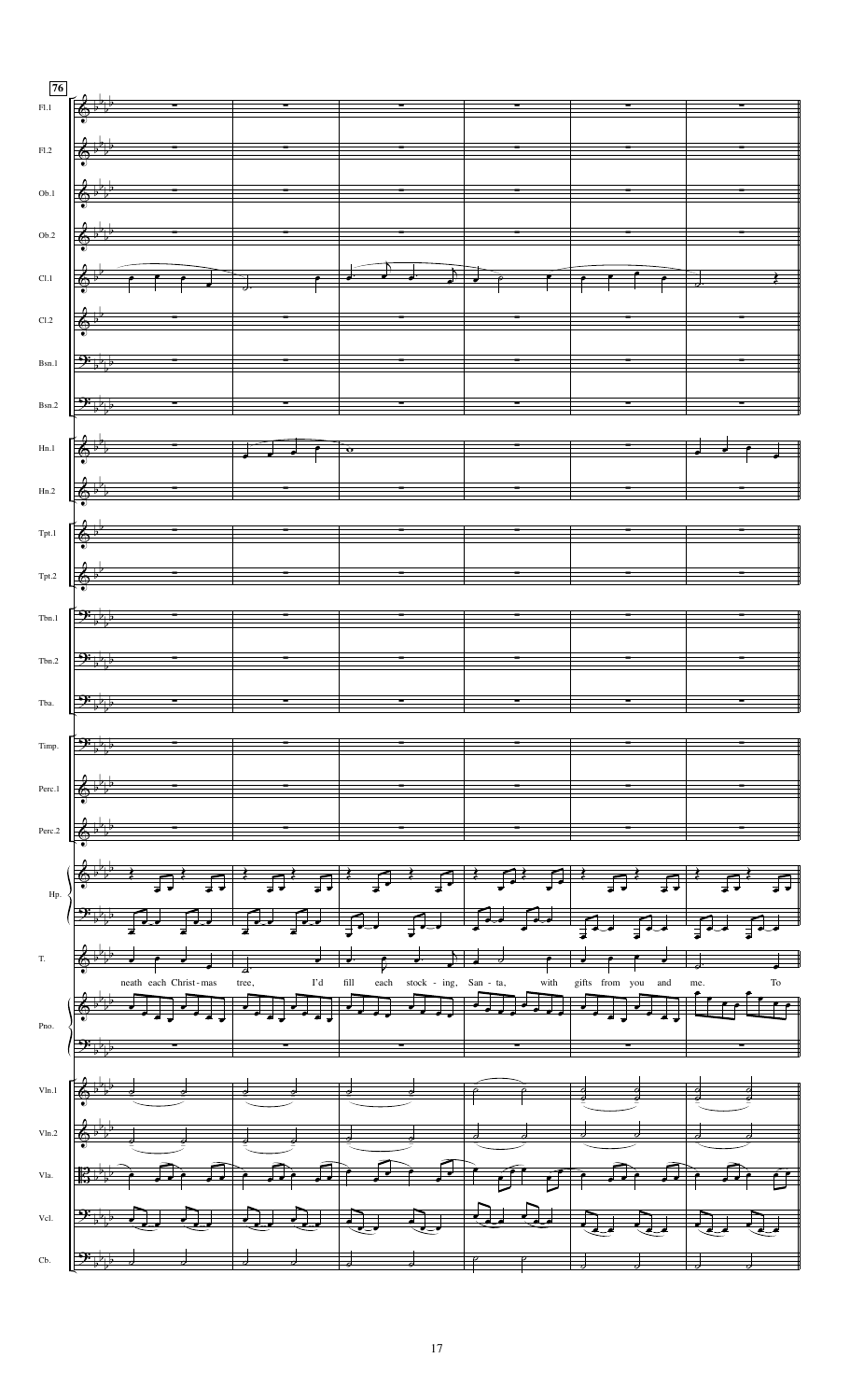| 76                    |                           |                                                                                            |                                 |                                                                                                                                                                                                                                                                                                                                                                                                                                                                             |                                |                                                                                                                                                                                       |                            |
|-----------------------|---------------------------|--------------------------------------------------------------------------------------------|---------------------------------|-----------------------------------------------------------------------------------------------------------------------------------------------------------------------------------------------------------------------------------------------------------------------------------------------------------------------------------------------------------------------------------------------------------------------------------------------------------------------------|--------------------------------|---------------------------------------------------------------------------------------------------------------------------------------------------------------------------------------|----------------------------|
| F1.1                  |                           | $\frac{b^p}{p^p}$                                                                          |                                 |                                                                                                                                                                                                                                                                                                                                                                                                                                                                             |                                |                                                                                                                                                                                       |                            |
| $\operatorname{Fl.2}$ |                           |                                                                                            |                                 | $\mathscr{E}^{\mu\nu}$                                                                                                                                                                                                                                                                                                                                                                                                                                                      |                                |                                                                                                                                                                                       |                            |
|                       |                           |                                                                                            |                                 |                                                                                                                                                                                                                                                                                                                                                                                                                                                                             |                                |                                                                                                                                                                                       |                            |
| Ob.1                  |                           | 655                                                                                        |                                 | $\blacksquare$                                                                                                                                                                                                                                                                                                                                                                                                                                                              |                                |                                                                                                                                                                                       |                            |
| Ob.2                  |                           | $8b^{\flat}$                                                                               |                                 | $\overline{\phantom{a}}$ , and the set of $\overline{\phantom{a}}$                                                                                                                                                                                                                                                                                                                                                                                                          |                                |                                                                                                                                                                                       |                            |
|                       |                           |                                                                                            |                                 |                                                                                                                                                                                                                                                                                                                                                                                                                                                                             |                                |                                                                                                                                                                                       |                            |
| Cl.1                  |                           |                                                                                            |                                 |                                                                                                                                                                                                                                                                                                                                                                                                                                                                             |                                |                                                                                                                                                                                       |                            |
| Cl.2                  |                           |                                                                                            |                                 | $\begin{picture}(180,10) \put(0,0){\vector(1,0){100}} \put(10,0){\vector(1,0){100}} \put(10,0){\vector(1,0){100}} \put(10,0){\vector(1,0){100}} \put(10,0){\vector(1,0){100}} \put(10,0){\vector(1,0){100}} \put(10,0){\vector(1,0){100}} \put(10,0){\vector(1,0){100}} \put(10,0){\vector(1,0){100}} \put(10,0){\vector(1,0){100}} \put(10,0){\vector(1,0){100}}$                                                                                                          |                                |                                                                                                                                                                                       |                            |
|                       |                           |                                                                                            | $\blacksquare$                  |                                                                                                                                                                                                                                                                                                                                                                                                                                                                             |                                |                                                                                                                                                                                       |                            |
| $_{\rm Bsn.1}$        | $\mathbf{P}_{\mathbf{p}}$ |                                                                                            |                                 |                                                                                                                                                                                                                                                                                                                                                                                                                                                                             |                                |                                                                                                                                                                                       |                            |
| Bsn.2                 | $\mathbf{P}$              |                                                                                            |                                 |                                                                                                                                                                                                                                                                                                                                                                                                                                                                             |                                |                                                                                                                                                                                       |                            |
| Hn.1                  |                           | $\left[\begin{array}{ccc} 0 & \frac{1}{2} \\ \frac{1}{2} & \frac{1}{2} \end{array}\right]$ |                                 | $\overrightarrow{0}$                                                                                                                                                                                                                                                                                                                                                                                                                                                        |                                | $\frac{1}{\sqrt{2}}$ , $\frac{1}{\sqrt{2}}$ , $\frac{1}{\sqrt{2}}$ , $\frac{1}{\sqrt{2}}$ , $\frac{1}{\sqrt{2}}$ , $\frac{1}{\sqrt{2}}$ , $\frac{1}{\sqrt{2}}$ , $\frac{1}{\sqrt{2}}$ |                            |
|                       |                           |                                                                                            |                                 |                                                                                                                                                                                                                                                                                                                                                                                                                                                                             |                                |                                                                                                                                                                                       |                            |
| Hn.2                  |                           |                                                                                            |                                 | $\left  \mathbf{e}^{\mathrm{i} \mathbf{e}^{\mathrm{j} \mathbf{e}^{\mathrm{j} \mathbf{e}^{\mathrm{j} \mathbf{e}^{\mathrm{j} \mathbf{e}^{\mathrm{j} \mathbf{e}^{\mathrm{j} \mathbf{e}^{\mathrm{j} \mathbf{e}^{\mathrm{j} \mathbf{e}^{\mathrm{j} \mathbf{e}^{\mathrm{j} \mathbf{e}^{\mathrm{j} \mathbf{e}^{\mathrm{j} \mathbf{e}^{\mathrm{j} \mathbf{e}^{\mathrm{j} \mathbf{e}^{\mathrm{j} \mathbf{e}^{\mathrm{j} \mathbf{e}^{\mathrm{j} \mathbf{e}^{\mathrm{j} \mathbf{e}^{\$ | ÷                              |                                                                                                                                                                                       |                            |
| Tpt.1                 |                           |                                                                                            |                                 |                                                                                                                                                                                                                                                                                                                                                                                                                                                                             |                                |                                                                                                                                                                                       |                            |
|                       |                           |                                                                                            |                                 | $\begin{array}{ c c c c c c c c } \hline \mathbf{e} & \mathbf{e} & \mathbf{e} & \mathbf{e} & \mathbf{e} & \mathbf{e} & \mathbf{e} \\ \hline \mathbf{e} & \mathbf{e} & \mathbf{e} & \mathbf{e} & \mathbf{e} & \mathbf{e} & \mathbf{e} & \mathbf{e} \\ \hline \mathbf{e} & \mathbf{e} & \mathbf{e} & \mathbf{e} & \mathbf{e} & \mathbf{e} & \mathbf{e} & \mathbf{e} & \mathbf{e} & \mathbf{e} \\ \hline \mathbf{e} & \mathbf$                                                 |                                |                                                                                                                                                                                       |                            |
| Tpt.2                 |                           |                                                                                            |                                 | $\frac{1}{2}$                                                                                                                                                                                                                                                                                                                                                                                                                                                               |                                |                                                                                                                                                                                       |                            |
| Tbn.1                 |                           |                                                                                            |                                 |                                                                                                                                                                                                                                                                                                                                                                                                                                                                             |                                |                                                                                                                                                                                       |                            |
|                       |                           |                                                                                            |                                 |                                                                                                                                                                                                                                                                                                                                                                                                                                                                             |                                |                                                                                                                                                                                       |                            |
| $_{\rm Tbn.2}$        |                           |                                                                                            |                                 |                                                                                                                                                                                                                                                                                                                                                                                                                                                                             |                                |                                                                                                                                                                                       |                            |
| Tba.                  |                           |                                                                                            |                                 |                                                                                                                                                                                                                                                                                                                                                                                                                                                                             |                                |                                                                                                                                                                                       |                            |
|                       |                           |                                                                                            |                                 |                                                                                                                                                                                                                                                                                                                                                                                                                                                                             |                                |                                                                                                                                                                                       |                            |
| Timp.                 |                           |                                                                                            |                                 |                                                                                                                                                                                                                                                                                                                                                                                                                                                                             |                                |                                                                                                                                                                                       |                            |
| Perc.1                |                           |                                                                                            |                                 |                                                                                                                                                                                                                                                                                                                                                                                                                                                                             |                                |                                                                                                                                                                                       |                            |
| $\mbox{Perc.2}$       |                           |                                                                                            |                                 |                                                                                                                                                                                                                                                                                                                                                                                                                                                                             |                                |                                                                                                                                                                                       |                            |
|                       |                           |                                                                                            |                                 |                                                                                                                                                                                                                                                                                                                                                                                                                                                                             |                                |                                                                                                                                                                                       |                            |
|                       |                           |                                                                                            |                                 |                                                                                                                                                                                                                                                                                                                                                                                                                                                                             |                                | $\frac{1}{2}$                                                                                                                                                                         | $\overrightarrow{f}$<br>₹₹ |
| Hp.                   |                           |                                                                                            | <del>pa</del><br><del>∫</del> ≢ | $\frac{1}{2}$                                                                                                                                                                                                                                                                                                                                                                                                                                                               | $\frac{1}{2}$                  |                                                                                                                                                                                       |                            |
|                       |                           |                                                                                            |                                 |                                                                                                                                                                                                                                                                                                                                                                                                                                                                             |                                | $\frac{1}{4}$                                                                                                                                                                         |                            |
| $\mathbf T.$          |                           |                                                                                            | $\Gamma {\rm d}$                | $\rightarrow$<br>$\overline{\cdot}$                                                                                                                                                                                                                                                                                                                                                                                                                                         |                                |                                                                                                                                                                                       |                            |
|                       |                           | neath each Christ-mas                                                                      | tree,                           | fill<br>each                                                                                                                                                                                                                                                                                                                                                                                                                                                                | stock - ing, San - ta,<br>with | gifts from you<br>and                                                                                                                                                                 | me.<br>Тo                  |
| Pno.                  |                           |                                                                                            |                                 |                                                                                                                                                                                                                                                                                                                                                                                                                                                                             |                                |                                                                                                                                                                                       |                            |
|                       |                           |                                                                                            |                                 |                                                                                                                                                                                                                                                                                                                                                                                                                                                                             |                                |                                                                                                                                                                                       |                            |
| Vln.1                 |                           |                                                                                            |                                 |                                                                                                                                                                                                                                                                                                                                                                                                                                                                             |                                |                                                                                                                                                                                       |                            |
|                       |                           |                                                                                            |                                 |                                                                                                                                                                                                                                                                                                                                                                                                                                                                             |                                |                                                                                                                                                                                       |                            |
| Vln.2                 |                           |                                                                                            |                                 |                                                                                                                                                                                                                                                                                                                                                                                                                                                                             |                                |                                                                                                                                                                                       |                            |
| Vla.                  |                           |                                                                                            |                                 | $\overline{\phantom{a}}$                                                                                                                                                                                                                                                                                                                                                                                                                                                    |                                |                                                                                                                                                                                       | $\widehat{\mathbf{C}}$ .   |
|                       |                           |                                                                                            |                                 |                                                                                                                                                                                                                                                                                                                                                                                                                                                                             |                                |                                                                                                                                                                                       |                            |
| Vcl.                  |                           |                                                                                            |                                 |                                                                                                                                                                                                                                                                                                                                                                                                                                                                             |                                |                                                                                                                                                                                       |                            |
| Cb.                   |                           |                                                                                            | $\overline{\phantom{a}}$        | $\overline{\phantom{a}}$                                                                                                                                                                                                                                                                                                                                                                                                                                                    |                                |                                                                                                                                                                                       |                            |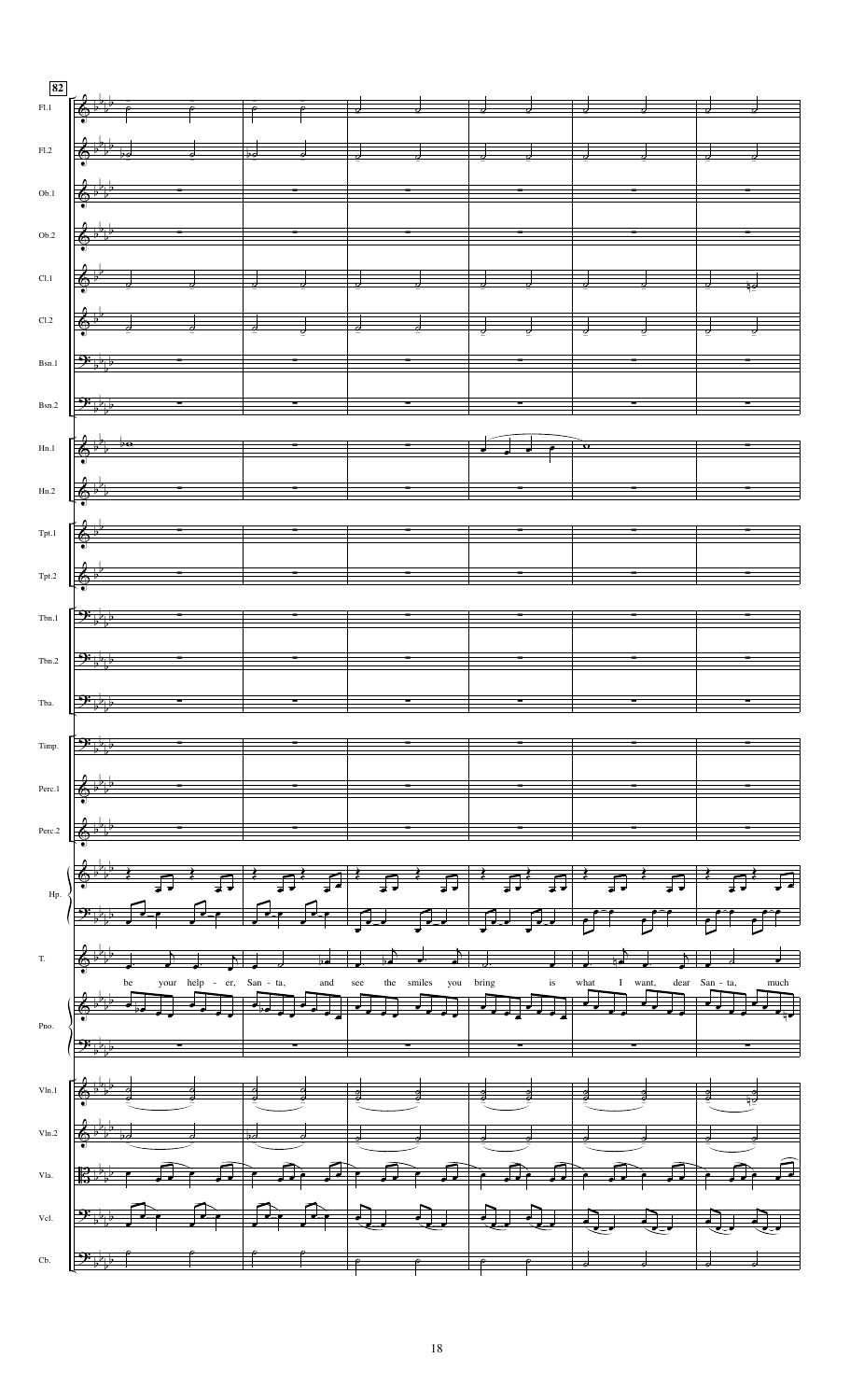| 82             |                                                 |                                                                                                                                                                                                                                                  |                                                                                                                                                                                                                                                                                                                                                                                                                                                                                                         |                                           |                                                                                                                                                                                   |  |
|----------------|-------------------------------------------------|--------------------------------------------------------------------------------------------------------------------------------------------------------------------------------------------------------------------------------------------------|---------------------------------------------------------------------------------------------------------------------------------------------------------------------------------------------------------------------------------------------------------------------------------------------------------------------------------------------------------------------------------------------------------------------------------------------------------------------------------------------------------|-------------------------------------------|-----------------------------------------------------------------------------------------------------------------------------------------------------------------------------------|--|
| F1.1           |                                                 |                                                                                                                                                                                                                                                  | $\begin{array}{ccccccccccccccccc} \bar{\rho} & \bar{\rho} & \bar{\rho} & \bar{\rho} & \bar{\rho} & \bar{\rho} & \bar{\rho} & \bar{\rho} & \bar{\rho} & \bar{\rho} & \bar{\rho} & \bar{\rho} & \bar{\rho} & \bar{\rho} & \bar{\rho} & \bar{\rho} & \bar{\rho} & \bar{\rho} & \bar{\rho} & \bar{\rho} & \bar{\rho} & \bar{\rho} & \bar{\rho} & \bar{\rho} & \bar{\rho} & \bar{\rho} & \bar{\rho} & \bar{\rho} & \bar{\rho} & \bar{\rho} & \bar{\rho} & \bar{\rho} & \bar{\rho} & \bar{\rho} & \bar{\rho}$ |                                           | $\frac{1}{2}$<br>$\overline{\phantom{a}}$                                                                                                                                         |  |
| F1.2           |                                                 |                                                                                                                                                                                                                                                  | $\frac{1}{2}$ $\frac{1}{2}$ $\frac{1}{2}$ $\frac{1}{2}$ $\frac{1}{2}$ $\frac{1}{2}$                                                                                                                                                                                                                                                                                                                                                                                                                     | $\overline{\phantom{a}}$                  |                                                                                                                                                                                   |  |
| Ob.1           |                                                 |                                                                                                                                                                                                                                                  | $\left( \frac{1}{2} \right)^{\frac{1}{2}}$                                                                                                                                                                                                                                                                                                                                                                                                                                                              |                                           |                                                                                                                                                                                   |  |
|                |                                                 |                                                                                                                                                                                                                                                  |                                                                                                                                                                                                                                                                                                                                                                                                                                                                                                         |                                           |                                                                                                                                                                                   |  |
| Ob.2           |                                                 |                                                                                                                                                                                                                                                  | $\oint_C b^b b^b$ and $\oint_C b^b b^b$                                                                                                                                                                                                                                                                                                                                                                                                                                                                 |                                           |                                                                                                                                                                                   |  |
| Cl.1           |                                                 |                                                                                                                                                                                                                                                  |                                                                                                                                                                                                                                                                                                                                                                                                                                                                                                         |                                           | $\overline{\phantom{a}}$                                                                                                                                                          |  |
| Cl.2           |                                                 |                                                                                                                                                                                                                                                  |                                                                                                                                                                                                                                                                                                                                                                                                                                                                                                         |                                           |                                                                                                                                                                                   |  |
| Bsn.1          | $\mathcal{P} \rightarrow$                       |                                                                                                                                                                                                                                                  |                                                                                                                                                                                                                                                                                                                                                                                                                                                                                                         |                                           |                                                                                                                                                                                   |  |
| Bsn.2          |                                                 |                                                                                                                                                                                                                                                  |                                                                                                                                                                                                                                                                                                                                                                                                                                                                                                         |                                           |                                                                                                                                                                                   |  |
| Hn.1           |                                                 |                                                                                                                                                                                                                                                  | $\left( \frac{1}{2} \right)^{\frac{1}{2}}$ , is a set of the set of the set of the set of the set of the set of the set of the set of the set of the set of the set of the set of the set of the set of the set of the set of the set of the set                                                                                                                                                                                                                                                        |                                           | $\overrightarrow{0}$                                                                                                                                                              |  |
|                |                                                 |                                                                                                                                                                                                                                                  |                                                                                                                                                                                                                                                                                                                                                                                                                                                                                                         |                                           |                                                                                                                                                                                   |  |
| Hn.2           |                                                 |                                                                                                                                                                                                                                                  | $\frac{2}{3}$ , $\frac{1}{2}$ , $\frac{1}{2}$ , $\frac{1}{2}$ , $\frac{1}{2}$ , $\frac{1}{2}$ , $\frac{1}{2}$ , $\frac{1}{2}$ , $\frac{1}{2}$ , $\frac{1}{2}$ , $\frac{1}{2}$ , $\frac{1}{2}$ , $\frac{1}{2}$ , $\frac{1}{2}$ , $\frac{1}{2}$ , $\frac{1}{2}$ , $\frac{1}{2}$ , $\frac{1}{2}$ , $\frac{1$                                                                                                                                                                                               |                                           |                                                                                                                                                                                   |  |
| Tpt.1          |                                                 | $\begin{array}{ccc} \begin{array}{ccc} \text{\AA} & \text{\AA} & \text{\AA} \end{array} & \begin{array}{ccc} \text{\AA} & \text{\AA} & \text{\AA} \end{array} & \begin{array}{ccc} \text{\AA} & \text{\AA} & \text{\AA} \end{array} \end{array}$ |                                                                                                                                                                                                                                                                                                                                                                                                                                                                                                         |                                           |                                                                                                                                                                                   |  |
| Tpt.2          |                                                 |                                                                                                                                                                                                                                                  |                                                                                                                                                                                                                                                                                                                                                                                                                                                                                                         |                                           |                                                                                                                                                                                   |  |
| Tbn.1          |                                                 |                                                                                                                                                                                                                                                  |                                                                                                                                                                                                                                                                                                                                                                                                                                                                                                         |                                           |                                                                                                                                                                                   |  |
| Tbn.2          |                                                 |                                                                                                                                                                                                                                                  |                                                                                                                                                                                                                                                                                                                                                                                                                                                                                                         |                                           |                                                                                                                                                                                   |  |
| Tba.           | $\mathbf{P}$                                    | Ξ                                                                                                                                                                                                                                                |                                                                                                                                                                                                                                                                                                                                                                                                                                                                                                         |                                           |                                                                                                                                                                                   |  |
| Timp.          |                                                 |                                                                                                                                                                                                                                                  |                                                                                                                                                                                                                                                                                                                                                                                                                                                                                                         |                                           |                                                                                                                                                                                   |  |
|                |                                                 |                                                                                                                                                                                                                                                  |                                                                                                                                                                                                                                                                                                                                                                                                                                                                                                         |                                           |                                                                                                                                                                                   |  |
| Perc.1         |                                                 |                                                                                                                                                                                                                                                  |                                                                                                                                                                                                                                                                                                                                                                                                                                                                                                         |                                           |                                                                                                                                                                                   |  |
|                | Perc.2 $\left\lfloor \frac{b}{2} \right\rfloor$ |                                                                                                                                                                                                                                                  |                                                                                                                                                                                                                                                                                                                                                                                                                                                                                                         |                                           |                                                                                                                                                                                   |  |
|                |                                                 |                                                                                                                                                                                                                                                  |                                                                                                                                                                                                                                                                                                                                                                                                                                                                                                         |                                           |                                                                                                                                                                                   |  |
|                |                                                 |                                                                                                                                                                                                                                                  |                                                                                                                                                                                                                                                                                                                                                                                                                                                                                                         |                                           |                                                                                                                                                                                   |  |
| T.             |                                                 |                                                                                                                                                                                                                                                  |                                                                                                                                                                                                                                                                                                                                                                                                                                                                                                         |                                           |                                                                                                                                                                                   |  |
|                |                                                 |                                                                                                                                                                                                                                                  |                                                                                                                                                                                                                                                                                                                                                                                                                                                                                                         |                                           | I want, dear San - ta,<br>ومرتبط والتوام والتواريخ والتواريخ والتواريخ والمستور والمستور والمنافي والمنافي                                                                        |  |
| Pno.           |                                                 |                                                                                                                                                                                                                                                  |                                                                                                                                                                                                                                                                                                                                                                                                                                                                                                         |                                           |                                                                                                                                                                                   |  |
|                |                                                 |                                                                                                                                                                                                                                                  |                                                                                                                                                                                                                                                                                                                                                                                                                                                                                                         |                                           |                                                                                                                                                                                   |  |
| $_{\rm Vln.1}$ |                                                 |                                                                                                                                                                                                                                                  | $\left[\begin{array}{ccc} \bullet & \mathbb{P} & \mathbb{P} & \bullet \\ \bullet & \mathbb{P} & \bullet & \bullet \end{array}\right]$ , and the set of $\left[\begin{array}{ccc} \bullet & \mathbb{P} & \bullet \\ \bullet & \bullet & \bullet \end{array}\right]$ , and $\left[\begin{array}{ccc} \bullet & \bullet & \bullet \\ \bullet & \bullet & \bullet \end{array}\right]$                                                                                                                       | $\frac{1}{3}$<br>$\overline{\phantom{a}}$ |                                                                                                                                                                                   |  |
| $_{\rm Vln.2}$ |                                                 |                                                                                                                                                                                                                                                  | $\left( \begin{array}{ccc} 0 & b & b \\ 0 & b & b \end{array} \right)$ and $\left( \begin{array}{ccc} 0 & b & b \\ b & c & d \end{array} \right)$ and $\left( \begin{array}{ccc} 0 & b & b \\ c & d & d \end{array} \right)$ and $\left( \begin{array}{ccc} 0 & b & b \\ c & d & d \end{array} \right)$                                                                                                                                                                                                 |                                           |                                                                                                                                                                                   |  |
| Vla.           |                                                 |                                                                                                                                                                                                                                                  |                                                                                                                                                                                                                                                                                                                                                                                                                                                                                                         |                                           | $\mathbb{R}^{2n}$ , $\mathbb{R}^{2n}$ , $\mathbb{R}^{2n}$ , $\mathbb{R}^{2n}$ , $\mathbb{R}^{2n}$ , $\mathbb{R}^{2n}$ , $\mathbb{R}^{2n}$ , $\mathbb{R}^{2n}$ , $\mathbb{R}^{2n}$ |  |
| Vcl.           |                                                 |                                                                                                                                                                                                                                                  |                                                                                                                                                                                                                                                                                                                                                                                                                                                                                                         |                                           |                                                                                                                                                                                   |  |
| Cb.            |                                                 |                                                                                                                                                                                                                                                  | $\begin{bmatrix} 1 & 1 & 1 & 1 \\ 1 & 1 & 1 & 1 \\ 1 & 1 & 1 & 1 \end{bmatrix} \begin{bmatrix} 1 & 1 & 1 & 1 \\ 1 & 1 & 1 & 1 \\ 1 & 1 & 1 & 1 \end{bmatrix} \begin{bmatrix} 1 & 1 & 1 & 1 \\ 1 & 1 & 1 & 1 \\ 1 & 1 & 1 & 1 \end{bmatrix}$                                                                                                                                                                                                                                                             |                                           |                                                                                                                                                                                   |  |
|                |                                                 |                                                                                                                                                                                                                                                  |                                                                                                                                                                                                                                                                                                                                                                                                                                                                                                         |                                           |                                                                                                                                                                                   |  |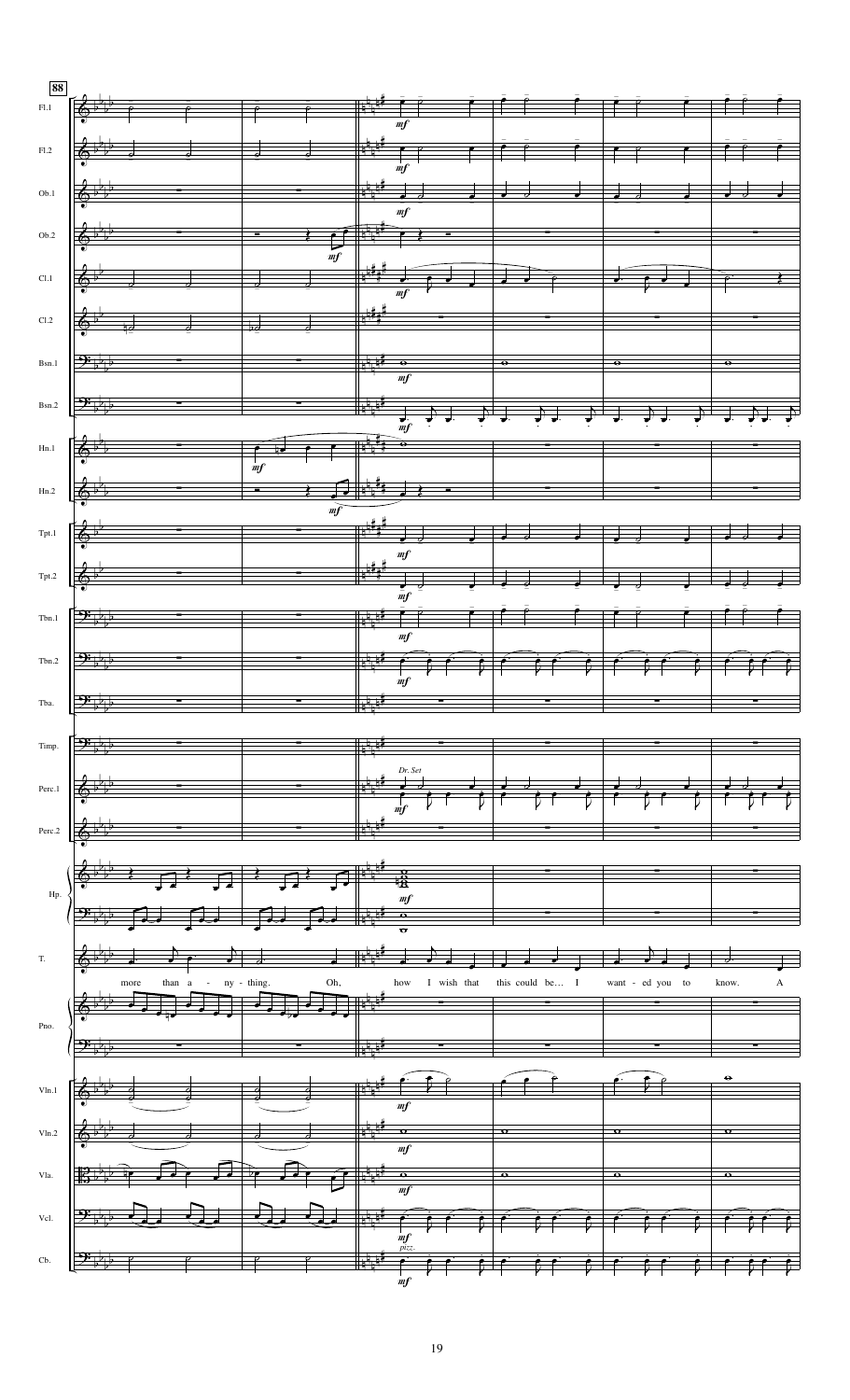| $\mathbb{H}^{\frac{1}{4} + \frac{1}{4}}$<br>F1.1<br>$\overline{f}$<br>$\overline{\mathit{mf}}$<br>$\frac{1}{4}$<br>Ť<br>$\rm{F}l.2$<br>m f<br>$\frac{1}{4}$<br>香港<br>$\mathrm{Ob}.1$<br>m f<br>$\begin{picture}(20,10) \put(0,0){\line(1,0){155}} \put(15,0){\line(1,0){155}} \put(15,0){\line(1,0){155}} \put(15,0){\line(1,0){155}} \put(15,0){\line(1,0){155}} \put(15,0){\line(1,0){155}} \put(15,0){\line(1,0){155}} \put(15,0){\line(1,0){155}} \put(15,0){\line(1,0){155}} \put(15,0){\line(1,0){155}} \put(15,0){\line(1,0){155}} \$<br>$6^{b}$<br>$\leftarrow$<br>$\overline{\phantom{0}}$<br>$_{\rm Ob.2}$<br>$\eta f$<br><del> ᡁᡃᡏᡎᠮ</del><br>$\mathop{\rm Cl}{.1}$<br>$\overline{\mathbf{b}}$<br>$\cdot$<br>$\frac{1}{\frac{df}{}}$<br>$\overline{\phantom{a}}$<br><mark>▐<sup></sup><sup>▏</sup><sub></sub>▏</mark><br>$\overline{\Phi}^{\sharp}$<br>$\rm Cl.2$<br>$\overline{\overline{b}}$<br>$9\frac{1}{2}$<br>$\mathbb{H}^{\mathbf{f}}$<br>$_{\rm Bsn.1}$<br>$\frac{1}{\frac{1}{m}f}$<br>$\bullet$<br>⊖<br>╫ <sub>┇</sub> ╕ <sub>┧</sub> ┪<br>$\mathcal{P}_{\flat}$<br>$_{\rm Bsn.2}$<br><del>لې لوگو کې لوگو کې لوگو کې لوگو د لوگو د لوگو کې لوگو د لوگو د لوگو کې لوگو د لوگو کې لوگو کې لوگو کې لوگو کې ل</del><br>$\frac{1}{\sqrt{m}}$<br>$\rightarrow$ .<br>₩₩.<br>$_{\rm Hn.1}$<br>₽<br>≖<br>$6^{p}$<br>$\begin{array}{ c c c }\hline \textbf{1} & \textbf{1} & \textbf{1} & \textbf{1} & \textbf{1} & \textbf{1} & \textbf{1} & \textbf{1} & \textbf{1} & \textbf{1} & \textbf{1} & \textbf{1} & \textbf{1} & \textbf{1} & \textbf{1} & \textbf{1} & \textbf{1} & \textbf{1} & \textbf{1} & \textbf{1} & \textbf{1} & \textbf{1} & \textbf{1} & \textbf{1} & \textbf{1} & \textbf{1} & \textbf{1} & \textbf{1} & \textbf{1} & \text$<br>Hn.2<br>$\overline{\star}$<br>Ξ<br>$m\tilde{f}$<br>∏a <sup>14</sup> #<br>$_\mathrm{Tpt.1}$<br>m f<br>$\frac{1}{4}$<br>$\operatorname{Tpt.2}$<br>m f<br>╠╅ <sub>┪</sub> ┪<br>$\mathcal{F}_{\mathfrak{p}\mathfrak{p}}$<br>Tbn.1<br>m f<br>$\frac{1}{4}$<br>$9 - 1$<br>Tbn.2<br>$\mathbf{r}$<br>$\overline{5}$<br>$\overline{\mathfrak{p}}$<br>$\overline{\mathcal{V}}$<br>Ď.<br>寺<br>$\it mf$<br>$\frac{1}{2}$ , $\frac{3}{2}$ , $\frac{3}{2}$ , $\frac{3}{2}$ , $\frac{3}{2}$ , $\frac{3}{2}$ , $\frac{3}{2}$ , $\frac{3}{2}$ , $\frac{3}{2}$ , $\frac{3}{2}$ , $\frac{3}{2}$ , $\frac{3}{2}$ , $\frac{3}{2}$ , $\frac{3}{2}$ , $\frac{3}{2}$ , $\frac{3}{2}$ , $\frac{3}{2}$ , $\frac{3}{2}$ , $\frac{3}{2}$ , $\frac{3}{2}$ ,<br>$\mathbf{P}$<br>Tba.<br>$\equiv$ $\equiv$<br>$\sim$ $\sim$ $\sim$<br>Timp.<br>Dr. Set<br>┆┪ <sup>┓</sup> ┪ <sup>┇</sup><br>═ <del>╛╛</del><br>╶╄┈┋┞┞<br>$\begin{array}{c cc} \hline \rule{0pt}{2.2ex} & \rule{0pt}{2.2ex} & \rule{0pt}{2.2ex} \\ \hline \rule{0pt}{2.2ex} & \rule{0pt}{2.2ex} & \rule{0pt}{2.2ex} \\ \hline \rule{0pt}{2.2ex} & \rule{0pt}{2.2ex} & \rule{0pt}{2.2ex} \\ \hline \rule{0pt}{2.2ex} & \rule{0pt}{2.2ex} & \rule{0pt}{2.2ex} \\ \hline \rule{0pt}{2.2ex} & \rule{0pt}{2.2ex} & \rule{0pt}{2.2ex} \\ \hline \rule{0pt}{2.2ex} & \$<br>Perc.1<br>$\begin{array}{c c c c c} \hline \textbf{a} & \textbf{a} & \textbf{a} & \textbf{a} \\ \hline \textbf{b} & \textbf{c} & \textbf{b} & \textbf{c} \\ \hline \end{array}$<br>寺<br>mf<br>$\frac{1}{4}$<br>$\ensuremath{\mathsf{Perc}}.2$<br>Hp.<br>$\mathbf{P}_{\mathbf{p}}$<br>╶╶╌╌╶┙╶╶╶╶╶╶╶╶╶<br>$\rightarrow$ $\rightarrow$<br>$\mathbf T$<br>this could be I<br>I wish that<br>than $a -$<br>ny - thing.<br>Oh,<br>how<br>want - ed you to<br>know.<br>more<br>Pno.<br>∍<br>$\frac{1}{4}$<br>$\mathbb{H}^4$<br>$\rm Vln.1$<br>ु<br>F<br>m f<br>╶╶╌╌┈┈┆┇ <mark>┇</mark> ╘┇╘ <sup>┇</sup><br>Vln.2<br>$\bullet$<br>$\overline{\mathbf{o}}$<br>$\bullet$<br>$\overline{mf}$<br>$\overrightarrow{p}$<br>$\overline{\bullet}$<br>Vla.<br>$\overline{\bullet}$<br>$\bullet$<br>$\bullet$<br>$\overline{mf}$<br>$2 + 7 - 7 - 7 - 7$<br>$\frac{1}{4}$<br>Vcl.<br>争<br>$\overline{\mathcal{V}}$<br>m f | 88  |            |                   |          |    |                                              |
|-----------------------------------------------------------------------------------------------------------------------------------------------------------------------------------------------------------------------------------------------------------------------------------------------------------------------------------------------------------------------------------------------------------------------------------------------------------------------------------------------------------------------------------------------------------------------------------------------------------------------------------------------------------------------------------------------------------------------------------------------------------------------------------------------------------------------------------------------------------------------------------------------------------------------------------------------------------------------------------------------------------------------------------------------------------------------------------------------------------------------------------------------------------------------------------------------------------------------------------------------------------------------------------------------------------------------------------------------------------------------------------------------------------------------------------------------------------------------------------------------------------------------------------------------------------------------------------------------------------------------------------------------------------------------------------------------------------------------------------------------------------------------------------------------------------------------------------------------------------------------------------------------------------------------------------------------------------------------------------------------------------------------------------------------------------------------------------------------------------------------------------------------------------------------------------------------------------------------------------------------------------------------------------------------------------------------------------------------------------------------------------------------------------------------------------------------------------------------------------------------------------------------------------------------------------------------------------------------------------------------------------------------------------------------------------------------------------------------------------------------------------------------------------------------------------------------------------------------------------------------------------------------------------------------------------------------------------------------------------------------------------------------------------------------------------------------------------------------------------------------------------------------------------------------------------------------------------------------------------------------------------------------------------------------------------------------------------------------------------------------------------------------------------------------------------------------------------------------------------------------------------------------------------------------------------------------------------------------------------------------------------------------------------------------------------------------------------------------------------------------------------------------------------------------------------------------------------------------------------------------------------------------------------------------------------------------------------------------------|-----|------------|-------------------|----------|----|----------------------------------------------|
|                                                                                                                                                                                                                                                                                                                                                                                                                                                                                                                                                                                                                                                                                                                                                                                                                                                                                                                                                                                                                                                                                                                                                                                                                                                                                                                                                                                                                                                                                                                                                                                                                                                                                                                                                                                                                                                                                                                                                                                                                                                                                                                                                                                                                                                                                                                                                                                                                                                                                                                                                                                                                                                                                                                                                                                                                                                                                                                                                                                                                                                                                                                                                                                                                                                                                                                                                                                                                                                                                                                                                                                                                                                                                                                                                                                                                                                                                                                                                                             |     |            |                   |          |    |                                              |
|                                                                                                                                                                                                                                                                                                                                                                                                                                                                                                                                                                                                                                                                                                                                                                                                                                                                                                                                                                                                                                                                                                                                                                                                                                                                                                                                                                                                                                                                                                                                                                                                                                                                                                                                                                                                                                                                                                                                                                                                                                                                                                                                                                                                                                                                                                                                                                                                                                                                                                                                                                                                                                                                                                                                                                                                                                                                                                                                                                                                                                                                                                                                                                                                                                                                                                                                                                                                                                                                                                                                                                                                                                                                                                                                                                                                                                                                                                                                                                             |     |            |                   |          |    |                                              |
|                                                                                                                                                                                                                                                                                                                                                                                                                                                                                                                                                                                                                                                                                                                                                                                                                                                                                                                                                                                                                                                                                                                                                                                                                                                                                                                                                                                                                                                                                                                                                                                                                                                                                                                                                                                                                                                                                                                                                                                                                                                                                                                                                                                                                                                                                                                                                                                                                                                                                                                                                                                                                                                                                                                                                                                                                                                                                                                                                                                                                                                                                                                                                                                                                                                                                                                                                                                                                                                                                                                                                                                                                                                                                                                                                                                                                                                                                                                                                                             |     |            |                   |          |    |                                              |
|                                                                                                                                                                                                                                                                                                                                                                                                                                                                                                                                                                                                                                                                                                                                                                                                                                                                                                                                                                                                                                                                                                                                                                                                                                                                                                                                                                                                                                                                                                                                                                                                                                                                                                                                                                                                                                                                                                                                                                                                                                                                                                                                                                                                                                                                                                                                                                                                                                                                                                                                                                                                                                                                                                                                                                                                                                                                                                                                                                                                                                                                                                                                                                                                                                                                                                                                                                                                                                                                                                                                                                                                                                                                                                                                                                                                                                                                                                                                                                             |     |            |                   |          |    |                                              |
|                                                                                                                                                                                                                                                                                                                                                                                                                                                                                                                                                                                                                                                                                                                                                                                                                                                                                                                                                                                                                                                                                                                                                                                                                                                                                                                                                                                                                                                                                                                                                                                                                                                                                                                                                                                                                                                                                                                                                                                                                                                                                                                                                                                                                                                                                                                                                                                                                                                                                                                                                                                                                                                                                                                                                                                                                                                                                                                                                                                                                                                                                                                                                                                                                                                                                                                                                                                                                                                                                                                                                                                                                                                                                                                                                                                                                                                                                                                                                                             |     |            |                   |          |    |                                              |
|                                                                                                                                                                                                                                                                                                                                                                                                                                                                                                                                                                                                                                                                                                                                                                                                                                                                                                                                                                                                                                                                                                                                                                                                                                                                                                                                                                                                                                                                                                                                                                                                                                                                                                                                                                                                                                                                                                                                                                                                                                                                                                                                                                                                                                                                                                                                                                                                                                                                                                                                                                                                                                                                                                                                                                                                                                                                                                                                                                                                                                                                                                                                                                                                                                                                                                                                                                                                                                                                                                                                                                                                                                                                                                                                                                                                                                                                                                                                                                             |     |            |                   |          |    |                                              |
|                                                                                                                                                                                                                                                                                                                                                                                                                                                                                                                                                                                                                                                                                                                                                                                                                                                                                                                                                                                                                                                                                                                                                                                                                                                                                                                                                                                                                                                                                                                                                                                                                                                                                                                                                                                                                                                                                                                                                                                                                                                                                                                                                                                                                                                                                                                                                                                                                                                                                                                                                                                                                                                                                                                                                                                                                                                                                                                                                                                                                                                                                                                                                                                                                                                                                                                                                                                                                                                                                                                                                                                                                                                                                                                                                                                                                                                                                                                                                                             |     |            |                   |          |    |                                              |
|                                                                                                                                                                                                                                                                                                                                                                                                                                                                                                                                                                                                                                                                                                                                                                                                                                                                                                                                                                                                                                                                                                                                                                                                                                                                                                                                                                                                                                                                                                                                                                                                                                                                                                                                                                                                                                                                                                                                                                                                                                                                                                                                                                                                                                                                                                                                                                                                                                                                                                                                                                                                                                                                                                                                                                                                                                                                                                                                                                                                                                                                                                                                                                                                                                                                                                                                                                                                                                                                                                                                                                                                                                                                                                                                                                                                                                                                                                                                                                             |     |            |                   |          |    |                                              |
|                                                                                                                                                                                                                                                                                                                                                                                                                                                                                                                                                                                                                                                                                                                                                                                                                                                                                                                                                                                                                                                                                                                                                                                                                                                                                                                                                                                                                                                                                                                                                                                                                                                                                                                                                                                                                                                                                                                                                                                                                                                                                                                                                                                                                                                                                                                                                                                                                                                                                                                                                                                                                                                                                                                                                                                                                                                                                                                                                                                                                                                                                                                                                                                                                                                                                                                                                                                                                                                                                                                                                                                                                                                                                                                                                                                                                                                                                                                                                                             |     |            |                   |          |    |                                              |
|                                                                                                                                                                                                                                                                                                                                                                                                                                                                                                                                                                                                                                                                                                                                                                                                                                                                                                                                                                                                                                                                                                                                                                                                                                                                                                                                                                                                                                                                                                                                                                                                                                                                                                                                                                                                                                                                                                                                                                                                                                                                                                                                                                                                                                                                                                                                                                                                                                                                                                                                                                                                                                                                                                                                                                                                                                                                                                                                                                                                                                                                                                                                                                                                                                                                                                                                                                                                                                                                                                                                                                                                                                                                                                                                                                                                                                                                                                                                                                             |     |            |                   |          |    |                                              |
|                                                                                                                                                                                                                                                                                                                                                                                                                                                                                                                                                                                                                                                                                                                                                                                                                                                                                                                                                                                                                                                                                                                                                                                                                                                                                                                                                                                                                                                                                                                                                                                                                                                                                                                                                                                                                                                                                                                                                                                                                                                                                                                                                                                                                                                                                                                                                                                                                                                                                                                                                                                                                                                                                                                                                                                                                                                                                                                                                                                                                                                                                                                                                                                                                                                                                                                                                                                                                                                                                                                                                                                                                                                                                                                                                                                                                                                                                                                                                                             |     |            |                   |          |    |                                              |
|                                                                                                                                                                                                                                                                                                                                                                                                                                                                                                                                                                                                                                                                                                                                                                                                                                                                                                                                                                                                                                                                                                                                                                                                                                                                                                                                                                                                                                                                                                                                                                                                                                                                                                                                                                                                                                                                                                                                                                                                                                                                                                                                                                                                                                                                                                                                                                                                                                                                                                                                                                                                                                                                                                                                                                                                                                                                                                                                                                                                                                                                                                                                                                                                                                                                                                                                                                                                                                                                                                                                                                                                                                                                                                                                                                                                                                                                                                                                                                             |     |            |                   |          |    |                                              |
|                                                                                                                                                                                                                                                                                                                                                                                                                                                                                                                                                                                                                                                                                                                                                                                                                                                                                                                                                                                                                                                                                                                                                                                                                                                                                                                                                                                                                                                                                                                                                                                                                                                                                                                                                                                                                                                                                                                                                                                                                                                                                                                                                                                                                                                                                                                                                                                                                                                                                                                                                                                                                                                                                                                                                                                                                                                                                                                                                                                                                                                                                                                                                                                                                                                                                                                                                                                                                                                                                                                                                                                                                                                                                                                                                                                                                                                                                                                                                                             |     |            |                   |          |    |                                              |
|                                                                                                                                                                                                                                                                                                                                                                                                                                                                                                                                                                                                                                                                                                                                                                                                                                                                                                                                                                                                                                                                                                                                                                                                                                                                                                                                                                                                                                                                                                                                                                                                                                                                                                                                                                                                                                                                                                                                                                                                                                                                                                                                                                                                                                                                                                                                                                                                                                                                                                                                                                                                                                                                                                                                                                                                                                                                                                                                                                                                                                                                                                                                                                                                                                                                                                                                                                                                                                                                                                                                                                                                                                                                                                                                                                                                                                                                                                                                                                             |     |            |                   |          |    | $\overline{\mathcal{P}}$<br>$\mathfrak{h}$ ( |
|                                                                                                                                                                                                                                                                                                                                                                                                                                                                                                                                                                                                                                                                                                                                                                                                                                                                                                                                                                                                                                                                                                                                                                                                                                                                                                                                                                                                                                                                                                                                                                                                                                                                                                                                                                                                                                                                                                                                                                                                                                                                                                                                                                                                                                                                                                                                                                                                                                                                                                                                                                                                                                                                                                                                                                                                                                                                                                                                                                                                                                                                                                                                                                                                                                                                                                                                                                                                                                                                                                                                                                                                                                                                                                                                                                                                                                                                                                                                                                             |     |            |                   |          |    |                                              |
|                                                                                                                                                                                                                                                                                                                                                                                                                                                                                                                                                                                                                                                                                                                                                                                                                                                                                                                                                                                                                                                                                                                                                                                                                                                                                                                                                                                                                                                                                                                                                                                                                                                                                                                                                                                                                                                                                                                                                                                                                                                                                                                                                                                                                                                                                                                                                                                                                                                                                                                                                                                                                                                                                                                                                                                                                                                                                                                                                                                                                                                                                                                                                                                                                                                                                                                                                                                                                                                                                                                                                                                                                                                                                                                                                                                                                                                                                                                                                                             |     |            |                   |          |    |                                              |
|                                                                                                                                                                                                                                                                                                                                                                                                                                                                                                                                                                                                                                                                                                                                                                                                                                                                                                                                                                                                                                                                                                                                                                                                                                                                                                                                                                                                                                                                                                                                                                                                                                                                                                                                                                                                                                                                                                                                                                                                                                                                                                                                                                                                                                                                                                                                                                                                                                                                                                                                                                                                                                                                                                                                                                                                                                                                                                                                                                                                                                                                                                                                                                                                                                                                                                                                                                                                                                                                                                                                                                                                                                                                                                                                                                                                                                                                                                                                                                             |     |            |                   |          |    |                                              |
|                                                                                                                                                                                                                                                                                                                                                                                                                                                                                                                                                                                                                                                                                                                                                                                                                                                                                                                                                                                                                                                                                                                                                                                                                                                                                                                                                                                                                                                                                                                                                                                                                                                                                                                                                                                                                                                                                                                                                                                                                                                                                                                                                                                                                                                                                                                                                                                                                                                                                                                                                                                                                                                                                                                                                                                                                                                                                                                                                                                                                                                                                                                                                                                                                                                                                                                                                                                                                                                                                                                                                                                                                                                                                                                                                                                                                                                                                                                                                                             |     |            |                   |          |    |                                              |
|                                                                                                                                                                                                                                                                                                                                                                                                                                                                                                                                                                                                                                                                                                                                                                                                                                                                                                                                                                                                                                                                                                                                                                                                                                                                                                                                                                                                                                                                                                                                                                                                                                                                                                                                                                                                                                                                                                                                                                                                                                                                                                                                                                                                                                                                                                                                                                                                                                                                                                                                                                                                                                                                                                                                                                                                                                                                                                                                                                                                                                                                                                                                                                                                                                                                                                                                                                                                                                                                                                                                                                                                                                                                                                                                                                                                                                                                                                                                                                             |     |            |                   |          |    |                                              |
|                                                                                                                                                                                                                                                                                                                                                                                                                                                                                                                                                                                                                                                                                                                                                                                                                                                                                                                                                                                                                                                                                                                                                                                                                                                                                                                                                                                                                                                                                                                                                                                                                                                                                                                                                                                                                                                                                                                                                                                                                                                                                                                                                                                                                                                                                                                                                                                                                                                                                                                                                                                                                                                                                                                                                                                                                                                                                                                                                                                                                                                                                                                                                                                                                                                                                                                                                                                                                                                                                                                                                                                                                                                                                                                                                                                                                                                                                                                                                                             |     |            |                   |          |    |                                              |
|                                                                                                                                                                                                                                                                                                                                                                                                                                                                                                                                                                                                                                                                                                                                                                                                                                                                                                                                                                                                                                                                                                                                                                                                                                                                                                                                                                                                                                                                                                                                                                                                                                                                                                                                                                                                                                                                                                                                                                                                                                                                                                                                                                                                                                                                                                                                                                                                                                                                                                                                                                                                                                                                                                                                                                                                                                                                                                                                                                                                                                                                                                                                                                                                                                                                                                                                                                                                                                                                                                                                                                                                                                                                                                                                                                                                                                                                                                                                                                             |     |            |                   |          |    | Α                                            |
|                                                                                                                                                                                                                                                                                                                                                                                                                                                                                                                                                                                                                                                                                                                                                                                                                                                                                                                                                                                                                                                                                                                                                                                                                                                                                                                                                                                                                                                                                                                                                                                                                                                                                                                                                                                                                                                                                                                                                                                                                                                                                                                                                                                                                                                                                                                                                                                                                                                                                                                                                                                                                                                                                                                                                                                                                                                                                                                                                                                                                                                                                                                                                                                                                                                                                                                                                                                                                                                                                                                                                                                                                                                                                                                                                                                                                                                                                                                                                                             |     |            |                   |          |    |                                              |
|                                                                                                                                                                                                                                                                                                                                                                                                                                                                                                                                                                                                                                                                                                                                                                                                                                                                                                                                                                                                                                                                                                                                                                                                                                                                                                                                                                                                                                                                                                                                                                                                                                                                                                                                                                                                                                                                                                                                                                                                                                                                                                                                                                                                                                                                                                                                                                                                                                                                                                                                                                                                                                                                                                                                                                                                                                                                                                                                                                                                                                                                                                                                                                                                                                                                                                                                                                                                                                                                                                                                                                                                                                                                                                                                                                                                                                                                                                                                                                             |     |            |                   |          |    |                                              |
|                                                                                                                                                                                                                                                                                                                                                                                                                                                                                                                                                                                                                                                                                                                                                                                                                                                                                                                                                                                                                                                                                                                                                                                                                                                                                                                                                                                                                                                                                                                                                                                                                                                                                                                                                                                                                                                                                                                                                                                                                                                                                                                                                                                                                                                                                                                                                                                                                                                                                                                                                                                                                                                                                                                                                                                                                                                                                                                                                                                                                                                                                                                                                                                                                                                                                                                                                                                                                                                                                                                                                                                                                                                                                                                                                                                                                                                                                                                                                                             |     |            |                   |          |    |                                              |
|                                                                                                                                                                                                                                                                                                                                                                                                                                                                                                                                                                                                                                                                                                                                                                                                                                                                                                                                                                                                                                                                                                                                                                                                                                                                                                                                                                                                                                                                                                                                                                                                                                                                                                                                                                                                                                                                                                                                                                                                                                                                                                                                                                                                                                                                                                                                                                                                                                                                                                                                                                                                                                                                                                                                                                                                                                                                                                                                                                                                                                                                                                                                                                                                                                                                                                                                                                                                                                                                                                                                                                                                                                                                                                                                                                                                                                                                                                                                                                             |     |            |                   |          |    |                                              |
|                                                                                                                                                                                                                                                                                                                                                                                                                                                                                                                                                                                                                                                                                                                                                                                                                                                                                                                                                                                                                                                                                                                                                                                                                                                                                                                                                                                                                                                                                                                                                                                                                                                                                                                                                                                                                                                                                                                                                                                                                                                                                                                                                                                                                                                                                                                                                                                                                                                                                                                                                                                                                                                                                                                                                                                                                                                                                                                                                                                                                                                                                                                                                                                                                                                                                                                                                                                                                                                                                                                                                                                                                                                                                                                                                                                                                                                                                                                                                                             |     |            |                   |          |    | $\overline{\mathcal{V}}$                     |
| m f                                                                                                                                                                                                                                                                                                                                                                                                                                                                                                                                                                                                                                                                                                                                                                                                                                                                                                                                                                                                                                                                                                                                                                                                                                                                                                                                                                                                                                                                                                                                                                                                                                                                                                                                                                                                                                                                                                                                                                                                                                                                                                                                                                                                                                                                                                                                                                                                                                                                                                                                                                                                                                                                                                                                                                                                                                                                                                                                                                                                                                                                                                                                                                                                                                                                                                                                                                                                                                                                                                                                                                                                                                                                                                                                                                                                                                                                                                                                                                         | Cb. | $\epsilon$ | ╠╈ <sub>╈</sub> ╋ | 5f<br>ß. | 6f | $\overline{P}$                               |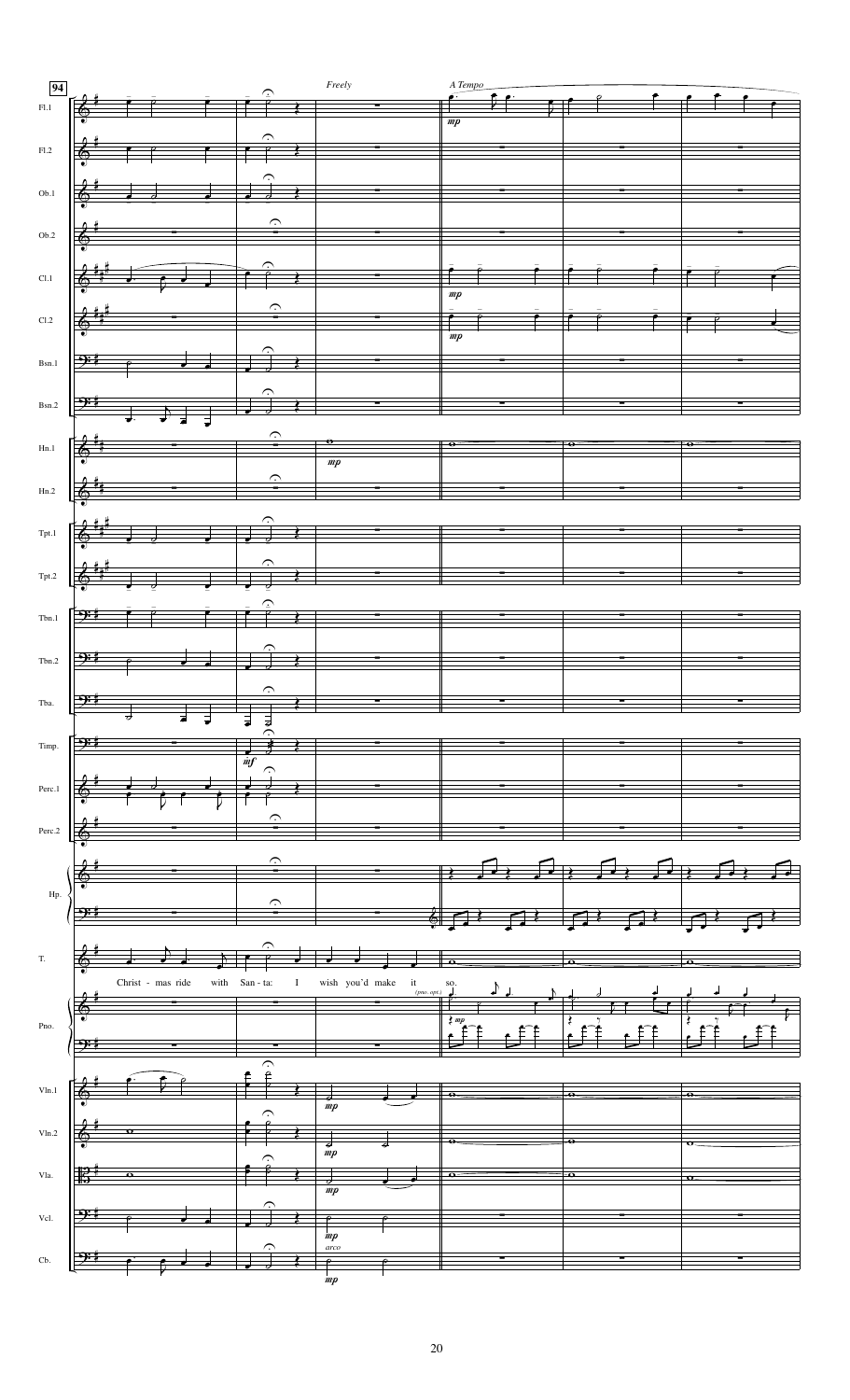|                      |                                                        |                   |                                                                                                                                                                                                                                                                                                                                                                                                                    |      |             |                      | Freely                                  |                 |                    |             | A Tempo                                                                                                                                                                                                                                                                                                                                                                                                                                                                                                                                                                                                                                                                        |  |                         |  |                                              |  |
|----------------------|--------------------------------------------------------|-------------------|--------------------------------------------------------------------------------------------------------------------------------------------------------------------------------------------------------------------------------------------------------------------------------------------------------------------------------------------------------------------------------------------------------------------|------|-------------|----------------------|-----------------------------------------|-----------------|--------------------|-------------|--------------------------------------------------------------------------------------------------------------------------------------------------------------------------------------------------------------------------------------------------------------------------------------------------------------------------------------------------------------------------------------------------------------------------------------------------------------------------------------------------------------------------------------------------------------------------------------------------------------------------------------------------------------------------------|--|-------------------------|--|----------------------------------------------|--|
|                      |                                                        |                   | F1.1                                                                                                                                                                                                                                                                                                                                                                                                               |      |             |                      |                                         |                 |                    |             |                                                                                                                                                                                                                                                                                                                                                                                                                                                                                                                                                                                                                                                                                |  |                         |  |                                              |  |
|                      |                                                        |                   |                                                                                                                                                                                                                                                                                                                                                                                                                    |      |             |                      |                                         |                 |                    |             | $\overline{mp}$                                                                                                                                                                                                                                                                                                                                                                                                                                                                                                                                                                                                                                                                |  |                         |  |                                              |  |
|                      |                                                        |                   |                                                                                                                                                                                                                                                                                                                                                                                                                    |      |             |                      |                                         |                 |                    |             |                                                                                                                                                                                                                                                                                                                                                                                                                                                                                                                                                                                                                                                                                |  |                         |  |                                              |  |
| F1.2                 |                                                        |                   |                                                                                                                                                                                                                                                                                                                                                                                                                    |      |             |                      |                                         |                 |                    |             |                                                                                                                                                                                                                                                                                                                                                                                                                                                                                                                                                                                                                                                                                |  |                         |  |                                              |  |
|                      |                                                        |                   |                                                                                                                                                                                                                                                                                                                                                                                                                    |      |             |                      |                                         |                 |                    |             |                                                                                                                                                                                                                                                                                                                                                                                                                                                                                                                                                                                                                                                                                |  |                         |  |                                              |  |
| Ob.1                 | $\begin{array}{c} \circ \\ \circ \\ \circ \end{array}$ |                   |                                                                                                                                                                                                                                                                                                                                                                                                                    |      |             |                      | $\bullet$ $\bullet$ $\bullet$ $\bullet$ |                 | Ξ                  |             |                                                                                                                                                                                                                                                                                                                                                                                                                                                                                                                                                                                                                                                                                |  |                         |  |                                              |  |
|                      |                                                        |                   |                                                                                                                                                                                                                                                                                                                                                                                                                    |      |             |                      |                                         |                 |                    |             |                                                                                                                                                                                                                                                                                                                                                                                                                                                                                                                                                                                                                                                                                |  |                         |  |                                              |  |
|                      |                                                        |                   | $\begin{array}{ccc} \circ & \circ & \circ \\ \circ & \circ & \circ \end{array}$                                                                                                                                                                                                                                                                                                                                    |      |             |                      |                                         |                 |                    |             |                                                                                                                                                                                                                                                                                                                                                                                                                                                                                                                                                                                                                                                                                |  |                         |  |                                              |  |
| Ob.2                 |                                                        |                   |                                                                                                                                                                                                                                                                                                                                                                                                                    |      |             |                      |                                         |                 |                    |             |                                                                                                                                                                                                                                                                                                                                                                                                                                                                                                                                                                                                                                                                                |  |                         |  |                                              |  |
|                      |                                                        |                   |                                                                                                                                                                                                                                                                                                                                                                                                                    |      |             |                      |                                         |                 |                    |             |                                                                                                                                                                                                                                                                                                                                                                                                                                                                                                                                                                                                                                                                                |  |                         |  |                                              |  |
| CL.1                 |                                                        |                   |                                                                                                                                                                                                                                                                                                                                                                                                                    |      |             |                      |                                         |                 |                    |             |                                                                                                                                                                                                                                                                                                                                                                                                                                                                                                                                                                                                                                                                                |  |                         |  |                                              |  |
|                      |                                                        |                   |                                                                                                                                                                                                                                                                                                                                                                                                                    |      |             |                      |                                         |                 |                    |             | mp                                                                                                                                                                                                                                                                                                                                                                                                                                                                                                                                                                                                                                                                             |  |                         |  |                                              |  |
| C1.2                 |                                                        |                   |                                                                                                                                                                                                                                                                                                                                                                                                                    |      |             |                      |                                         |                 |                    |             | $\begin{array}{ c c c c c }\hline \rule{0pt}{1ex}\quad \quad & \quad \quad & \quad \quad & \quad \quad & \quad \quad & \quad \quad \\ \hline \rule{0pt}{2ex} \quad \quad & \quad & \quad & \quad & \quad & \quad \quad & \quad \quad \\ \hline \rule{0pt}{2ex} \quad & \quad & \quad & \quad & \quad & \quad & \quad \\ \hline \rule{0pt}{2ex} \quad & \quad & \quad & \quad & \quad & \quad & \quad \\ \hline \rule{0pt}{2ex} \quad & \quad & \quad & \quad & \quad & \quad \\ \hline \rule{0pt}{2ex} \quad & \quad & \quad & \quad & \quad & \$                                                                                                                              |  |                         |  |                                              |  |
|                      |                                                        |                   |                                                                                                                                                                                                                                                                                                                                                                                                                    |      |             |                      |                                         |                 |                    |             |                                                                                                                                                                                                                                                                                                                                                                                                                                                                                                                                                                                                                                                                                |  |                         |  | $\overline{p}$ $\overline{p}$ $\overline{q}$ |  |
|                      |                                                        |                   |                                                                                                                                                                                                                                                                                                                                                                                                                    |      |             |                      |                                         |                 |                    |             |                                                                                                                                                                                                                                                                                                                                                                                                                                                                                                                                                                                                                                                                                |  |                         |  |                                              |  |
|                      |                                                        |                   |                                                                                                                                                                                                                                                                                                                                                                                                                    |      |             |                      |                                         |                 |                    |             | $Bsn.1$ $\left \frac{1}{2}r^2 + \frac{1}{2}r^2 + \frac{1}{2}r^2 + \frac{1}{2}r^2 + \frac{1}{2}r^2 + \frac{1}{2}r^2 + \frac{1}{2}r^2 + \frac{1}{2}r^2 + \frac{1}{2}r^2 + \frac{1}{2}r^2 + \frac{1}{2}r^2 + \frac{1}{2}r^2 + \frac{1}{2}r^2 + \frac{1}{2}r^2 + \frac{1}{2}r^2 + \frac{1}{2}r^2 + \frac{1}{2}r^2 + \frac{1}{2}r^2 + \frac{1}{2}r^2 + \frac$                                                                                                                                                                                                                                                                                                                       |  |                         |  |                                              |  |
|                      |                                                        |                   |                                                                                                                                                                                                                                                                                                                                                                                                                    |      |             |                      |                                         |                 |                    |             |                                                                                                                                                                                                                                                                                                                                                                                                                                                                                                                                                                                                                                                                                |  |                         |  |                                              |  |
|                      |                                                        |                   |                                                                                                                                                                                                                                                                                                                                                                                                                    |      |             |                      |                                         |                 |                    |             |                                                                                                                                                                                                                                                                                                                                                                                                                                                                                                                                                                                                                                                                                |  |                         |  |                                              |  |
|                      |                                                        |                   | Bsn.2                                                                                                                                                                                                                                                                                                                                                                                                              |      |             |                      |                                         |                 |                    |             |                                                                                                                                                                                                                                                                                                                                                                                                                                                                                                                                                                                                                                                                                |  |                         |  |                                              |  |
|                      |                                                        |                   | Hn.1 $\left \begin{array}{ccc} \bullet & \bullet & \bullet \\ \bullet & \bullet & \bullet \end{array}\right $                                                                                                                                                                                                                                                                                                      |      |             |                      |                                         |                 |                    |             |                                                                                                                                                                                                                                                                                                                                                                                                                                                                                                                                                                                                                                                                                |  |                         |  |                                              |  |
|                      |                                                        |                   |                                                                                                                                                                                                                                                                                                                                                                                                                    |      |             |                      |                                         |                 |                    |             |                                                                                                                                                                                                                                                                                                                                                                                                                                                                                                                                                                                                                                                                                |  | $\overline{\mathbf{e}}$ |  |                                              |  |
|                      |                                                        |                   |                                                                                                                                                                                                                                                                                                                                                                                                                    |      |             |                      |                                         |                 |                    |             |                                                                                                                                                                                                                                                                                                                                                                                                                                                                                                                                                                                                                                                                                |  |                         |  |                                              |  |
| Hn.2                 |                                                        |                   | $\begin{array}{ c c c c c c c c c } \hline & \multicolumn{1}{ c }{c} & \multicolumn{1}{ c }{c} & \multicolumn{1}{ c }{c} & \multicolumn{1}{ c }{c} & \multicolumn{1}{ c }{c} & \multicolumn{1}{ c }{c} & \multicolumn{1}{ c }{c} & \multicolumn{1}{ c }{c} & \multicolumn{1}{ c }{c} & \multicolumn{1}{ c }{c} & \multicolumn{1}{ c }{c} & \multicolumn{1}{ c }{c} & \multicolumn{1}{ c }{c} & \multicolumn{1}{ c$ |      |             |                      |                                         |                 |                    |             |                                                                                                                                                                                                                                                                                                                                                                                                                                                                                                                                                                                                                                                                                |  |                         |  |                                              |  |
|                      |                                                        |                   |                                                                                                                                                                                                                                                                                                                                                                                                                    |      |             |                      |                                         |                 |                    |             |                                                                                                                                                                                                                                                                                                                                                                                                                                                                                                                                                                                                                                                                                |  |                         |  |                                              |  |
|                      |                                                        |                   |                                                                                                                                                                                                                                                                                                                                                                                                                    |      |             |                      |                                         |                 |                    |             | $T_{\text{pt.}1}$ $\left[\begin{array}{ccc} \left\{\begin{array}{ccc} \uparrow & \downarrow & \downarrow \\ \downarrow & \downarrow & \downarrow \\ \downarrow & \downarrow & \downarrow \end{array}\right. & \left\{\begin{array}{ccc} \downarrow & \downarrow & \downarrow \\ \downarrow & \downarrow & \downarrow \\ \downarrow & \downarrow & \downarrow \end{array}\right. & \left\{\begin{array}{ccc} \downarrow & \downarrow & \downarrow & \downarrow \\ \downarrow & \downarrow & \downarrow & \downarrow \\ \downarrow & \downarrow & \downarrow & \downarrow \end{array}\right. & \left\{\begin{array}{ccc} \downarrow & \downarrow & \downarrow & \downarrow \\ \$ |  |                         |  |                                              |  |
|                      |                                                        |                   |                                                                                                                                                                                                                                                                                                                                                                                                                    |      |             |                      |                                         |                 |                    |             |                                                                                                                                                                                                                                                                                                                                                                                                                                                                                                                                                                                                                                                                                |  |                         |  |                                              |  |
|                      |                                                        |                   |                                                                                                                                                                                                                                                                                                                                                                                                                    |      |             |                      |                                         |                 |                    |             |                                                                                                                                                                                                                                                                                                                                                                                                                                                                                                                                                                                                                                                                                |  |                         |  |                                              |  |
| Tpt.2                |                                                        |                   |                                                                                                                                                                                                                                                                                                                                                                                                                    |      |             |                      |                                         |                 |                    |             | $\begin{array}{ c c c c c c c c } \hline \begin{array}{c} \bullet & \bullet & \bullet & \bullet & \bullet & \bullet \end{array} & \begin{array}{c} \bullet & \bullet & \bullet & \bullet & \bullet & \bullet \end{array} & \begin{array}{c} \bullet & \bullet & \bullet & \bullet & \bullet & \bullet \end{array} & \begin{array}{c} \bullet & \bullet & \bullet & \bullet & \bullet & \bullet \end{array} & \begin{array}{c} \bullet & \bullet & \bullet & \bullet & \bullet & \bullet \end{array} & \begin{array}{c} \bullet & \bullet & \bullet & \bullet & \bullet & \bullet \end{array} & \begin{array}{c} \bullet & \bullet & \$                                         |  |                         |  |                                              |  |
|                      |                                                        |                   |                                                                                                                                                                                                                                                                                                                                                                                                                    |      |             |                      |                                         |                 |                    |             |                                                                                                                                                                                                                                                                                                                                                                                                                                                                                                                                                                                                                                                                                |  |                         |  |                                              |  |
| Tbn.1                | $\mathbb{P}^{\ast}$                                    |                   |                                                                                                                                                                                                                                                                                                                                                                                                                    |      |             | $\overrightarrow{ }$ |                                         |                 | <u> Tanzania (</u> |             |                                                                                                                                                                                                                                                                                                                                                                                                                                                                                                                                                                                                                                                                                |  |                         |  |                                              |  |
|                      |                                                        |                   |                                                                                                                                                                                                                                                                                                                                                                                                                    |      |             |                      |                                         |                 |                    |             |                                                                                                                                                                                                                                                                                                                                                                                                                                                                                                                                                                                                                                                                                |  |                         |  |                                              |  |
|                      |                                                        |                   |                                                                                                                                                                                                                                                                                                                                                                                                                    |      |             |                      |                                         |                 |                    |             |                                                                                                                                                                                                                                                                                                                                                                                                                                                                                                                                                                                                                                                                                |  |                         |  |                                              |  |
| $_{\rm Tbn.2}$       |                                                        |                   |                                                                                                                                                                                                                                                                                                                                                                                                                    |      |             |                      |                                         |                 |                    |             |                                                                                                                                                                                                                                                                                                                                                                                                                                                                                                                                                                                                                                                                                |  |                         |  |                                              |  |
|                      |                                                        |                   |                                                                                                                                                                                                                                                                                                                                                                                                                    |      |             |                      |                                         |                 |                    |             |                                                                                                                                                                                                                                                                                                                                                                                                                                                                                                                                                                                                                                                                                |  |                         |  |                                              |  |
| Tba.                 |                                                        |                   | $\frac{1}{2}$                                                                                                                                                                                                                                                                                                                                                                                                      |      | $\triangle$ |                      |                                         |                 |                    |             |                                                                                                                                                                                                                                                                                                                                                                                                                                                                                                                                                                                                                                                                                |  |                         |  |                                              |  |
|                      |                                                        |                   |                                                                                                                                                                                                                                                                                                                                                                                                                    |      | 긓           |                      |                                         |                 |                    |             |                                                                                                                                                                                                                                                                                                                                                                                                                                                                                                                                                                                                                                                                                |  |                         |  |                                              |  |
|                      |                                                        |                   |                                                                                                                                                                                                                                                                                                                                                                                                                    |      |             |                      |                                         |                 |                    |             |                                                                                                                                                                                                                                                                                                                                                                                                                                                                                                                                                                                                                                                                                |  |                         |  |                                              |  |
| Timp.                |                                                        |                   |                                                                                                                                                                                                                                                                                                                                                                                                                    |      |             |                      |                                         |                 |                    |             |                                                                                                                                                                                                                                                                                                                                                                                                                                                                                                                                                                                                                                                                                |  |                         |  |                                              |  |
|                      |                                                        |                   |                                                                                                                                                                                                                                                                                                                                                                                                                    |      | тf          |                      |                                         |                 |                    |             |                                                                                                                                                                                                                                                                                                                                                                                                                                                                                                                                                                                                                                                                                |  |                         |  |                                              |  |
| Perc.1               |                                                        |                   |                                                                                                                                                                                                                                                                                                                                                                                                                    |      |             |                      |                                         |                 |                    |             |                                                                                                                                                                                                                                                                                                                                                                                                                                                                                                                                                                                                                                                                                |  |                         |  |                                              |  |
|                      |                                                        |                   |                                                                                                                                                                                                                                                                                                                                                                                                                    |      |             |                      |                                         |                 |                    |             |                                                                                                                                                                                                                                                                                                                                                                                                                                                                                                                                                                                                                                                                                |  |                         |  |                                              |  |
| Perc.2               |                                                        |                   |                                                                                                                                                                                                                                                                                                                                                                                                                    |      |             |                      |                                         |                 |                    |             |                                                                                                                                                                                                                                                                                                                                                                                                                                                                                                                                                                                                                                                                                |  |                         |  |                                              |  |
|                      |                                                        |                   |                                                                                                                                                                                                                                                                                                                                                                                                                    |      |             |                      |                                         |                 |                    |             |                                                                                                                                                                                                                                                                                                                                                                                                                                                                                                                                                                                                                                                                                |  |                         |  |                                              |  |
|                      |                                                        |                   |                                                                                                                                                                                                                                                                                                                                                                                                                    |      |             |                      |                                         |                 |                    |             |                                                                                                                                                                                                                                                                                                                                                                                                                                                                                                                                                                                                                                                                                |  |                         |  |                                              |  |
|                      |                                                        |                   |                                                                                                                                                                                                                                                                                                                                                                                                                    |      |             |                      |                                         |                 |                    |             |                                                                                                                                                                                                                                                                                                                                                                                                                                                                                                                                                                                                                                                                                |  |                         |  |                                              |  |
| Hp.                  |                                                        |                   |                                                                                                                                                                                                                                                                                                                                                                                                                    |      |             |                      |                                         |                 |                    |             |                                                                                                                                                                                                                                                                                                                                                                                                                                                                                                                                                                                                                                                                                |  |                         |  |                                              |  |
|                      |                                                        |                   |                                                                                                                                                                                                                                                                                                                                                                                                                    |      |             |                      |                                         |                 |                    |             |                                                                                                                                                                                                                                                                                                                                                                                                                                                                                                                                                                                                                                                                                |  |                         |  |                                              |  |
|                      |                                                        |                   |                                                                                                                                                                                                                                                                                                                                                                                                                    |      |             |                      |                                         |                 |                    |             |                                                                                                                                                                                                                                                                                                                                                                                                                                                                                                                                                                                                                                                                                |  |                         |  |                                              |  |
|                      |                                                        |                   |                                                                                                                                                                                                                                                                                                                                                                                                                    |      |             |                      |                                         |                 |                    |             |                                                                                                                                                                                                                                                                                                                                                                                                                                                                                                                                                                                                                                                                                |  |                         |  |                                              |  |
| T.                   |                                                        |                   |                                                                                                                                                                                                                                                                                                                                                                                                                    |      |             |                      |                                         |                 |                    |             |                                                                                                                                                                                                                                                                                                                                                                                                                                                                                                                                                                                                                                                                                |  |                         |  |                                              |  |
|                      |                                                        | Christ - mas ride |                                                                                                                                                                                                                                                                                                                                                                                                                    | with | San - ta:   | 1                    |                                         | wish you'd make |                    | it          | SO.                                                                                                                                                                                                                                                                                                                                                                                                                                                                                                                                                                                                                                                                            |  |                         |  |                                              |  |
|                      |                                                        |                   |                                                                                                                                                                                                                                                                                                                                                                                                                    |      |             |                      |                                         |                 |                    | (pno. opt.) |                                                                                                                                                                                                                                                                                                                                                                                                                                                                                                                                                                                                                                                                                |  |                         |  |                                              |  |
| Pno.                 |                                                        |                   |                                                                                                                                                                                                                                                                                                                                                                                                                    |      |             |                      |                                         |                 |                    |             | $\frac{1}{2}mp$                                                                                                                                                                                                                                                                                                                                                                                                                                                                                                                                                                                                                                                                |  |                         |  |                                              |  |
|                      |                                                        |                   |                                                                                                                                                                                                                                                                                                                                                                                                                    |      |             |                      |                                         |                 |                    |             |                                                                                                                                                                                                                                                                                                                                                                                                                                                                                                                                                                                                                                                                                |  |                         |  |                                              |  |
|                      |                                                        |                   |                                                                                                                                                                                                                                                                                                                                                                                                                    |      |             |                      |                                         |                 |                    |             |                                                                                                                                                                                                                                                                                                                                                                                                                                                                                                                                                                                                                                                                                |  |                         |  |                                              |  |
|                      |                                                        |                   |                                                                                                                                                                                                                                                                                                                                                                                                                    |      | ⌒           |                      |                                         |                 |                    |             |                                                                                                                                                                                                                                                                                                                                                                                                                                                                                                                                                                                                                                                                                |  |                         |  |                                              |  |
| Vln.1                |                                                        |                   |                                                                                                                                                                                                                                                                                                                                                                                                                    |      |             |                      |                                         |                 |                    |             |                                                                                                                                                                                                                                                                                                                                                                                                                                                                                                                                                                                                                                                                                |  | ۰                       |  |                                              |  |
|                      |                                                        |                   |                                                                                                                                                                                                                                                                                                                                                                                                                    |      |             |                      | mp                                      |                 |                    |             |                                                                                                                                                                                                                                                                                                                                                                                                                                                                                                                                                                                                                                                                                |  |                         |  |                                              |  |
| Vln.2                |                                                        |                   |                                                                                                                                                                                                                                                                                                                                                                                                                    |      |             |                      |                                         |                 |                    |             |                                                                                                                                                                                                                                                                                                                                                                                                                                                                                                                                                                                                                                                                                |  |                         |  |                                              |  |
|                      |                                                        |                   |                                                                                                                                                                                                                                                                                                                                                                                                                    |      |             |                      |                                         |                 |                    |             |                                                                                                                                                                                                                                                                                                                                                                                                                                                                                                                                                                                                                                                                                |  |                         |  | ក                                            |  |
|                      |                                                        |                   |                                                                                                                                                                                                                                                                                                                                                                                                                    |      |             |                      | mp                                      |                 |                    |             |                                                                                                                                                                                                                                                                                                                                                                                                                                                                                                                                                                                                                                                                                |  |                         |  |                                              |  |
| Vla.                 |                                                        |                   |                                                                                                                                                                                                                                                                                                                                                                                                                    |      |             |                      |                                         |                 |                    |             | $\bullet$                                                                                                                                                                                                                                                                                                                                                                                                                                                                                                                                                                                                                                                                      |  | $\bullet$               |  | $\mathbf o$                                  |  |
|                      |                                                        |                   |                                                                                                                                                                                                                                                                                                                                                                                                                    |      |             |                      | mp                                      |                 |                    |             |                                                                                                                                                                                                                                                                                                                                                                                                                                                                                                                                                                                                                                                                                |  |                         |  |                                              |  |
| Vcl.                 |                                                        |                   |                                                                                                                                                                                                                                                                                                                                                                                                                    |      |             |                      |                                         |                 |                    |             |                                                                                                                                                                                                                                                                                                                                                                                                                                                                                                                                                                                                                                                                                |  |                         |  |                                              |  |
|                      |                                                        |                   |                                                                                                                                                                                                                                                                                                                                                                                                                    |      |             |                      | mp                                      |                 |                    |             |                                                                                                                                                                                                                                                                                                                                                                                                                                                                                                                                                                                                                                                                                |  |                         |  |                                              |  |
|                      |                                                        |                   |                                                                                                                                                                                                                                                                                                                                                                                                                    |      |             |                      | arco                                    |                 |                    |             |                                                                                                                                                                                                                                                                                                                                                                                                                                                                                                                                                                                                                                                                                |  |                         |  |                                              |  |
| $\mathbf C\mathbf b$ |                                                        |                   |                                                                                                                                                                                                                                                                                                                                                                                                                    |      |             |                      |                                         |                 |                    |             |                                                                                                                                                                                                                                                                                                                                                                                                                                                                                                                                                                                                                                                                                |  |                         |  |                                              |  |
|                      |                                                        |                   |                                                                                                                                                                                                                                                                                                                                                                                                                    |      |             |                      | $\mathfrak{m}p$                         |                 |                    |             |                                                                                                                                                                                                                                                                                                                                                                                                                                                                                                                                                                                                                                                                                |  |                         |  |                                              |  |